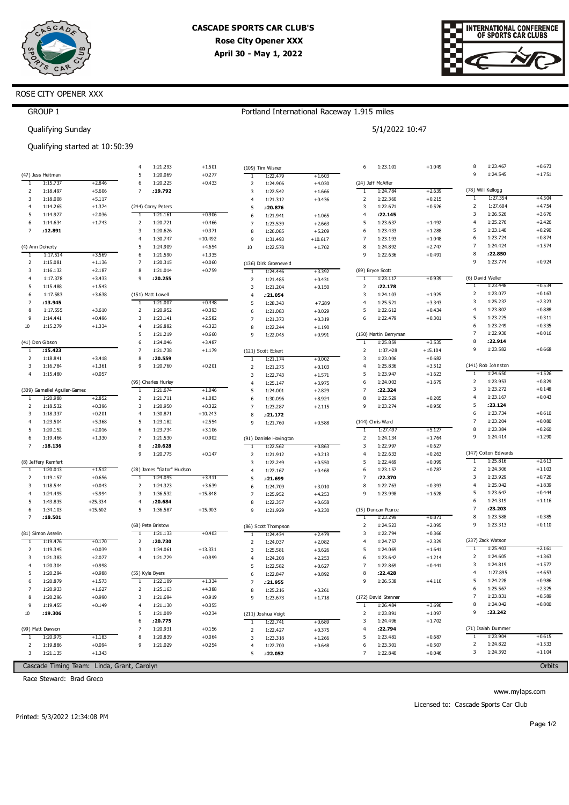



+0.673 +1.751

 $+4.504$ +4.754 +3.676 +2.426 +0.290 +0.874 +1.574 +0.924

+0.534 +0.163 +2.323 +0.888 +0.311 +0.335 +0.016 +0.668

+1.526 +0.829 +0.148 +0.043 +0.610 +0.080 +0.260 +1.290

+2.613 +1.103 +0.726 +1.839 +0.444 +1.116

### ROSE CITY OPENER XXX

GROUP 1

## Portland International Raceway 1.915 miles

|                | Qualifying Sunday            |                                |                     |                           |           |                         |                        |           |                     | 5/1/2022 10:47                 |           |                |                      |
|----------------|------------------------------|--------------------------------|---------------------|---------------------------|-----------|-------------------------|------------------------|-----------|---------------------|--------------------------------|-----------|----------------|----------------------|
|                |                              | Qualifying started at 10:50:39 |                     |                           |           |                         |                        |           |                     |                                |           |                |                      |
|                |                              |                                | 4                   | 1:21.293                  | $+1.501$  |                         | (109) Tim Wisner       |           | 6                   | 1:23.101                       | $+1.049$  | 8              | 1:23.467             |
|                | (47) Jess Heitman            |                                | 5                   | 1:20.069                  | $+0.277$  | T                       | 1:22.479               | $+1.603$  |                     |                                |           | 9              | 1:24.545             |
| 1              | 1:15.737                     | $+2.846$                       | 6                   | 1:20.225                  | $+0.433$  | $\overline{2}$          | 1:24.906               | $+4.030$  |                     | (24) Jeff McAffer              |           |                |                      |
| 2              | 1:18.497                     | $+5.606$                       | $\overline{7}$      | :19.792                   |           | 3                       | 1:22.542               | $+1.666$  | 1                   | 1:24.784                       | $+2.639$  |                | (78) Will Kellogg    |
| 3              | 1:18.008                     | $+5.117$                       |                     |                           |           | $\overline{4}$          | 1:21.312               | $+0.436$  | 2                   | 1:22.360                       | $+0.215$  | T              | 1:27.354             |
| 4              | 1:14.265                     | $+1.374$                       |                     | (244) Corey Peters        |           | 5                       | :20.876                |           | 3                   | 1:22.671                       | $+0.526$  | 2              | 1:27.604             |
| 5              | 1:14.927                     | $+2.036$                       | 1                   | 1:21.161                  | $+0.906$  | 6                       | 1:21.941               | $+1.065$  | $\overline{4}$      | : 22.145                       |           | 3              | 1:26.526             |
| 6              | 1:14.634                     | $+1.743$                       | $\overline{2}$      | 1:20.721                  | $+0.466$  | $\overline{7}$          | 1:23.539               | $+2.663$  | 5                   | 1:23.637                       | $+1.492$  | $\overline{4}$ | 1:25.276             |
| $\overline{7}$ | .12.891                      |                                | 3                   | 1:20.626                  | $+0.371$  | 8                       | 1:26.085               | $+5.209$  | 6                   | 1:23.433                       | $+1.288$  | 5              | 1:23.140             |
|                |                              |                                | $\overline{4}$      | 1:30.747                  | $+10.492$ | 9                       | 1:31.493               | $+10.617$ | $\overline{7}$      | 1:23.193                       | $+1.048$  | 6              | 1:23.724             |
|                | (4) Ann Doherty              |                                | 5                   | 1:24.909                  | $+4.654$  | 10                      | 1:22.578               | $+1.702$  | 8                   | 1:24.892                       | $+2.747$  | $\overline{7}$ | 1:24.424             |
| 1              | 1:17.514                     | $+3.569$                       | 6                   | 1:21.590                  | $+1.335$  |                         |                        |           | 9                   | 1:22.636                       | $+0.491$  | 8              | :22.850              |
| 2              | 1:15.081                     | $+1.136$                       | $\overline{7}$      | 1:20.315                  | $+0.060$  |                         | (136) Dirk Groeneveld  |           |                     |                                |           | 9              | 1:23.774             |
| 3              | 1:16.132                     | $+2.187$                       | 8                   | 1:21.014                  | $+0.759$  | T                       | 1:24.446               | +3.392    |                     | (89) Bryce Scott               |           |                |                      |
| 4              | 1:17.378                     | $+3.433$                       | 9                   | .20.255                   |           | $\overline{2}$          | 1:21.485               | $+0.431$  | T                   | 1:23.117                       | $+0.939$  |                | (6) David Weller     |
| 5              | 1:15.488                     | $+1.543$                       |                     |                           |           | $\overline{\mathbf{3}}$ | 1:21.204               | $+0.150$  | 2                   | :22.178                        |           | 1              | 1:23.448             |
| 6              | 1:17.583                     | $+3.638$                       |                     | (151) Matt Lowell         |           | $\overline{4}$          | .21.054                |           | 3                   | 1:24.103                       | $+1.925$  | $\overline{2}$ | 1:23.077             |
| 7              | .13.945                      |                                | T                   | 1:21.007                  | $+0.448$  | 5                       | 1:28.343               | $+7.289$  | $\overline{4}$      | 1:25.521                       | $+3.343$  | 3              | 1:25.237             |
| 8              | 1:17.555                     | $+3.610$                       | $\overline{2}$      | 1:20.952                  | $+0.393$  | 6                       | 1:21.083               | $+0.029$  | 5                   | 1:22.612                       | $+0.434$  | $\overline{4}$ | 1:23.802             |
| 9              | 1:14.441                     | $+0.496$                       | 3                   | 1:23.141                  | $+2.582$  | $\overline{7}$          | 1:21.373               | $+0.319$  | 6                   | 1:22.479                       | $+0.301$  | 5              | 1:23.225             |
| 10             | 1:15.279                     | $+1.334$                       | $\overline{4}$      | 1:26.882                  | $+6.323$  | 8                       | 1:22.244               | $+1.190$  |                     |                                |           | 6              | 1:23.249             |
|                |                              |                                | 5                   | 1:21.219                  | $+0.660$  | 9                       | 1:22.045               | $+0.991$  |                     | (150) Martin Berryman          |           | $\overline{7}$ | 1:22.930             |
|                | (41) Don Gibson              |                                | 6                   | 1:24.046                  | $+3.487$  |                         |                        |           | т                   | 1:25.859                       | $+3.535$  | 8              | :22.914              |
| -1             | :15.423                      |                                | $\overline{7}$      | 1:21.738                  | $+1.179$  |                         | (121) Scott Eckert     |           | $\overline{2}$      | 1:37.428                       | $+15.104$ | 9              | 1:23.582             |
| $\overline{2}$ | 1:18.841                     | $+3.418$                       | 8                   | .20.559                   |           | $\overline{1}$          | 1:21.174               | $+0.002$  | 3                   | 1:23.006                       | $+0.682$  |                |                      |
| 3              | 1:16.784                     | $+1.361$                       | 9                   | 1:20.760                  | $+0.201$  | $\overline{2}$          | 1:21.275               | $+0.103$  | $\overline{4}$      | 1:25.836                       | $+3.512$  |                | (141) Rob Johnston   |
| $\overline{4}$ | 1:15.480                     | $+0.057$                       |                     |                           |           | 3                       | 1:22.743               | $+1.571$  | 5                   | 1:23.947                       | $+1.623$  | T              | 1:24.650             |
|                |                              |                                |                     | (95) Charles Hurley       |           | $\overline{4}$          | 1:25.147               | $+3.975$  | 6                   | 1:24.003                       | $+1.679$  | 2<br>3         | 1:23.953<br>1:23.272 |
|                | (309) Gamaliel Aguilar-Gamez |                                | T                   | 1:21.674                  | $+1.046$  | 5                       | 1:24.001               | $+2.829$  | $\overline{7}$      | :22.324                        |           |                |                      |
| -1             | 1:20.988                     | $+2.852$                       | $\overline{2}$      | 1:21.711                  | $+1.083$  | 6                       | 1:30.096               | $+8.924$  | 8                   | 1:22.529                       | $+0.205$  | $\overline{4}$ | 1:23.167             |
| $\overline{2}$ | 1:18.532                     | $+0.396$                       | 3                   | 1:20.950                  | $+0.322$  | $\overline{7}$          | 1:23.287               | $+2.115$  | 9                   | 1:23.274                       | $+0.950$  | 5<br>6         | : 23.124<br>1:23.734 |
| 3              | 1:18.337                     | $+0.201$                       | $\overline{4}$      | 1:30.871                  | $+10.243$ | 8                       | .21.172                |           |                     |                                |           | $\overline{7}$ | 1:23.204             |
| $\overline{4}$ | 1:23.504                     | $+5.368$                       | 5                   | 1:23.182                  | $+2.554$  | 9                       | 1:21.760               | $+0.588$  |                     | (144) Chris Ward               |           | 8              | 1:23.384             |
| 5              | 1:20.152                     | $+2.016$                       | 6<br>$\overline{7}$ | 1:23.734                  | $+3.106$  |                         |                        |           | $\overline{1}$      | 1:27.497                       | $+5.127$  | 9              | 1:24.414             |
| 6              | 1:19.466                     | $+1.330$                       |                     | 1:21.530                  | $+0.902$  |                         | (91) Daniele Hovington |           | 2                   | 1:24.134                       | $+1.764$  |                |                      |
| $\overline{7}$ | .18.136                      |                                | 8                   | :20.628                   |           | T                       | 1:22.562               | $+0.863$  | 3                   | 1:22.997                       | $+0.627$  |                | (147) Colton Edwards |
|                |                              |                                | 9                   | 1:20.775                  | $+0.147$  | $\overline{2}$          | 1:21.912               | $+0.213$  | 4                   | 1:22.633                       | $+0.263$  | 1              | 1:25.816             |
|                | (8) Jeffery Remfert          |                                |                     |                           |           | $\overline{3}$          | 1:22.249               | $+0.550$  | 5                   | 1:22.469                       | $+0.099$  |                |                      |
| 1              | 1:20.013                     | $+1.512$                       |                     | (28) James "Gator" Hudson |           | $\overline{4}$          | 1:22.167               | $+0.468$  | 6<br>$\overline{7}$ | 1:23.157                       | $+0.787$  | 2<br>3         | 1:24.306<br>1:23.929 |
| 2              | 1:19.157                     | $+0.656$                       | -1                  | 1:24.095                  | $+3.411$  | 5                       | .21.699                |           | 8                   | :22.370                        |           | $\overline{4}$ | 1:25.042             |
| 3              | 1:18.544                     | $+0.043$                       | 2                   | 1:24.323                  | $+3.639$  | 6                       | 1:24.709               | $+3.010$  |                     | 1:22.763                       | $+0.393$  | 5              | 1:23.647             |
| 4              | 1:24.495                     | $+5.994$                       | 3                   | 1:36.532                  | $+15.848$ | $\overline{7}$          | 1:25.952               | $+4.253$  | 9                   | 1:23.998                       | $+1.628$  | 6              | 1:24.319             |
| 5<br>6         | 1:43.835<br>1:34.103         | $+25.334$                      | $\overline{4}$<br>5 | :20.684                   | $+15.903$ | 8                       | 1:22.357               | $+0.658$  |                     |                                |           | $\overline{7}$ | :23.203              |
|                | :18.501                      | $+15.602$                      |                     | 1:36.587                  |           | 9                       | 1:21.929               | $+0.230$  |                     | (15) Duncan Pearce<br>1:23.299 | +0.871    | 8              | 1:23.588             |
|                |                              |                                |                     |                           |           |                         |                        |           |                     |                                |           |                |                      |

|    | .18.501            |                                            |   |                   |           |   |                     |          |   | 1:23.299            | $+0.871$ | 8 | 1:23.588           | $+0.385$ |
|----|--------------------|--------------------------------------------|---|-------------------|-----------|---|---------------------|----------|---|---------------------|----------|---|--------------------|----------|
|    |                    |                                            |   | (68) Pete Bristow |           |   | (86) Scott Thompson |          |   | 1:24.523            | $+2.095$ | 9 | 1:23.313           | $+0.110$ |
|    | (81) Simon Asselin |                                            |   | 1:21.133          | $+0.403$  |   | 1:24.434            | $+2.479$ |   | 1:22.794            | $+0.366$ |   |                    |          |
|    | 1:19.476           | $+0.170$                                   |   | :20.730           |           |   | 1:24.037            | $+2.082$ | 4 | 1:24.757            | $+2.329$ |   | (237) Zack Watson  |          |
| 2  | 1:19.345           | $+0.039$                                   | 3 | 1:34.061          | $+13.331$ |   | 1:25.581            | $+3.626$ | 5 | 1:24.069            | $+1.641$ |   | 1:25.403           | $+2.161$ |
| 3  | 1:21.383           | $+2.077$                                   | 4 | 1:21.729          | $+0.999$  | 4 | 1:24.208            | $+2.253$ | 6 | 1:23.642            | $+1.214$ |   | 1:24.605           | $+1.363$ |
| 4  | 1:20.304           | $+0.998$                                   |   |                   |           |   | 1:22.582            | $+0.627$ |   | 1:22.869            | $+0.441$ | 3 | 1:24.819           | $+1.577$ |
| 5. | 1:20.294           | $+0.988$                                   |   | (55) Kyle Byers   |           | 6 | 1:22.847            | $+0.892$ | 8 | : 22.428            |          | 4 | 1:27.895           | $+4.653$ |
| 6  | 1:20.879           | $+1.573$                                   |   | 1:22.109          | $+1.334$  |   | .21.955             |          | 9 | 1:26.538            | $+4.110$ | 5 | 1:24.228           | $+0.986$ |
|    | 1:20.933           | $+1.627$                                   |   | 1:25.163          | $+4.388$  | 8 | 1:25.216            | $+3.261$ |   |                     |          | 6 | 1:25.567           | $+2.325$ |
| 8  | 1:20.296           | $+0.990$                                   | 3 | 1:21.694          | $+0.919$  | 9 | 1:23.673            | $+1.718$ |   | (172) David Stenner |          |   | 1:23.831           | $+0.589$ |
| 9  | 1:19.455           | $+0.149$                                   | 4 | 1:21.130          | $+0.355$  |   |                     |          |   | 1:26.484            | $+3.690$ | 8 | 1:24.042           | $+0.800$ |
| 10 | :19.306            |                                            | 5 | 1:21.009          | $+0.234$  |   | (211) Joshua Voigt  |          |   | 1:23.891            | $+1.097$ | 9 | :23.242            |          |
|    |                    |                                            | 6 | :20.775           |           |   | 1:22.741            | $+0.689$ |   | 1:24.496            | $+1.702$ |   |                    |          |
|    | (99) Matt Dawson   |                                            |   | 1:20.931          | $+0.156$  |   | 1:22.427            | $+0.375$ | 4 | :22.794             |          |   | (71) Isaiah Dummer |          |
|    | 1:20.975           | $+1.183$                                   | 8 | 1:20.839          | $+0.064$  |   | 1:23.318            | $+1.266$ | 5 | 1:23.481            | $+0.687$ |   | 1:23.904           | $+0.615$ |
|    | 1:19.886           | $+0.094$                                   | 9 | 1:21.029          | $+0.254$  | 4 | 1:22.700            | $+0.648$ | 6 | 1:23.301            | $+0.507$ |   | 1:24.822           | $+1.533$ |
| 3  | 1:21.135           | $+1.343$                                   |   |                   |           |   | :22.052             |          |   | 1:22.840            | $+0.046$ |   | 1:24.393           | $+1.104$ |
|    |                    | Cascade Timing Team: Linda, Grant, Carolyn |   |                   |           |   |                     |          |   |                     |          |   |                    | Orbits   |

Cascade Timing Team: Linda, Grant, Carolyn

Race Steward: Brad Greco

www.mylaps.com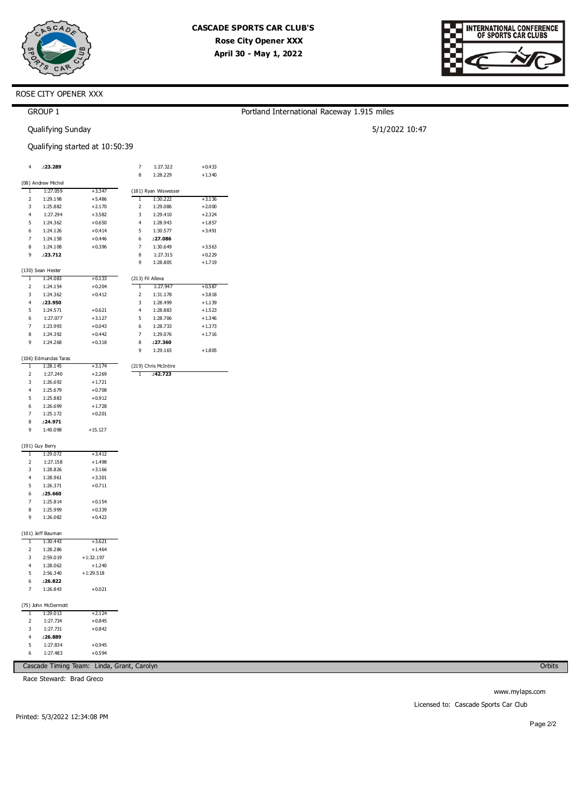

Portland International Raceway 1.915 miles

5/1/2022 10:47



## ROSE CITY OPENER XXX

## GROUP 1

Qualifying Sunday

### Qualifying started at 10:50:39

| 4              | .:23.289             |             | 7              | 1:27.322                         | $+0.433$ |
|----------------|----------------------|-------------|----------------|----------------------------------|----------|
|                |                      |             | 8              | 1:28.229                         | $+1.340$ |
|                | (08) Andrew Michel   |             |                |                                  |          |
| ī              | 1:27.059             | $+3.347$    |                |                                  |          |
| 2              | 1:29.198             | $+5.486$    | T              | (181) Ryan Wiswesser<br>1:30.222 | $+3.136$ |
| 3              | 1:25.882             | $+2.170$    | $\overline{2}$ | 1:29.086                         | $+2.000$ |
| $\overline{4}$ | 1:27.294             | $+3.582$    | 3              | 1:29.410                         | $+2.324$ |
| 5              | 1:24.362             | $+0.650$    | $\overline{4}$ | 1:28.943                         | $+1.857$ |
| 6              | 1:24.126             | $+0.414$    | 5              | 1:30.577                         | $+3.491$ |
| 7              | 1:24.158             | $+0.446$    | 6              | :27.086                          |          |
| 8              | 1:24.108             | $+0.396$    | 7              | 1:30.649                         | $+3.563$ |
| 9              | .23.712              |             | 8              | 1:27.315                         | $+0.229$ |
|                |                      |             | 9              | 1:28.805                         | $+1.719$ |
|                | (130) Sean Hester    |             |                |                                  |          |
| T              | 1:24.083             | +0.133      |                | (213) Fil Alleva                 |          |
| 2              | 1:24.154             | $+0.204$    | 1              | 1:27.947                         | $+0.587$ |
| 3              | 1:24.362             | $+0.412$    | $\overline{2}$ | 1:31.178                         | $+3.818$ |
| 4              | :23.950              |             | 3              | 1:28.499                         | $+1.139$ |
| 5              | 1:24.571             | $+0.621$    | $\overline{4}$ | 1:28.883                         | $+1.523$ |
| 6              | 1:27.077             | $+3.127$    | 5              | 1:28.706                         | $+1.346$ |
| 7              | 1:23.993             | $+0.043$    | 6              | 1:28.733                         | $+1.373$ |
| 8              | 1:24.392             | $+0.442$    | $\overline{7}$ | 1:29.076                         | $+1.716$ |
| 9              | 1:24.268             | $+0.318$    | 8              | .27.360                          |          |
|                |                      |             | 9              | 1:29.165                         | $+1.805$ |
|                | (106) Edmundas Taras |             |                |                                  |          |
| T              | 1:28.145             | $+3.174$    |                | (219) Chris McIntire             |          |
| $\overline{2}$ | 1:27.240             | $+2.269$    | T              | :42.723                          |          |
| 3              | 1:26.692             | $+1.721$    |                |                                  |          |
| $\overline{4}$ | 1:25.679             | $+0.708$    |                |                                  |          |
| 5              | 1:25.883             | $+0.912$    |                |                                  |          |
| 6              | 1:26.699             | $+1.728$    |                |                                  |          |
| 7              | 1:25.172             | $+0.201$    |                |                                  |          |
| 8              | : 24.971             |             |                |                                  |          |
| 9              | 1:40.098             | $+15.127$   |                |                                  |          |
|                |                      |             |                |                                  |          |
|                | (191) Guy Berry      |             |                |                                  |          |
| 1              | 1:29.072             | +3.412      |                |                                  |          |
| 2              | 1:27.158             | $+1.498$    |                |                                  |          |
| 3              | 1:28.826             | $+3.166$    |                |                                  |          |
| $\overline{4}$ | 1:28.961             | $+3.301$    |                |                                  |          |
| 5              | 1:26.371             | $+0.711$    |                |                                  |          |
| 6              | .25.660              |             |                |                                  |          |
| 7              | 1:25.814             | $+0.154$    |                |                                  |          |
| 8              | 1:25.999             | $+0.339$    |                |                                  |          |
| 9              | 1:26.082             | $+0.422$    |                |                                  |          |
|                |                      |             |                |                                  |          |
|                | (101) Jeff Bauman    |             |                |                                  |          |
| ī              | 1:30.443             | $+3.621$    |                |                                  |          |
| 2              | 1:28.286             | $+1.464$    |                |                                  |          |
| 3              | 2:59.019             | $+1:32.197$ |                |                                  |          |
| $\overline{4}$ | 1:28.062             | $+1.240$    |                |                                  |          |
| 5              | 2:56.340             | $+1:29.518$ |                |                                  |          |
| 6              | .26.822              |             |                |                                  |          |
| 7              | 1:26.843             | $+0.021$    |                |                                  |          |
|                |                      |             |                |                                  |          |
|                | (75) John McDermott  |             |                |                                  |          |
| T              | 1:29.013             | $+2.124$    |                |                                  |          |
| $\overline{2}$ | 1:27.734             | $+0.845$    |                |                                  |          |
| 3              | 1:27.731             | $+0.842$    |                |                                  |          |
| 4              | :26.889              |             |                |                                  |          |
| 5              | 1:27.834             | $+0.945$    |                |                                  |          |
| 6              | 1:27.483             | $+0.594$    |                |                                  |          |

Cascade Timing Team: Linda, Grant, Carolyn

Race Steward: Brad Greco

Orbits

www.mylaps.com Licensed to: Cascade Sports Car Club

Printed: 5/3/2022 12:34:08 PM

Page 2/2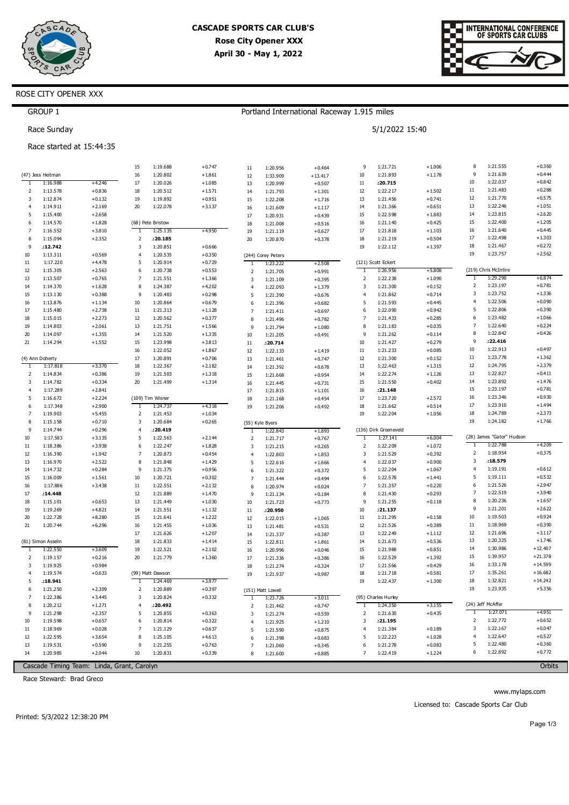

Portland International Raceway 1.915 miles

5/1/2022 15:40



## ROSE CITY OPENER XXX

## GROUP 1

Race Sunday

### Race started at 15:44:35

|                     |                      |                      | 15                             | 1:19.688             | $+0.747$             | $11\,$              | 1:20.956             | $+0.464$             | 9                       | 1:21.721              | $+1.006$             | 8              | 1:21.555                  | $+0.360$              |
|---------------------|----------------------|----------------------|--------------------------------|----------------------|----------------------|---------------------|----------------------|----------------------|-------------------------|-----------------------|----------------------|----------------|---------------------------|-----------------------|
|                     | (47) Jess Heitman    |                      | 16                             | 1:20.802             | $+1.861$             | 12                  | 1:33.909             | $+13.417$            | 10                      | 1:21.893              | $+1.178$             | 9              | 1:21.639                  | $+0.444$              |
| ī                   | 1:16.988             | $+4.246$             | 17                             | 1:20.026             | $+1.085$             | 13                  | 1:20.999             | $+0.507$             | $11\,$                  | : 20.715              |                      | 10             | 1:22.037                  | $+0.842$              |
| $\overline{2}$      | 1:13.578             | $+0.836$             | 18                             | 1:20.512             | $+1.571$             | 14                  | 1:21.793             | $+1.301$             | 12                      | 1:22.217              | $+1.502$             | $11\,$         | 1:21.483                  | $+0.288$              |
| 3                   | 1:12.874             | $+0.132$             | 19                             | 1:19.892             | $+0.951$             | 15                  | 1:22.208             | $+1.716$             | 13                      | 1:21.456              | $+0.741$             | 12             | 1:21.770                  | $+0.575$              |
| $\overline{4}$      | 1:14.911             | $+2.169$             | 20                             | 1:22.078             | $+3.137$             | 16                  | 1:21.609             | $+1.117$             | 14                      | 1:21.366              | $+0.651$             | 13             | 1:22.246                  | $+1.051$              |
| 5                   | 1:15.400             | $+2.658$             |                                |                      |                      | 17                  | 1:20.931             | $+0.439$             | 15                      | 1:22.598              | $+1.883$             | 14             | 1:23.815                  | $+2.620$              |
| 6                   | 1:14.570             | $+1.828$             |                                | (68) Pete Bristow    |                      | 18                  | 1:21.008             | $+0.516$             | 16                      | 1:21.140              | $+0.425$             | 15             | 1:22.400                  | $+1.205$              |
| $\overline{7}$      | 1:16.552             | $+3.810$             | $\overline{1}$                 | 1:25.135             | $+4.950$             | 19                  | 1:21.119             | $+0.627$             | 17                      | 1:21.818              | $+1.103$             | 16             | 1:21.640                  | $+0.445$              |
| 8                   | 1:15.094             | $+2.352$             | $\overline{2}$                 | : 20.185             |                      | 20                  | 1:20.870             | $+0.378$             | 18                      | 1:21.219              | $+0.504$             | 17             | 1:22.498                  | $+1.303$              |
| 9                   | :12.742              |                      | $\overline{3}$                 | 1:20.851             | $+0.666$             |                     |                      |                      | 19                      | 1:22.112              | $+1.397$             | 18             | 1:21.467                  | $+0.272$              |
| 10                  | 1:13.311             | $+0.569$             | $\overline{4}$                 | 1:20.535             | $+0.350$             |                     | (244) Corey Peters   |                      |                         |                       |                      | 19             | 1:23.757                  | $+2.562$              |
| 11                  | 1:17.220             | $+4.478$             | 5                              | 1:20.914             | $+0.729$             | $\overline{1}$      | 1:23.222             | $+2.508$             |                         | (121) Scott Eckert    |                      |                | (219) Chris McIntire      |                       |
| 12                  | 1:15.305             | $+2.563$             | 6<br>$\overline{7}$            | 1:20.738             | $+0.553$             | $\overline{2}$      | 1:21.705             | $+0.991$             | -1                      | 1:26.956              | $+5.808$             | T              | 1:29.290                  | +6.874                |
| 13                  | 1:13.507             | $+0.765$             |                                | 1:21.551             | $+1.366$             | 3                   | 1:21.109             | $+0.395$             | $\overline{2}$          | 1:22.238              | $+1.090$             | $\overline{2}$ | 1:23.197                  | $+0.781$              |
| 14                  | 1:14.370             | $+1.628$             | 8<br>9                         | 1:24.387             | $+4.202$             | $\overline{4}$      | 1:22.093             | $+1.379$             | 3                       | 1:21.300              | $+0.152$             | 3              | 1:23.752                  | $+1.336$              |
| 15<br>16            | 1:13.130<br>1:13.876 | $+0.388$<br>$+1.134$ | 10                             | 1:20.483<br>1:20.864 | $+0.298$<br>$+0.679$ | 5                   | 1:21.390             | $+0.676$             | $\overline{4}$<br>5     | 1:21.862<br>1:21.593  | $+0.714$<br>$+0.445$ | $\overline{4}$ | 1:22.506                  | $+0.090$              |
| 17                  | 1:15.480             | $+2.738$             | $11\,$                         | 1:21.313             | $+1.128$             | 6<br>$\overline{7}$ | 1:21.396             | $+0.682$             | 6                       | 1:22.090              | $+0.942$             | 5              | 1:22.806                  | $+0.390$              |
| 18                  | 1:15.015             | $+2.273$             | 12                             | 1:20.562             | $+0.377$             |                     | 1:21.411             | $+0.697$             | $\overline{7}$          | 1:21.433              | $+0.285$             | 6              | 1:23.482                  | $+1.066$              |
| 19                  | 1:14.803             | $+2.061$             | 13                             | 1:21.751             | $+1.566$             | 8<br>9              | 1:21.496             | $+0.782$             | 8                       | 1:21.183              | $+0.035$             | $\overline{7}$ | 1:22.640                  | $+0.224$              |
| 20                  | 1:14.097             | $+1.355$             | 14                             | 1:21.520             | $+1.335$             | 10                  | 1:21.794<br>1:21.205 | $+1.080$<br>$+0.491$ | 9                       | 1:21.262              | $+0.114$             | 8              | 1:22.842                  | $+0.426$              |
| 21                  | 1:14.294             | $+1.552$             | 15                             | 1:23.998             | $+3.813$             | 11                  | : 20.714             |                      | $10\,$                  | 1:21.427              | $+0.279$             | 9              | :22.416                   |                       |
|                     |                      |                      | 16                             | 1:22.052             | $+1.867$             | 12                  | 1:22.133             | $+1.419$             | 11                      | 1:21.233              | $+0.085$             | 10             | 1:22.913                  | $+0.497$              |
|                     | (4) Ann Doherty      |                      | 17                             | 1:20.891             | $+0.706$             | 13                  | 1:21.461             | $+0.747$             | 12                      | 1:21.300              | $+0.152$             | $11\,$         | 1:23.778                  | $+1.362$              |
| 1                   | 1:17.818             | $+3.370$             | 18                             | 1:22.367             | $+2.182$             | 14                  | 1:21.392             | $+0.678$             | 13                      | 1:22.463              | $+1.315$             | 12             | 1:24.795                  | $+2.379$              |
| 2                   | 1:14.834             | $+0.386$             | 19                             | 1:21.503             | $+1.318$             | 15                  | 1:21.668             | $+0.954$             | 14                      | 1:22.274              | $+1.126$             | 13             | 1:22.827                  | $+0.411$              |
| $\overline{3}$      | 1:14.782             | $+0.334$             | 20                             | 1:21.499             | $+1.314$             | 16                  | 1:21.445             | $+0.731$             | 15                      | 1:21.550              | $+0.402$             | 14             | 1:23.892                  | $+1.476$              |
| 4                   | 1:17.289             | $+2.841$             |                                |                      |                      | 17                  | 1:21.815             | $+1.101$             | 16                      | : 21.148              |                      | 15             | 1:23.197                  | $+0.781$              |
| 5                   | 1:16.672             | $+2.224$             |                                | (109) Tim Wisner     |                      | 18                  | 1:21.168             | $+0.454$             | 17                      | 1:23.720              | $+2.572$             | 16             | 1:23.346                  | $+0.930$              |
| 6                   | 1:17.348             | $+2.900$             | $\overline{1}$                 | 1:24.737             | $+4.318$             | 19                  | 1:21.206             | $+0.492$             | 18                      | 1:21.662              | $+0.514$             | 17             | 1:23.910                  | $+1.494$              |
| $\overline{7}$      | 1:19.903             | $+5.455$             | $\overline{2}$                 | 1:21.453             | $+1.034$             |                     |                      |                      | 19                      | 1:22.204              | $+1.056$             | 18             | 1:24.789                  | $+2.373$              |
| 8                   | 1:15.158             | $+0.710$             | $\overline{3}$                 | 1:20.684             | $+0.265$             |                     | (55) Kyle Byers      |                      |                         |                       |                      | 19             | 1:24.182                  | $+1.766$              |
| 9                   | 1:14.744             | $+0.296$             | $\overline{4}$                 | : 20.419             |                      | 1                   | 1:22.843             | $+1.893$             |                         | (136) Dirk Groeneveld |                      |                |                           |                       |
| 10                  | 1:17.583             | $+3.135$             | 5                              | 1:22.563             | $+2.144$             | $\overline{2}$      | 1:21.717             | $+0.767$             | -1                      | 1:27.141              | $+6.004$             |                | (28) James "Gator" Hudson |                       |
| 11                  | 1:18.386             | $+3.938$             | $\boldsymbol{6}$               | 1:22.247             | $+1.828$             |                     | 1:21.215             |                      |                         | 1:22.209              | $+1.072$             |                | 1:22.788                  | $+4.209$              |
| 12                  |                      |                      |                                |                      |                      | 3                   |                      | $+0.265$             | $\mathbf 2$             |                       |                      | 1              |                           |                       |
| 13                  | 1:16.390             | $+1.942$             | $\overline{7}$                 | 1:20.873             | $+0.454$             | $\overline{4}$      | 1:22.803             | $+1.853$             | $\overline{\mathbf{3}}$ | 1:21.529              | $+0.392$             | $\overline{2}$ | 1:18.954                  | $+0.375$              |
|                     | 1:16.970             | $+2.522$             | 8                              | 1:21.848             | $+1.429$             | 5                   | 1:22.616             | $+1.666$             | $\overline{4}$          | 1:22.037              | $+0.900$             | 3              | :18.579                   |                       |
| 14                  | 1:14.732             | $+0.284$             | 9                              | 1:21.375             | $+0.956$             | 6                   | 1:21.322             | $+0.372$             | 5                       | 1:22.204              | $+1.067$             | $\overline{4}$ | 1:19.191                  | $+0.612$              |
| 15                  | 1:16.009             | $+1.561$             | 10                             | 1:20.721             | $+0.302$             | $\overline{7}$      | 1:21.444             | $+0.494$             | 6                       | 1:22.578              | $+1.441$             | 5              | 1:19.111                  | $+0.532$              |
| 16                  | 1:17.886             | $+3.438$             | 11                             | 1:22.551             | $+2.132$             | 8                   | 1:20.974             | $+0.024$             | $\overline{7}$          | 1:21.357              | $+0.220$             | 6              | 1:21.526                  | $+2.947$              |
| 17                  | :14.448              |                      | 12                             | 1:21.889             | $+1.470$             | 9                   | 1:21.134             | $+0.184$             | 8                       | 1:21.430              | $+0.293$             | $\overline{7}$ | 1:22.519                  | $+3.940$              |
| 18                  | 1:15.101             | $+0.653$             | 13                             | 1:21.449             | $+1.030$             | 10                  | 1:21.723             | $+0.773$             | 9                       | 1:21.255              | $+0.118$             | 8              | 1:20.236                  | $+1.657$              |
| 19                  | 1:19.269             | $+4.821$             | 14                             | 1:21.551             | $+1.132$             | 11                  | :20.950              |                      | 10                      | : 21.137              |                      | 9              | 1:21.201                  | $+2.622$              |
| 20                  | 1:22.728             | $+8.280$             | 15                             | 1:21.641             | $+1.222$             | 12                  | 1:22.015             | $+1.065$             | $11\,$                  | 1:21.295              | $+0.158$             | 10             | 1:19.503                  | $+0.924$              |
| 21                  | 1:20.744             | $+6.296$             | 16                             | 1:21.455             | $+1.036$             | 13                  | 1:21.481             | $+0.531$             | $12\,$                  | 1:21.526              | $+0.389$             | 11             | 1:18.969                  | $+0.390$              |
|                     |                      |                      | 17                             | 1:21.626             | $+1.207$             | 14                  | 1:21.337             | $+0.387$             | 13                      | 1:22.249              | $+1.112$             | 12             | 1:21.696                  | $+3.117$              |
|                     | (81) Simon Asselin   |                      | 18                             | 1:21.833             | $+1.414$             | 15                  | 1:22.811             | $+1.861$             | 14                      | 1:21.673              | $+0.536$             | 13             | 1:20.325                  | $+1.746$              |
| -1                  | 1:22.550             | $+3.609$             | 19                             | 1:22.521             | $+2.102$             | 16                  | 1:20.996             | $+0.046$             | 15                      | 1:21.988              | $+0.851$             | 14             | 1:30.986                  | $+12.407$             |
| $\overline{2}$      | 1:19.157             | $+0.216$             | 20                             | 1:21.779             | $+1.360$             | 17                  | 1:21.336             | $+0.386$             | 16                      | 1:22.529              | $+1.392$             | 15             | 1:39.957                  | $+21.378$             |
| 3<br>$\overline{4}$ | 1:19.925             | $+0.984$             |                                |                      |                      | 18                  | 1:21.274             | $+0.324$             | 17                      | 1:21.566              | $+0.429$             | 16             | 1:33.178                  | $+14.599$             |
|                     | 1:19.574             | $+0.633$             |                                | (99) Matt Dawson     |                      | 19                  | 1:21.937             | $+0.987$             | 18                      | 1:21.718              | $+0.581$             | $17\,$         | 1:35.261<br>1:32.821      | $+16.682$             |
| 5<br>6              | .18.941<br>1:21.250  | $+2.309$             | $\mathbf{1}$<br>$\overline{2}$ | 1:24.469<br>1:20.889 | $+3.977$<br>$+0.397$ |                     |                      |                      | 19                      | 1:22.437              | $+1.300$             | 18<br>19       | 1:23.935                  | $+14.242$<br>$+5.356$ |
| $\overline{7}$      | 1:22.386             | $+3.445$             | $\overline{\mathbf{3}}$        | 1:20.824             | $+0.332$             | 1                   | (151) Matt Lowell    |                      |                         | (95) Charles Hurley   |                      |                |                           |                       |
| 8                   | 1:20.212             | $+1.271$             | $\overline{4}$                 | :20.492              |                      |                     | 1:23.726             | $+3.011$<br>$+0.747$ | $\overline{1}$          | 1:24.350              | $+3.155$             |                | (24) Jeff McAffer         |                       |
| 9                   | 1:21.298             | $+2.357$             | 5                              | 1:20.855             | $+0.363$             | $\overline{2}$      | 1:21.462             |                      | $\overline{2}$          | 1:21.630              | $+0.435$             | 1              | 1:27.071                  | $+4.951$              |
| 10                  | 1:19.598             | $+0.657$             | 6                              | 1:20.814             | $+0.322$             | 3<br>$\overline{4}$ | 1:21.274<br>1:21.925 | $+0.559$             | 3                       | : 21.195              |                      | $\overline{2}$ | 1:22.772                  | $+0.652$              |
| 11                  | 1:18.969             | $+0.028$             | 7                              | 1:21.129             | $+0.637$             | 5                   | 1:21.590             | $+1.210$<br>$+0.875$ | $\overline{4}$          | 1:21.384              | $+0.189$             | $\overline{3}$ | 1:22.167                  | $+0.047$              |
| 12                  | 1:22.595             | $+3.654$             | 8                              | 1:25.105             | $+4.613$             | 6                   | 1:21.398             | $+0.683$             | 5                       | 1:22.223              | $+1.028$             | $\overline{4}$ | 1:22.647                  | $+0.527$              |
| 13                  | 1:19.531             | $+0.590$             | 9                              | 1:21.255             | $+0.763$             | $\overline{7}$      | 1:21.060             | $+0.345$             | 6                       | 1:21.278              | $+0.083$             | 5              | 1:22.480                  | $+0.360$              |
| 14                  | 1:20.985             | $+2.044$             | 10                             | 1:20.831             | $+0.339$             | 8                   | 1:21.600             | $+0.885$             | $\overline{7}$          | 1:22.419              | $+1.224$             | 6              | 1:22.892                  | $+0.772$              |

Cascade Timing Team: Linda, Grant, Carolyn

Race Steward: Brad Greco

Orbits

www.mylaps.com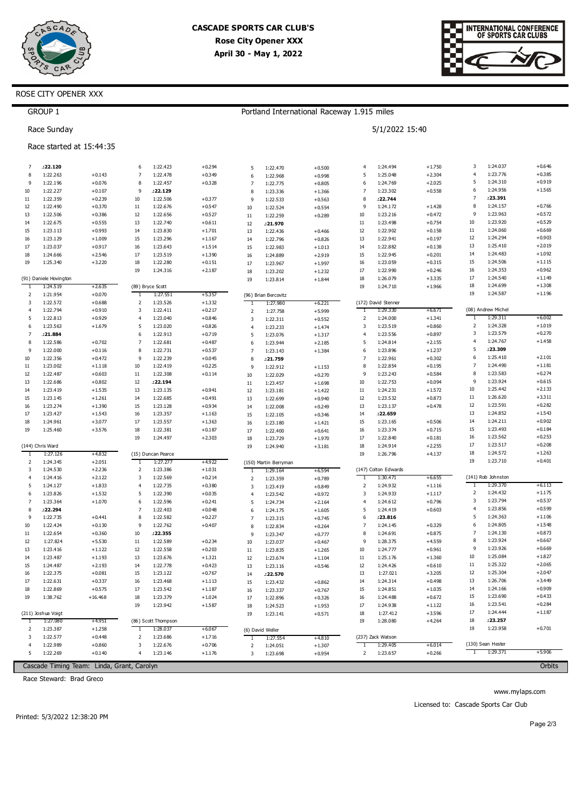



## ROSE CITY OPENER XXX

|                     | <b>GROUP 1</b>         |                                            |                |                      |          |                |                       | Portland International Raceway 1.915 miles |                         |                      |                      |                     |                      |                      |
|---------------------|------------------------|--------------------------------------------|----------------|----------------------|----------|----------------|-----------------------|--------------------------------------------|-------------------------|----------------------|----------------------|---------------------|----------------------|----------------------|
|                     | Race Sunday            |                                            |                |                      |          |                |                       |                                            |                         | 5/1/2022 15:40       |                      |                     |                      |                      |
|                     |                        | Race started at 15:44:35                   |                |                      |          |                |                       |                                            |                         |                      |                      |                     |                      |                      |
| 7                   | :22.120                |                                            | 6              | 1:22.423             | $+0.294$ | 5              | 1:22.470              | $+0.500$                                   | $\overline{4}$          | 1:24.494             | $+1.750$             | 3                   | 1:24.037             | $+0.646$             |
| 8                   | 1:22.263               | $+0.143$                                   | $\overline{7}$ | 1:22.478             | $+0.349$ | 6              | 1:22.968              | $+0.998$                                   | 5                       | 1:25.048             | $+2.304$             | $\overline{4}$      | 1:23.776             | $+0.385$             |
| 9                   | 1:22.196               | $+0.076$                                   | 8              | 1:22.457             | $+0.328$ | $\overline{7}$ | 1:22.775              | $+0.805$                                   | 6                       | 1:24.769             | $+2.025$             | 5                   | 1:24.310             | $+0.919$             |
| 10                  | 1:22.227               | $+0.107$                                   | 9              | :22.129              |          | 8              | 1:23.336              | $+1.366$                                   | 7                       | 1:23.302             | $+0.558$             | 6                   | 1:24.956             | $+1.565$             |
| 11                  | 1:22.359               | $+0.239$                                   | 10             | 1:22.506             | $+0.377$ | 9              | 1:22.533              | $+0.563$                                   | 8                       | :22.744              |                      | 7                   | :23.391              |                      |
| 12                  | 1:22.490               | $+0.370$                                   | $11\,$         | 1:22.676             | $+0.547$ | 10             | 1:22.524              | $+0.554$                                   | 9                       | 1:24.172             | $+1.428$             | 8                   | 1:24.157             | $+0.766$             |
| 13                  | 1:22.506               | $+0.386$                                   | 12             | 1:22.656             | $+0.527$ | $11\,$         | 1:22.259              | $+0.289$                                   | 10                      | 1:23.216             | $+0.472$             | 9                   | 1:23.963             | $+0.572$             |
| 14                  | 1:22.675               | $+0.555$                                   | 13             | 1:22.740             | $+0.611$ | 12             | :21.970               |                                            | 11                      | 1:23.498             | $+0.754$             | 10                  | 1:23.920             | $+0.529$             |
| 15                  | 1:23.113               | $+0.993$                                   | 14             | 1:23.830             | $+1.701$ | 13             | 1:22.436              | $+0.466$                                   | 12                      | 1:22.902             | $+0.158$             | 11                  | 1:24.060             | $+0.669$             |
| 16                  | 1:23.129               | $+1.009$                                   | 15             | 1:23.296             | $+1.167$ | 14             | 1:22.796              | $+0.826$                                   | 13                      | 1:22.941             | $+0.197$             | 12                  | 1:24.294             | $+0.903$             |
| 17                  | 1:23.037               | $+0.917$                                   | 16             | 1:23.643             | $+1.514$ | 15             | 1:22.983              | $+1.013$                                   | 14                      | 1:22.882             | $+0.138$             | 13                  | 1:25.410             | $+2.019$             |
| 18                  | 1:24.666               | $+2.546$                                   | 17             | 1:23.519             | $+1.390$ | 16             | 1:24.889              | $+2.919$                                   | 15                      | 1:22.945             | $+0.201$             | 14                  | 1:24.483             | $+1.092$             |
| 19                  | 1:25.340               | $+3.220$                                   | 18             | 1:22.280             | $+0.151$ | 17             | 1:23.967              | $+1.997$                                   | 16                      | 1:23.059             | $+0.315$             | 15                  | 1:24.506             | $+1.115$             |
|                     |                        |                                            | 19             | 1:24.316             | $+2.187$ | 18             | 1:23.202              | $+1.232$                                   | 17                      | 1:22.990             | $+0.246$             | 16                  | 1:24.353             | $+0.962$             |
|                     | (91) Daniele Hovington |                                            |                |                      |          | 19             | 1:23.814              | $+1.844$                                   | 18                      | 1:26.079             | $+3.335$             | 17                  | 1:24.540             | $+1.149$             |
| 1                   | 1:24.519               | $+2.635$                                   |                | (89) Bryce Scott     |          |                |                       |                                            | 19                      | 1:24.710             | $+1.966$             | 18                  | 1:24.699             | $+1.308$             |
| 2                   | 1:21.954               | $+0.070$                                   | T              | 1:27.551             | $+5.357$ |                | (96) Brian Bercovitz  |                                            |                         |                      |                      | 19                  | 1:24.587             | $+1.196$             |
| 3                   | 1:22.572               | $+0.688$                                   | 2              | 1:23.526             | $+1.332$ | Τ              | 1:27.980              | $+6.221$                                   |                         | (172) David Stenner  |                      |                     |                      |                      |
| $\overline{4}$      | 1:22.794               | $+0.910$                                   | 3              | 1:22.411             | $+0.217$ | $\overline{2}$ | 1:27.758              | $+5.999$                                   | 1                       | 1:29.330             | $+6.671$             |                     | (08) Andrew Michel   |                      |
| 5                   | 1:22.813               | $+0.929$                                   | 4              | 1:23.040             | $+0.846$ | 3              | 1:22.311              | $+0.552$                                   | 2                       | 1:24.000             | $+1.341$             | Τ                   | 1:29.311             | $+6.002$             |
| 6                   | 1:23.563               | $+1.679$                                   | 5              | 1:23.020             | $+0.826$ | $\overline{4}$ | 1:23.233              | $+1.474$                                   | 3                       | 1:23.519             | $+0.860$             | 2                   | 1:24.328             | $+1.019$             |
| $\overline{7}$      | .21.884                |                                            | 6              | 1:22.913             | $+0.719$ | 5              | 1:23.076              | $+1.317$                                   | $\overline{4}$          | 1:23.556             | $+0.897$             | 3                   | 1:23.579             | $+0.270$             |
| 8                   | 1:22.586               | $+0.702$                                   | $\overline{7}$ | 1:22.681             | $+0.487$ | 6              | 1:23.944              | $+2.185$                                   | 5                       | 1:24.814             | $+2.155$             | $\overline{4}$      | 1:24.767             | $+1.458$             |
| 9                   | 1:22.000               | $+0.116$                                   | 8              | 1:22.731             | $+0.537$ | $\overline{7}$ | 1:23.143              | $+1.384$                                   | 6                       | 1:23.896             | $+1.237$             | 5                   | :23.309              |                      |
| 10                  | 1:22.356               | $+0.472$                                   | 9              | 1:22.239             | $+0.045$ | 8              | :21.759               |                                            | $\overline{7}$          | 1:22.961             | $+0.302$             | 6                   | 1:25.410             | $+2.101$             |
| 11                  | 1:23.002               | $+1.118$                                   | 10             | 1:22.419             | $+0.225$ | 9              | 1:22.912              | $+1.153$                                   | 8                       | 1:22.854             | $+0.195$             | 7                   | 1:24.490             | $+1.181$             |
| 12                  | 1:22.487               | $+0.603$                                   | $11\,$         | 1:22.308             | $+0.114$ | 10             | 1:22.029              | $+0.270$                                   | 9                       | 1:23.243             | $+0.584$             | 8                   | 1:23.583             | $+0.274$             |
| 13                  | 1:22.686               | $+0.802$                                   | 12             | :22.194              |          | $11\,$         | 1:23.457              | $+1.698$                                   | $10\,$                  | 1:22.753             | $+0.094$             | 9                   | 1:23.924             | $+0.615$             |
| 14                  | 1:23.419               | $+1.535$                                   | 13             | 1:23.135             | $+0.941$ | 12             | 1:23.181              | $+1.422$                                   | $11\,$                  | 1:24.231             | $+1.572$             | 10                  | 1:25.442             | $+2.133$             |
| 15                  | 1:23.145               | $+1.261$                                   | 14             | 1:22.685             | $+0.491$ | 13             | 1:22.699              | $+0.940$                                   | 12                      | 1:23.532             | $+0.873$             | 11                  | 1:26.620             | $+3.311$             |
| 16                  | 1:23.274               | $+1.390$                                   | 15             | 1:23.128             | $+0.934$ | 14             | 1:22.008              | $+0.249$                                   | 13                      | 1:23.137             | $+0.478$             | 12                  | 1:23.591             | $+0.282$             |
| 17                  | 1:23.427               | $+1.543$                                   | 16             | 1:23.357             | $+1.163$ | 15             | 1:22.105              | $+0.346$                                   | 14                      | :22.659              |                      | 13                  | 1:24.852             | $+1.543$             |
| 18                  | 1:24.961               | $+3.077$                                   | 17             | 1:23.557             | $+1.363$ | 16             | 1:23.180              | $+1.421$                                   | 15                      | 1:23.165             | $+0.506$             | 14                  | 1:24.211             | $+0.902$             |
| 19                  | 1:25.460               | $+3.576$                                   | 18             | 1:22.381             | $+0.187$ | 17             | 1:22.400              | $+0.641$                                   | 16                      | 1:23.374             | $+0.715$             | 15                  | 1:23.493             | $+0.184$             |
|                     |                        |                                            | 19             | 1:24.497             | $+2.303$ | 18             | 1:23.729              | $+1.970$                                   | 17                      | 1:22.840             | $+0.181$             | 16                  | 1:23.562             | $+0.253$             |
|                     | (144) Chris Ward       |                                            |                |                      |          | 19             | 1:24.940              | $+3.181$                                   | 18                      | 1:24.914             | $+2.255$             | 17                  | 1:23.517             | $+0.208$             |
| -1                  | 1:27.126               | +4.832                                     |                | (15) Duncan Pearce   |          |                |                       |                                            | 19                      | 1:26.796             | $+4.137$             | 18                  | 1:24.572             | $+1.263$             |
| 2                   | 1:24.345               | $+2.051$                                   | -1             | 1:27.277             | +4.922   |                | (150) Martin Berryman |                                            |                         |                      |                      | 19                  | 1:23.710             | $+0.401$             |
| 3                   | 1:24.530               | $+2.236$                                   | $\overline{2}$ | 1:23.386             | $+1.031$ | $\overline{1}$ | 1:29.164              | $+6.594$                                   |                         | (147) Colton Edwards |                      |                     |                      |                      |
| $\overline{4}$      | 1:24.416               | $+2.122$                                   | 3              | 1:22.569             | $+0.214$ | $\overline{2}$ | 1:23.359              | $+0.789$                                   | T                       | 1:30.471             | $+6.655$             |                     | (141) Rob Johnston   |                      |
| 5                   | 1:24.127               | $+1.833$                                   | 4              | 1:22.735             | $+0.380$ | 3              | 1:23.419              | $+0.849$                                   | $\overline{\mathbf{c}}$ | 1:24.932             | $+1.116$             | 1                   | 1:29.370             | $+6.113$             |
| 6                   | 1:23.826               | $+1.532$                                   | 5              | 1:22.390             | $+0.035$ | $\overline{4}$ | 1:23.542              | $+0.972$                                   | 3                       | 1:24.933             | $+1.117$             | 2                   | 1:24.432             | $+1.175$             |
| $\overline{7}$      | 1:23.364               | $+1.070$                                   | 6              | 1:22.596             | $+0.241$ | 5              | 1:24.734              | $+2.164$                                   | 4                       | 1:24.612             | $+0.796$             | 3<br>$\overline{4}$ | 1:23.794             | $+0.537$             |
| 8                   | :22.294                |                                            | $\overline{7}$ | 1:22.403             | $+0.048$ | 6              | 1:24.175              | $+1.605$                                   | 5                       | 1:24.419             | $+0.603$             | 5                   | 1:23.856<br>1:24.363 | $+0.599$<br>$+1.106$ |
| 9                   | 1:22.735               | $+0.441$                                   | 8              | 1:22.582             | $+0.227$ | $\overline{7}$ | 1:23.315              | $+0.745$                                   | 6                       | : 23.816             |                      | 6                   | 1:24.805             | $+1.548$             |
| 10                  | 1:22.424               | $+0.130$                                   | 9              | 1:22.762<br>:22.355  | $+0.407$ | 8              | 1:22.834              | $+0.264$                                   | $\overline{7}$          | 1:24.145             | $+0.329$             | 7                   | 1:24.130             | $+0.873$             |
| $11\,$              | 1:22.654               | $+0.360$                                   | 10             |                      |          |                | 1:23.347              | $+0.777$                                   | 8                       | 1:24.691             | $+0.875$             | 8                   | 1:23.924             | $+0.667$             |
| 12                  | 1:27.824               | $+5.530$                                   | 11             | 1:22.589             | $+0.234$ | 10             | 1:23.037              | $+0.467$                                   | 9                       | 1:28.375             | $+4.559$             | 9                   | 1:23.926             | $+0.669$             |
| 13                  | 1:23.416               | $+1.122$                                   | 12             | 1:22.558             | $+0.203$ | $11\,$         | 1:23.835              | $+1.265$                                   | 10                      | 1:24.777             | $+0.961$             | 10                  | 1:25.084             | $+1.827$             |
| 14                  | 1:23.487               | $+1.193$                                   | 13             | 1:23.676             | $+1.321$ | 12             | 1:23.674              | $+1.104$                                   | $11\,$                  | 1:25.176             | $+1.360$             | $11\,$              | 1:25.322             | $+2.065$             |
| 15                  | 1:24.487               | $+2.193$                                   | 14             | 1:22.778             | $+0.423$ | 13             | 1:23.116              | $+0.546$                                   | $12\,$                  | 1:24.426             | $+0.610$             |                     | 1:25.304             | $+2.047$             |
| 16                  | 1:22.375               | $+0.081$                                   | 15             | 1:23.122             | $+0.767$ | 14             | :22.570               |                                            | 13                      | 1:27.021             | $+3.205$             | 12                  |                      |                      |
| 17                  | 1:22.631               | $+0.337$                                   | 16             | 1:23.468             | $+1.113$ | 15             | 1:23.432              | $+0.862$                                   | 14                      | 1:24.314             | $+0.498$             | 13                  | 1:26.706             | $+3.449$<br>$+0.909$ |
| 18                  | 1:22.869               | $+0.575$                                   | 17             | 1:23.542             | $+1.187$ | 16             | 1:23.337              | $+0.767$                                   | 15                      | 1:24.851             | $+1.035$             | 14                  | 1:24.166             |                      |
| 19                  | 1:38.762               | $+16.468$                                  | 18             | 1:23.379             | $+1.024$ | 17             | 1:22.896              | $+0.326$                                   | 16                      | 1:24.488             | $+0.672$             | 15                  | 1:23.690             | $+0.433$             |
|                     |                        |                                            | 19             | 1:23.942             | $+1.587$ | 18             | 1:24.523              | $+1.953$                                   | $17\,$                  | 1:24.938             | $+1.122$             | 16                  | 1:23.541             | $+0.284$             |
|                     | (211) Joshua Voigt     |                                            |                |                      |          | 19             | 1:23.141              | $+0.571$                                   | 18                      | 1:27.412             | $+3.596$             | 17<br>18            | 1:24.444<br>:23.257  | $+1.187$             |
| -1                  | 1:27.080               | +4.951                                     |                | (86) Scott Thompson  |          |                |                       |                                            | 19                      | 1:28.080             | $+4.264$             | 19                  | 1:23.958             | $+0.701$             |
| 2                   | 1:23.387               | $+1.258$                                   | $\mathbf{1}$   | 1:28.037             | $+6.067$ |                | (6) David Weller      |                                            |                         |                      |                      |                     |                      |                      |
| 3                   | 1:22.577               | $+0.448$                                   | 2              | 1:23.686             | $+1.716$ | $\mathbf{1}$   | 1:27.554              | $+4.810$                                   |                         | (237) Zack Watson    |                      |                     | (130) Sean Hester    |                      |
| $\overline{4}$<br>5 | 1:22.989<br>1:22.269   | $+0.860$                                   | 3<br>4         | 1:22.676<br>1:23.146 | $+0.706$ | 2              | 1:24.051              | $+1.307$                                   | 1                       | 1:29.405<br>1:23.657 | $+6.014$<br>$+0.266$ | $\mathbf{1}$        | 1:29.371             | $+5.906$             |
|                     |                        | $+0.140$                                   |                |                      | $+1.176$ | 3              | 1:23.698              | $+0.954$                                   | 2                       |                      |                      |                     |                      |                      |
|                     |                        | Cascade Timing Team: Linda, Grant, Carolyn |                |                      |          |                |                       |                                            |                         |                      |                      |                     |                      | Orbits               |

Race Steward: Brad Greco

www.mylaps.com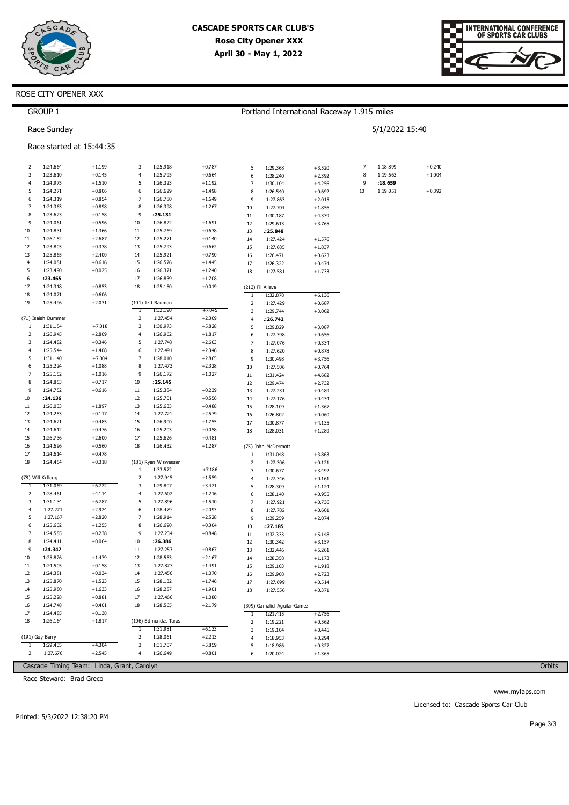



## ROSE CITY OPENER XXX

|                   | <b>GROUP 1</b>       |                          |                |                      |                      |                |                              | Portland International Raceway 1.915 miles |    |                |          |
|-------------------|----------------------|--------------------------|----------------|----------------------|----------------------|----------------|------------------------------|--------------------------------------------|----|----------------|----------|
|                   | Race Sunday          |                          |                |                      |                      |                |                              |                                            |    | 5/1/2022 15:40 |          |
|                   |                      | Race started at 15:44:35 |                |                      |                      |                |                              |                                            |    |                |          |
| 2                 | 1:24.664             | $+1.199$                 | 3              | 1:25.918             | $+0.787$             | 5              | 1:29.368                     | $+3.520$                                   | 7  | 1:18.899       | $+0.240$ |
| 3                 | 1:23.610             | $+0.145$                 | 4              | 1:25.795             | $+0.664$             | 6              | 1:28.240                     | $+2.392$                                   | 8  | 1:19.663       | $+1.004$ |
| 4                 | 1:24.975             | $+1.510$                 | 5              | 1:26.323             | $+1.192$             | 7              | 1:30.104                     | $+4.256$                                   | 9  | :18.659        |          |
| 5                 | 1:24.271             | $+0.806$                 | 6              | 1:26.629             | $+1.498$             | 8              | 1:26.540                     | $+0.692$                                   | 10 | 1:19.051       | $+0.392$ |
| 6                 | 1:24.319             | $+0.854$                 | $\overline{7}$ | 1:26.780             | $+1.649$             | 9              | 1:27.863                     | $+2.015$                                   |    |                |          |
| $\overline{7}$    | 1:24.363             | $+0.898$                 | 8              | 1:26.398             | $+1.267$             | 10             | 1:27.704                     | $+1.856$                                   |    |                |          |
| 8<br>9            | 1:23.623<br>1:24.061 | $+0.158$<br>$+0.596$     | 9<br>10        | : 25.131<br>1:26.822 | $+1.691$             | $11\,$         | 1:30.187                     | $+4.339$                                   |    |                |          |
| 10                | 1:24.831             | $+1.366$                 | 11             | 1:25.769             | $+0.638$             | 12<br>13       | 1:29.613<br>:25.848          | $+3.765$                                   |    |                |          |
| $11\,$            | 1:26.152             | $+2.687$                 | 12             | 1:25.271             | $+0.140$             | 14             | 1:27.424                     | $+1.576$                                   |    |                |          |
| 12                | 1:23.803             | $+0.338$                 | 13             | 1:25.793             | $+0.662$             | 15             | 1:27.685                     | $+1.837$                                   |    |                |          |
| 13                | 1:25.865             | $+2.400$                 | 14             | 1:25.921             | $+0.790$             | 16             | 1:26.471                     | $+0.623$                                   |    |                |          |
| 14                | 1:24.081             | $+0.616$                 | 15             | 1:26.576             | $+1.445$             | 17             | 1:26.322                     | $+0.474$                                   |    |                |          |
| 15                | 1:23.490             | $+0.025$                 | 16             | 1:26.371             | $+1.240$             | 18             | 1:27.581                     | $+1.733$                                   |    |                |          |
| 16                | :23.465              |                          | 17             | 1:26.839             | $+1.708$             |                |                              |                                            |    |                |          |
| 17                | 1:24.318             | $+0.853$                 | 18             | 1:25.150             | $+0.019$             |                | (213) Fil Alleva             |                                            |    |                |          |
| 18                | 1:24.071             | $+0.606$                 |                |                      |                      | $\mathbf{1}$   | 1:32.878                     | $+6.136$                                   |    |                |          |
| 19                | 1:25.496             | $+2.031$                 |                | (101) Jeff Bauman    |                      | 2              | 1:27.429                     | $+0.687$                                   |    |                |          |
|                   |                      |                          | $\mathbf{1}$   | 1:32.190             | $+7.045$             | 3              | 1:29.744                     | $+3.002$                                   |    |                |          |
|                   | (71) Isaiah Dummer   |                          | 2              | 1:27.454<br>1:30.973 | $+2.309$             | 4              | :26.742                      |                                            |    |                |          |
| $\mathbf{1}$<br>2 | 1:31.154<br>1:26.945 | $+7.018$<br>$+2.809$     | 3<br>4         | 1:26.962             | $+5.828$<br>$+1.817$ | 5              | 1:29.829                     | $+3.087$                                   |    |                |          |
| 3                 | 1:24.482             | $+0.346$                 | 5              | 1:27.748             | $+2.603$             | 6<br>7         | 1:27.398                     | $+0.656$                                   |    |                |          |
| $\overline{4}$    | 1:25.544             | $+1.408$                 | 6              | 1:27.491             | $+2.346$             | 8              | 1:27.076<br>1:27.620         | $+0.334$<br>$+0.878$                       |    |                |          |
| 5                 | 1:31.140             | $+7.004$                 | 7              | 1:28.010             | $+2.865$             | 9              | 1:30.498                     | $+3.756$                                   |    |                |          |
| 6                 | 1:25.224             | $+1.088$                 | 8              | 1:27.473             | $+2.328$             | 10             | 1:27.506                     | $+0.764$                                   |    |                |          |
| 7                 | 1:25.152             | $+1.016$                 | 9              | 1:26.172             | $+1.027$             | $11\,$         | 1:31.424                     | $+4.682$                                   |    |                |          |
| 8                 | 1:24.853             | $+0.717$                 | 10             | : 25.145             |                      | 12             | 1:29.474                     | $+2.732$                                   |    |                |          |
| 9                 | 1:24.752             | $+0.616$                 | 11             | 1:25.384             | $+0.239$             | 13             | 1:27.231                     | $+0.489$                                   |    |                |          |
| 10                | : 24.136             |                          | 12             | 1:25.701             | $+0.556$             | 14             | 1:27.176                     | $+0.434$                                   |    |                |          |
| 11                | 1:26.033             | $+1.897$                 | 13             | 1:25.633             | $+0.488$             | 15             | 1:28.109                     | $+1.367$                                   |    |                |          |
| 12                | 1:24.253             | $+0.117$                 | 14             | 1:27.724             | $+2.579$             | 16             | 1:26.802                     | $+0.060$                                   |    |                |          |
| 13                | 1:24.621             | $+0.485$                 | 15             | 1:26.900             | $+1.755$             | 17             | 1:30.877                     | $+4.135$                                   |    |                |          |
| 14                | 1:24.612             | $+0.476$                 | 16             | 1:25.203             | $+0.058$             | 18             | 1:28.031                     | $+1.289$                                   |    |                |          |
| 15                | 1:26.736             | $+2.600$                 | 17             | 1:25.626             | $+0.481$             |                |                              |                                            |    |                |          |
| 16<br>17          | 1:24.696             | $+0.560$                 | 18             | 1:26.432             | $+1.287$             |                | (75) John McDermott          |                                            |    |                |          |
| 18                | 1:24.614<br>1:24.454 | $+0.478$<br>$+0.318$     |                | (181) Ryan Wiswesser |                      | 1              | 1:31.048                     | $+3.863$                                   |    |                |          |
|                   |                      |                          | $\mathbf{1}$   | 1:33.572             | $+7.186$             | 2<br>3         | 1:27.306<br>1:30.677         | $+0.121$<br>$+3.492$                       |    |                |          |
|                   | (78) Will Kellogg    |                          | 2              | 1:27.945             | $+1.559$             | 4              | 1:27.346                     | $+0.161$                                   |    |                |          |
| 1                 | 1:31.069             | $+6.722$                 | 3              | 1:29.807             | $+3.421$             | 5              | 1:28.309                     | $+1.124$                                   |    |                |          |
| 2                 | 1:28.461             | $+4.114$                 | 4              | 1:27.602             | $+1.216$             | 6              | 1:28.140                     | $+0.955$                                   |    |                |          |
| 3                 | 1:31.134             | $+6.787$                 | 5              | 1:27.896             | $+1.510$             | $\overline{7}$ | 1:27.921                     | $+0.736$                                   |    |                |          |
| 4                 | 1:27.271             | $+2.924$                 | 6              | 1:28.479             | $+2.093$             | 8              | 1:27.786                     | $+0.601$                                   |    |                |          |
| 5                 | 1:27.167             | $+2.820$                 | 7              | 1:28.914             | $+2.528$             | 9              | 1:29.259                     | $+2.074$                                   |    |                |          |
| 6                 | 1:25.602             | $+1.255$                 | 8              | 1:26.690             | $+0.304$             | 10             | :27.185                      |                                            |    |                |          |
| 7                 | 1:24.585             | $+0.238$                 | 9              | 1:27.234             | $+0.848$             | $11\,$         | 1:32.333                     | $+5.148$                                   |    |                |          |
| 8                 | 1:24.411             | $+0.064$                 | 10             | :26.386              |                      | 12             | 1:30.342                     | $+3.157$                                   |    |                |          |
| 9                 | :24.347              |                          | 11             | 1:27.253             | $+0.867$             | 13             | 1:32.446                     | $+5.261$                                   |    |                |          |
| 10                | 1:25.826             | $+1.479$                 | 12             | 1:28.553             | $+2.167$             | 14             | 1:28.358                     | $+1.173$                                   |    |                |          |
| $11\,$<br>12      | 1:24.505<br>1:24.381 | $+0.158$<br>$+0.034$     | 13<br>14       | 1:27.877<br>1:27.456 | $+1.491$<br>$+1.070$ | 15             | 1:29.103                     | $+1.918$                                   |    |                |          |
| 13                | 1:25.870             | $+1.523$                 | 15             | 1:28.132             | $+1.746$             | 16<br>$17\,$   | 1:29.908<br>1:27.699         | $+2.723$<br>$+0.514$                       |    |                |          |
| 14                | 1:25.980             | $+1.633$                 | 16             | 1:28.287             | $+1.901$             | 18             | 1:27.556                     | $+0.371$                                   |    |                |          |
| 15                | 1:25.228             | $+0.881$                 | 17             | 1:27.466             | $+1.080$             |                |                              |                                            |    |                |          |
| 16                | 1:24.748             | $+0.401$                 | 18             | 1:28.565             | $+2.179$             |                | (309) Gamaliel Aguilar-Gamez |                                            |    |                |          |
| 17                | 1:24.485             | $+0.138$                 |                |                      |                      | Τ              | 1:21.415                     | $+2.756$                                   |    |                |          |
| 18                | 1:26.164             | $+1.817$                 |                | (106) Edmundas Taras |                      | 2              | 1:19.221                     | $+0.562$                                   |    |                |          |
|                   |                      |                          | $\mathbf{1}$   | 1:31.981             | $+6.133$             | 3              | 1:19.104                     | $+0.445$                                   |    |                |          |
|                   | (191) Guy Berry      |                          | 2              | 1:28.061             | $+2.213$             | 4              | 1:18.953                     | $+0.294$                                   |    |                |          |
| 1                 | 1:29.435             | $+4.304$                 | 3              | 1:31.707             | $+5.859$             | 5              | 1:18.986                     | $+0.327$                                   |    |                |          |
| 2                 | 1:27.676             | $+2.545$                 | 4              | 1:26.649             | $+0.801$             | 6              | 1:20.024                     | $+1.365$                                   |    |                |          |

Cascade Timing Team: Linda, Grant, Carolyn

Race Steward: Brad Greco

Orbits

www.mylaps.com Licensed to: Cascade Sports Car Club

Printed: 5/3/2022 12:38:20 PM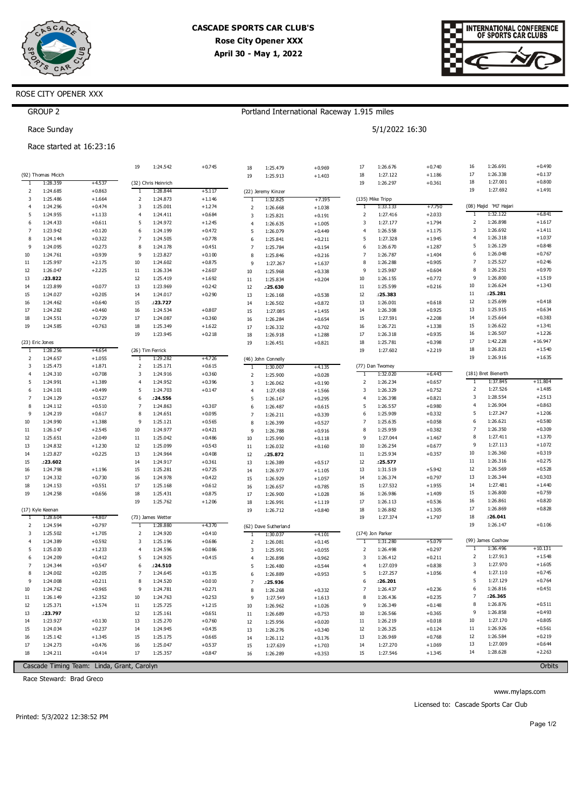



### ROSE CITY OPENER XXX

Race started at 16:23:16

GROUP 2 Race Sunday

### Portland International Raceway 1.915 miles

| 5/1/2022 16:30 |  |
|----------------|--|
|                |  |

|                |                          |                                            | 19               | 1:24.542             | $+0.745$             | 18                  | 1:25.479             | $+0.969$             | 17                  | 1:26.676             | $+0.740$             | 16             | 1:26.691                           | $+0.490$  |
|----------------|--------------------------|--------------------------------------------|------------------|----------------------|----------------------|---------------------|----------------------|----------------------|---------------------|----------------------|----------------------|----------------|------------------------------------|-----------|
|                | (92) Thomas Micich       |                                            |                  |                      |                      | 19                  | 1:25.913             | $+1.403$             | 18                  | 1:27.122             | $+1.186$             | 17             | 1:26.338                           | $+0.137$  |
| -1             | 1:28.359                 | $+4.537$                                   |                  | (32) Chris Heinrich  |                      |                     |                      |                      | 19                  | 1:26.297             | $+0.361$             | 18             | 1:27.001                           | $+0.800$  |
| 2              | 1:24.685                 | $+0.863$                                   | 1                | 1:28.844             | $+5.117$             |                     | (22) Jeremy Kinzer   |                      |                     |                      |                      | 19             | 1:27.692                           | $+1.491$  |
| 3              | 1:25.486                 | $+1.664$                                   | 2                | 1:24.873             | $+1.146$             | 1                   | 1:32.825             | +7.195               |                     | (135) Mike Tripp     |                      |                |                                    |           |
| 4              | 1:24.296                 | $+0.474$                                   | 3                | 1:25.001             | $+1.274$             | $\overline{2}$      | 1:26.668             | $+1.038$             | Τ                   | 1:33.133             | $+7.750$             | Τ              | (08) Majid 'MJ' Hajari<br>1:32.122 | $+6.841$  |
| 5              | 1:24.955                 | $+1.133$                                   | $\overline{4}$   | 1:24.411             | $+0.684$             | 3                   | 1:25.821             | $+0.191$             | $\overline{2}$      | 1:27.416             | $+2.033$             | 2              | 1:26.898                           | $+1.617$  |
| 6<br>7         | 1:24.433<br>1:23.942     | $+0.611$<br>$+0.120$                       | 5<br>6           | 1:24.972<br>1:24.199 | $+1.245$<br>$+0.472$ | $\overline{4}$      | 1:26.635             | $+1.005$             | 3<br>$\overline{4}$ | 1:27.177<br>1:26.558 | $+1.794$<br>$+1.175$ | 3              | 1:26.692                           | $+1.411$  |
| 8              | 1:24.144                 | $+0.322$                                   | 7                | 1:24.505             | $+0.778$             | 5                   | 1:26.079             | $+0.449$             | 5                   | 1:27.328             | $+1.945$             | $\overline{4}$ | 1:26.318                           | $+1.037$  |
| 9              | 1:24.095                 | $+0.273$                                   | 8                | 1:24.178             | $+0.451$             | 6<br>$\overline{7}$ | 1:25.841             | $+0.211$             | 6                   | 1:26.670             | $+1.287$             | 5              | 1:26.129                           | $+0.848$  |
| 10             | 1:24.761                 | $+0.939$                                   | 9                | 1:23.827             | $+0.100$             | 8                   | 1:25.784<br>1:25.846 | $+0.154$<br>$+0.216$ | $\overline{7}$      | 1:26.787             | $+1.404$             | 6              | 1:26.048                           | $+0.767$  |
| 11             | 1:25.997                 | $+2.175$                                   | $10\,$           | 1:24.602             | $+0.875$             | 9                   | 1:27.267             | $+1.637$             | 8                   | 1:26.288             | $+0.905$             | $\overline{7}$ | 1:25.527                           | $+0.246$  |
| 12             | 1:26.047                 | $+2.225$                                   | 11               | 1:26.334             | $+2.607$             | 10                  | 1:25.968             | $+0.338$             | 9                   | 1:25.987             | $+0.604$             | 8              | 1:26.251                           | $+0.970$  |
| 13             | :23.822                  |                                            | 12               | 1:25.419             | $+1.692$             | $11\,$              | 1:25.834             | $+0.204$             | 10                  | 1:26.155             | $+0.772$             | 9              | 1:26.800                           | $+1.519$  |
| 14             | 1:23.899                 | $+0.077$                                   | 13               | 1:23.969             | $+0.242$             | 12                  | :25.630              |                      | 11                  | 1:25.599             | $+0.216$             | 10             | 1:26.624                           | $+1.343$  |
| 15             | 1:24.027                 | $+0.205$                                   | 14               | 1:24.017             | $+0.290$             | 13                  | 1:26.168             | $+0.538$             | 12                  | :25.383              |                      | $11\,$         | :25.281                            |           |
| 16             | 1:24.462                 | $+0.640$                                   | 15               | :23.727              |                      | 14                  | 1:26.502             | $+0.872$             | 13                  | 1:26.001             | $+0.618$             | $12$           | 1:25.699                           | $+0.418$  |
| 17             | 1:24.282                 | $+0.460$                                   | 16               | 1:24.534             | $+0.807$             | 15                  | 1:27.085             | $+1.455$             | 14                  | 1:26.308             | $+0.925$             | 13             | 1:25.915                           | $+0.634$  |
| 18             | 1:24.551                 | $+0.729$                                   | 17               | 1:24.087             | $+0.360$             | 16                  | 1:26.284             | $+0.654$             | 15                  | 1:27.591             | $+2.208$             | 14             | 1:25.664                           | $+0.383$  |
| 19             | 1:24.585                 | $+0.763$                                   | 18               | 1:25.349             | $+1.622$             | 17                  | 1:26.332             | $+0.702$             | 16                  | 1:26.721             | $+1.338$             | 15             | 1:26.622                           | $+1.341$  |
|                |                          |                                            | 19               | 1:23.945             | $+0.218$             | 18                  | 1:26.918             | $+1.288$             | 17                  | 1:26.318             | $+0.935$             | 16             | 1:26.507                           | $+1.226$  |
|                | (23) Eric Jones          |                                            |                  |                      |                      | 19                  | 1:26.451             | $+0.821$             | 18                  | 1:25.781             | $+0.398$             | 17             | 1:42.228                           | $+16.947$ |
| 1              | 1:28.256                 | $+4.654$                                   |                  | (26) Tim Ferrick     |                      |                     |                      |                      | 19                  | 1:27.602             | $+2.219$             | 18             | 1:26.821                           | $+1.540$  |
| 2              | 1:24.657                 | $+1.055$                                   | 1                | 1:29.282             | $+4.726$             |                     | (46) John Connelly   |                      |                     |                      |                      | 19             | 1:26.916                           | $+1.635$  |
| 3              | 1:25.473                 | $+1.871$                                   | 2                | 1:25.171             | $+0.615$             | 1                   | 1:30.007             | $+4.135$             |                     | (77) Dan Twomey      |                      |                |                                    |           |
| 4              | 1:24.310                 | $+0.708$                                   | 3                | 1:24.916             | $+0.360$             | 2                   | 1:25.900             | $+0.028$             | 1                   | 1:32.020             | +6.443               |                | (181) Bret Bienerth                |           |
| 5              | 1:24.991                 | $+1.389$                                   | 4                | 1:24.952             | $+0.396$             | 3                   | 1:26.062             | $+0.190$             | $\overline{2}$      | 1:26.234             | $+0.657$             | $\mathbf{1}$   | 1:37.845                           | $+11.804$ |
| 6              | 1:24.101                 | $+0.499$                                   | 5                | 1:24.703             | $+0.147$             | $\overline{4}$      | 1:27.438             | $+1.566$             | 3                   | 1:26.329             | $+0.752$             | 2              | 1:27.526                           | $+1.485$  |
| $\overline{7}$ | 1:24.129                 | $+0.527$                                   | 6                | : 24.556             |                      | 5                   | 1:26.167             | $+0.295$             | $\overline{4}$      | 1:26.398             | $+0.821$             | 3              | 1:28.554                           | $+2.513$  |
| 8              | 1:24.112                 | $+0.510$                                   | $\overline{7}$   | 1:24.863             | $+0.307$             | 6                   | 1:26.487             | $+0.615$             | 5                   | 1:26.557             | $+0.980$             | $\overline{4}$ | 1:26.904                           | $+0.863$  |
| 9              | 1:24.219                 | $+0.617$                                   | 8                | 1:24.651             | $+0.095$             | $\overline{7}$      | 1:26.211             | $+0.339$             | 6                   | 1:25.909             | $+0.332$             | 5              | 1:27.247                           | $+1.206$  |
| 10             | 1:24.990                 | $+1.388$                                   | 9                | 1:25.121             | $+0.565$             | 8                   | 1:26.399             | $+0.527$             | $\overline{7}$      | 1:25.635             | $+0.058$             | 6              | 1:26.621                           | $+0.580$  |
| $11\,$         | 1:26.147                 | $+2.545$                                   | $10\,$           | 1:24.977             | $+0.421$             | 9                   | 1:26.788             | $+0.916$             | 8                   | 1:25.959             | $+0.382$             | $\overline{7}$ | 1:26.350                           | $+0.309$  |
| 12             | 1:25.651                 | $+2.049$                                   | 11               | 1:25.042             | $+0.486$             | $10\,$              | 1:25.990             | $+0.118$             | g                   | 1:27.044             | $+1.467$             | 8              | 1:27.411                           | $+1.370$  |
| 13             | 1:24.832                 | $+1.230$                                   | 12               | 1:25.099             | $+0.543$             | 11                  | 1:26.032             | $+0.160$             | 10                  | 1:26.254             | $+0.677$             | 9              | 1:27.113                           | $+1.072$  |
| 14             | 1:23.827                 | $+0.225$                                   | 13               | 1:24.964             | $+0.408$             | 12                  | :25.872              |                      | 11                  | 1:25.934             | $+0.357$             | $10\,$         | 1:26.360                           | $+0.319$  |
| 15             | :23.602                  |                                            | 14               | 1:24.917             | $+0.361$             | 13                  | 1:26.389             | $+0.517$             | 12                  | :25.577              |                      | 11             | 1:26.316                           | $+0.275$  |
| 16             | 1:24.798                 | $+1.196$                                   | 15               | 1:25.281             | $+0.725$             | 14                  | 1:26.977             | $+1.105$             | 13                  | 1:31.519             | $+5.942$             | 12             | 1:26.569                           | $+0.528$  |
| 17             | 1:24.332                 | $+0.730$                                   | 16               | 1:24.978             | $+0.422$             | 15                  | 1:26.929             | $+1.057$             | 14                  | 1:26.374             | $+0.797$             | 13             | 1:26.344                           | $+0.303$  |
| 18             | 1:24.153                 | $+0.551$                                   | 17               | 1:25.168             | $+0.612$             | 16                  | 1:26.657             | $+0.785$             | 15                  | 1:27.532             | $+1.955$             | 14             | 1:27.481                           | $+1.440$  |
| 19             | 1:24.258                 | $+0.656$                                   | 18               | 1:25.431             | $+0.875$             | 17                  | 1:26.900             | $+1.028$             | 16                  | 1:26.986             | $+1.409$             | 15             | 1:26.800                           | $+0.759$  |
|                |                          |                                            | 19               | 1:25.762             | $+1.206$             | 18                  | 1:26.991             | $+1.119$             | 17                  | 1:26.113             | $+0.536$             | 16             | 1:26.861                           | $+0.820$  |
|                | (17) Kyle Keenan         |                                            |                  |                      |                      | 19                  | 1:26.712             | $+0.840$             | 18                  | 1:26.882             | $+1.305$             | 17<br>18       | 1:26.869<br>: 26.041               | $+0.828$  |
| -1             | 1:28.604                 | $+4.807$                                   |                  | (73) James Wetter    |                      |                     |                      |                      | 19                  | 1:27.374             | $+1.797$             | 19             | 1:26.147                           | $+0.106$  |
| 2              | 1:24.594<br>1:25.502     | $+0.797$<br>$+1.705$                       | T<br>$\mathbf 2$ | 1:28.880             | $+4.370$             |                     | (62) Dave Sutherland |                      |                     | (174) Jon Parker     |                      |                |                                    |           |
| 3<br>4         | 1:24.389                 | $+0.592$                                   | 3                | 1:24.920<br>1:25.196 | $+0.410$<br>$+0.686$ | T                   | 1:30.037             | $+4.101$             | 1                   | 1:31.280             | $+5.079$             |                | (99) James Coshow                  |           |
| 5              | 1:25.030                 | $+1.233$                                   | $\overline{4}$   | 1:24.596             | $+0.086$             | 2<br>3              | 1:26.081             | $+0.145$             | $\overline{2}$      | 1:26.498             | $+0.297$             | T              | 1:36.496                           | $+10.131$ |
| 6              | 1:24.209                 | $+0.412$                                   | 5                | 1:24.925             | $+0.415$             | $\overline{4}$      | 1:25.991<br>1:26.898 | $+0.055$<br>$+0.962$ | 3                   | 1:26.412             | $+0.211$             | $\mathbf 2$    | 1:27.913                           | $+1.548$  |
| 7              | 1:24.344                 | $+0.547$                                   | 6                | .24.510              |                      | 5                   | 1:26.480             | $+0.544$             | $\overline{4}$      | 1:27.039             | $+0.838$             | 3              | 1:27.970                           | $+1.605$  |
| 8              | 1:24.002                 | $+0.205$                                   | $\overline{7}$   | 1:24.645             | $+0.135$             | 6                   | 1:26.889             | $+0.953$             | 5                   | 1:27.257             | $+1.056$             | 4              | 1:27.110                           | $+0.745$  |
| 9              | 1:24.008                 | $+0.211$                                   | 8                | 1:24.520             | $+0.010$             | $\overline{7}$      | :25.936              |                      | 6                   | :26.201              |                      | 5              | 1:27.129                           | $+0.764$  |
| 10             | 1:24.762                 | $+0.965$                                   | 9                | 1:24.781             | $+0.271$             | $\mathbf{8}$        | 1:26.268             | $+0.332$             | 7                   | 1:26.437             | $+0.236$             | 6              | 1:26.816                           | $+0.451$  |
| 11             | 1:26.149                 | $+2.352$                                   | 10               | 1:24.763             | $+0.253$             | 9                   | 1:27.549             | $+1.613$             | 8                   | 1:26.436             | $+0.235$             | $\overline{7}$ | :26.365                            |           |
| 12             | 1:25.371                 | $+1.574$                                   | $11\,$           | 1:25.725             | $+1.215$             | $10\,$              | 1:26.962             | $+1.026$             | 9                   | 1:26.349             | $+0.148$             | 8              | 1:26.876                           | $+0.511$  |
| 13             | :23.797                  |                                            | $12\,$           | 1:25.161             | $+0.651$             | $11\,$              | 1:26.689             | $+0.753$             | 10                  | 1:26.566             | $+0.365$             | 9              | 1:26.858                           | $+0.493$  |
| 14             | 1:23.927                 | $+0.130$                                   | 13               | 1:25.270             | $+0.760$             | 12                  | 1:25.956             | $+0.020$             | 11                  | 1:26.219             | $+0.018$             | 10             | 1:27.170                           | $+0.805$  |
| 15             | 1:24.034                 | $+0.237$                                   | 14               | 1:24.945             | $+0.435$             | 13                  | 1:26.276             | $+0.340$             | 12                  | 1:26.325             | $+0.124$             | $11\,$         | 1:26.926                           | $+0.561$  |
| 16             | 1:25.142                 | $+1.345$                                   | 15               | 1:25.175             | $+0.665$             | 14                  | 1:26.112             | $+0.176$             | 13                  | 1:26.969             | $+0.768$             | 12             | 1:26.584                           | $+0.219$  |
| 17             | 1:24.273                 | $+0.476$                                   | 16               | 1:25.047             | $+0.537$             | 15                  | 1:27.639             | $+1.703$             | 14                  | 1:27.270             | $+1.069$             | 13             | 1:27.009                           | $+0.644$  |
| 18             | 1:24.211                 | $+0.414$                                   | 17               | 1:25.357             | $+0.847$             | 16                  | 1:26.289             | $+0.353$             | 15                  | 1:27.546             | $+1.345$             | 14             | 1:28.628                           | $+2.263$  |
|                |                          |                                            |                  |                      |                      |                     |                      |                      |                     |                      |                      |                |                                    |           |
|                |                          | Cascade Timing Team: Linda, Grant, Carolyn |                  |                      |                      |                     |                      |                      |                     |                      |                      |                |                                    | Orbits    |
|                | Race Steward: Brad Greco |                                            |                  |                      |                      |                     |                      |                      |                     |                      |                      |                |                                    |           |
|                |                          |                                            |                  |                      |                      |                     |                      |                      |                     |                      |                      |                | www.mylaps.com                     |           |

Printed: 5/3/2022 12:38:52 PM

Page 1/2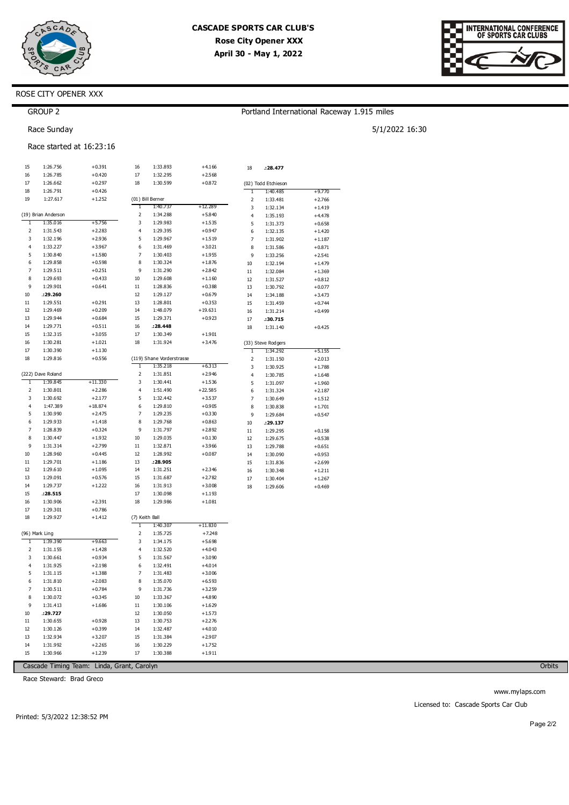

| ERNATIONAL CONFEREI<br>NCE<br>OF SPORTS CAR CLUBS |
|---------------------------------------------------|
|                                                   |

## ROSE CITY OPENER XXX

## Portland International Raceway 1.915 miles

5/1/2022 16:30

Race Sunday

GROUP<sub>2</sub>

### Race started at 16:23:16

| 15                      | 1:26.756            | $+0.391$  | 16                      | 1:33.893                  | $+4.166$  | 18             | :28.477             |          |
|-------------------------|---------------------|-----------|-------------------------|---------------------------|-----------|----------------|---------------------|----------|
| 16                      | 1:26.785            | $+0.420$  | 17                      | 1:32.295                  | $+2.568$  |                |                     |          |
| 17                      | 1:26.662            | $+0.297$  | 18                      | 1:30.599                  | $+0.872$  |                | (02) Todd Etchieson |          |
| 18                      | 1:26.791            | $+0.426$  |                         |                           |           | 1              | 1:40.485            | $+9.770$ |
| 19                      | 1:27.617            | $+1.252$  |                         | (01) Bill Berner          |           | 2              | 1:33.481            | $+2.766$ |
|                         |                     |           | 1                       | 1:40.737                  | +12.289   | 3              | 1:32.134            | $+1.419$ |
|                         | (19) Brian Anderson |           | $\overline{\mathbf{c}}$ | 1:34.288                  | $+5.840$  | 4              | 1:35.193            | $+4.478$ |
| 1                       | 1:35.016            | $+5.756$  | 3                       | 1:29.983                  | $+1.535$  | 5              | 1:31.373            | $+0.658$ |
| $\overline{\mathbf{c}}$ | 1:31.543            | $+2.283$  | 4                       | 1:29.395                  | $+0.947$  | 6              | 1:32.135            | $+1.420$ |
| 3                       | 1:32.196            | $+2.936$  | 5                       | 1:29.967                  | $+1.519$  | 7              | 1:31.902            | $+1.187$ |
| 4                       | 1:33.227            | $+3.967$  | 6                       | 1:31.469                  | $+3.021$  | 8              | 1:31.586            | $+0.871$ |
| 5                       | 1:30.840            | $+1.580$  | 7                       | 1:30.403                  | $+1.955$  | 9              | 1:33.256            | $+2.541$ |
| 6                       | 1:29.858            | $+0.598$  | 8                       | 1:30.324                  | $+1.876$  | 10             | 1:32.194            | $+1.479$ |
| 7                       | 1:29.511            | $+0.251$  | 9                       | 1:31.290                  | $+2.842$  | 11             | 1:32.084            | $+1.369$ |
| 8                       | 1:29.693            | $+0.433$  | 10                      | 1:29.608                  | $+1.160$  | 12             | 1:31.527            | $+0.812$ |
| 9                       | 1:29.901            | $+0.641$  | 11                      | 1:28.836                  | $+0.388$  | 13             | 1:30.792            | $+0.077$ |
| 10                      | :29.260             |           | 12                      | 1:29.127                  | $+0.679$  | 14             | 1:34.188            | $+3.473$ |
| 11                      | 1:29.551            | $+0.291$  | 13                      | 1:28.801                  | $+0.353$  | 15             | 1:31.459            | $+0.744$ |
| 12                      | 1:29.469            | $+0.209$  | 14                      | 1:48.079                  | $+19.631$ | 16             | 1:31.214            | $+0.499$ |
| 13                      | 1:29.944            | $+0.684$  | 15                      | 1:29.371                  | $+0.923$  | 17             | :30.715             |          |
| 14                      | 1:29.771            | $+0.511$  | 16                      | :28.448                   |           | 18             | 1:31.140            | $+0.425$ |
| 15                      | 1:32.315            | $+3.055$  | 17                      | 1:30.349                  | $+1.901$  |                |                     |          |
| 16                      | 1:30.281            | $+1.021$  | 18                      | 1:31.924                  | $+3.476$  |                | (33) Steve Rodgers  |          |
| 17                      | 1:30.390            | $+1.130$  |                         |                           |           | T              | 1:34.292            | $+5.155$ |
| 18                      | 1:29.816            | $+0.556$  |                         | (119) Shane Vorderstrasse |           | $\mathbf 2$    | 1:31.150            | $+2.013$ |
|                         |                     |           | T                       | 1:35.218                  | $+6.313$  | 3              | 1:30.925            | $+1.788$ |
|                         | (222) Dave Roland   |           | 2                       | 1:31.851                  | $+2.946$  | 4              | 1:30.785            | $+1.648$ |
| T                       | 1:39.845            | +11.330   | 3                       | 1:30.441                  | $+1.536$  | 5              | 1:31.097            | $+1.960$ |
| 2                       | 1:30.801            | $+2.286$  | $\overline{4}$          | 1:51.490                  | $+22.585$ | 6              | 1:31.324            | $+2.187$ |
| 3                       | 1:30.692            | $+2.177$  | 5                       | 1:32.442                  | $+3.537$  | $\overline{7}$ | 1:30.649            | $+1.512$ |
| 4                       | 1:47.389            | $+18.874$ | 6                       | 1:29.810                  | $+0.905$  | 8              | 1:30.838            | $+1.701$ |
| 5                       | 1:30.990            | $+2.475$  | 7                       | 1:29.235                  | $+0.330$  | 9              | 1:29.684            | $+0.547$ |
| 6                       | 1:29.933            | $+1.418$  | 8                       | 1:29.768                  | $+0.863$  | 10             | :29.137             |          |
| $\overline{7}$          | 1:28.839            | $+0.324$  | 9                       | 1:31.797                  | $+2.892$  | $11\,$         | 1:29.295            | $+0.158$ |
| 8                       | 1:30.447            | $+1.932$  | 10                      | 1:29.035                  | $+0.130$  | 12             | 1:29.675            | $+0.538$ |
| 9                       | 1:31.314            | $+2.799$  | 11                      | 1:32.871                  | $+3.966$  | 13             | 1:29.788            | $+0.651$ |
| 10                      | 1:28.960            | $+0.445$  | 12                      | 1:28.992                  | $+0.087$  | 14             | 1:30.090            | $+0.953$ |
| 11                      | 1:29.701            | $+1.186$  | 13                      | :28.905                   |           | 15             | 1:31.836            | $+2.699$ |
| 12                      | 1:29.610            | $+1.095$  | 14                      | 1:31.251                  | $+2.346$  | 16             | 1:30.348            | $+1.211$ |
| 13                      | 1:29.091            | $+0.576$  | 15                      | 1:31.687                  | $+2.782$  | 17             | 1:30.404            | $+1.267$ |
| 14                      | 1:29.737            | $+1.222$  | 16                      | 1:31.913                  | $+3.008$  | 18             | 1:29.606            | $+0.469$ |
| 15                      | .28.515             |           | 17                      | 1:30.098                  | $+1.193$  |                |                     |          |
| 16                      | 1:30.906            | $+2.391$  | 18                      | 1:29.986                  | $+1.081$  |                |                     |          |
| 17                      | 1:29.301            | $+0.786$  |                         |                           |           |                |                     |          |
| 18                      | 1:29.927            | $+1.412$  | (7) Keith Ball          |                           |           |                |                     |          |
|                         |                     |           | 1                       | 1:40.307                  | $+11.830$ |                |                     |          |
|                         | (96) Mark Ling      |           | $\overline{\mathbf{c}}$ | 1:35.725                  | $+7.248$  |                |                     |          |
| 1                       | 1:39.390            | $+9.663$  | 3                       | 1:34.175                  | $+5.698$  |                |                     |          |
| 2                       | 1:31.155            | $+1.428$  | 4                       | 1:32.520                  | $+4.043$  |                |                     |          |
| 3                       | 1:30.661            | $+0.934$  | 5                       | 1:31.567                  | $+3.090$  |                |                     |          |
| 4                       | 1:31.925            | $+2.198$  | 6                       | 1:32.491                  | $+4.014$  |                |                     |          |
| 5                       | 1:31.115            | $+1.388$  | $\overline{7}$          | 1:31.483                  | $+3.006$  |                |                     |          |
| 6                       | 1:31.810            | $+2.083$  | 8                       | 1:35.070                  | $+6.593$  |                |                     |          |
| 7                       | 1:30.511            | $+0.784$  | 9                       | 1:31.736                  | $+3.259$  |                |                     |          |
| 8                       | 1:30.072            | $+0.345$  | 10                      | 1:33.367                  | $+4.890$  |                |                     |          |
| 9                       | 1:31.413            | $+1.686$  | 11                      | 1:30.106                  | $+1.629$  |                |                     |          |
| 10                      | :29.727             |           | 12                      | 1:30.050                  | $+1.573$  |                |                     |          |
| 11                      | 1:30.655            | $+0.928$  | 13                      | 1:30.753                  | $+2.276$  |                |                     |          |
| 12                      | 1:30.126            | $+0.399$  | 14                      | 1:32.487                  | $+4.010$  |                |                     |          |
| 13                      | 1:32.934            | $+3.207$  | 15                      | 1:31.384                  | $+2.907$  |                |                     |          |
| 14                      | 1:31.992            | $+2.265$  | 16                      | 1:30.229                  | $+1.752$  |                |                     |          |
| 15                      | 1:30.966            | $+1.239$  | 17                      | 1:30.388                  | $+1.911$  |                |                     |          |
|                         |                     |           |                         |                           |           |                |                     |          |

Cascade Timing Team: Linda, Grant, Carolyn

Race Steward: Brad Greco

Orbits

www.mylaps.com Licensed to: Cascade Sports Car Club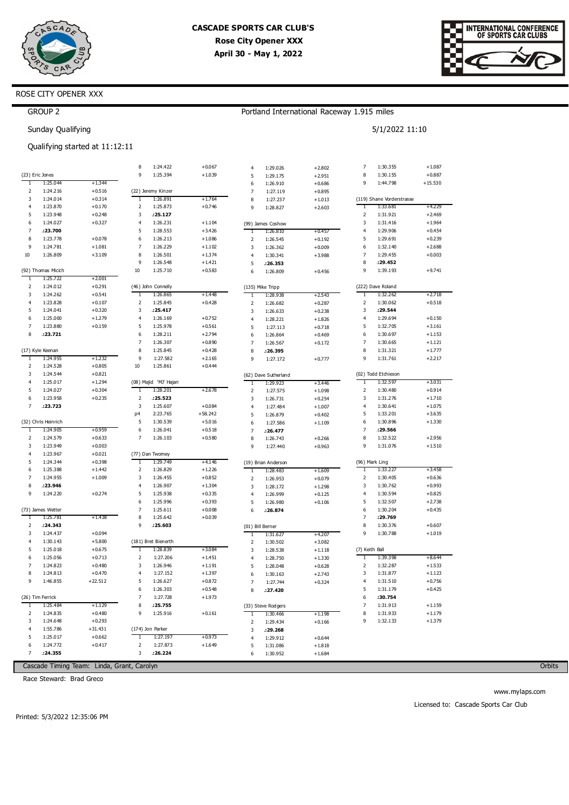

Portland International Raceway 1.915 miles

5/1/2022 11:10



### ROSE CITY OPENER XXX

| <b>GROUP</b> |  |
|--------------|--|
|--------------|--|

Sunday Qualifying

### Qualifying started at 11:12:11

|                | (23) Eric Jones     |           | 8<br>9                  | 1:24.422<br>1:25.394   | $+0.067$<br>$+1.039$ | 4              | 1:29.026             | $+2.802$             | 7<br>8         | 1:30.355<br>1:30.155      | $+1.087$<br>$+0.887$ |
|----------------|---------------------|-----------|-------------------------|------------------------|----------------------|----------------|----------------------|----------------------|----------------|---------------------------|----------------------|
| T              | 1:25.044            | $+1.344$  |                         |                        |                      | 5<br>6         | 1:29.175             | $+2.951$             | 9              | 1:44.798                  | $+15.530$            |
| $\overline{2}$ | 1:24.216            | $+0.516$  |                         | (22) Jeremy Kinzer     |                      | $\overline{7}$ | 1:26.910<br>1:27.119 | $+0.686$<br>$+0.895$ |                |                           |                      |
| 3              | 1:24.014            | $+0.314$  | $\mathbf{1}$            | 1:26.891               | $+1.764$             | 8              | 1:27.237             | $+1.013$             |                | (119) Shane Vorderstrasse |                      |
| $\overline{4}$ | 1:23.870            | $+0.170$  | $\overline{2}$          | 1:25.873               | $+0.746$             | 9              | 1:28.827             | $+2.603$             | T              | 1:33.681                  | +4.229               |
| 5              | 1:23.948            | $+0.248$  | 3                       | : 25.127               |                      |                |                      |                      | $\overline{2}$ | 1:31.921                  | $+2.469$             |
| 6              | 1:24.027            | $+0.327$  | $\overline{4}$          | 1:26.231               | $+1.104$             |                | (99) James Coshow    |                      | 3              | 1:31.416                  | $+1.964$             |
| 7              | :23.700             |           | 5                       | 1:28.553               | $+3.426$             | T              | 1:26.810             | $+0.457$             | 4              | 1:29.906                  | $+0.454$             |
| 8              | 1:23.778            | $+0.078$  | 6                       | 1:26.213               | $+1.086$             | $\overline{2}$ | 1:26.545             | $+0.192$             | 5              | 1:29.691                  | $+0.239$             |
| 9              | 1:24.781            | $+1.081$  | $\overline{7}$          | 1:26.229               | $+1.102$             | 3              | 1:26.362             | $+0.009$             | 6              | 1:32.140                  | $+2.688$             |
| 10             | 1:26.809            | $+3.109$  | 8                       | 1:26.501               | $+1.374$             | $\overline{4}$ | 1:30.341             | $+3.988$             | $\overline{7}$ | 1:29.455                  | $+0.003$             |
|                |                     |           | 9                       | 1:26.548               | $+1.421$             | 5              | .26.353              |                      | 8              | : 29.452                  |                      |
|                | (92) Thomas Micich  |           | $10\,$                  | 1:25.710               | $+0.583$             | 6              | 1:26.809             | $+0.456$             | 9              | 1:39.193                  | $+9.741$             |
| ٦              | 1:25.722            | $+2.001$  |                         |                        |                      |                |                      |                      |                |                           |                      |
| $\overline{2}$ | 1:24.012            | $+0.291$  |                         | (46) John Connelly     |                      |                | (135) Mike Tripp     |                      |                | (222) Dave Roland         |                      |
| 3              | 1:24.262            | $+0.541$  | 1                       | 1:26.865               | $+1.448$             | 1              | 1:28.938             | $+2.543$             | 1              | 1:32.262                  | $+2.718$             |
| $\overline{4}$ | 1:23.828            | $+0.107$  | $\overline{2}$          | 1:25.845               | $+0.428$             | $\mathsf 2$    | 1:26.682             | $+0.287$             | $\overline{2}$ | 1:30.062                  | $+0.518$             |
| 5              | 1:24.041            | $+0.320$  | $\overline{\mathbf{3}}$ | : 25.417               |                      | 3              | 1:26.633             | $+0.238$             | $\overline{3}$ | : 29.544                  |                      |
| 6              | 1:25.000            | $+1.279$  | $\overline{4}$          | 1:26.169               | $+0.752$             | 4              | 1:28.221             | $+1.826$             | 4              | 1:29.694                  | $+0.150$             |
| 7              | 1:23.880            | $+0.159$  | 5                       | 1:25.978               | $+0.561$             | 5              | 1:27.113             | $+0.718$             | 5              | 1:32.705                  | $+3.161$             |
| 8              | : 23.721            |           | 6                       | 1:28.211               | $+2.794$             | 6              | 1:26.864             | $+0.469$             | 6              | 1:30.697                  | $+1.153$             |
|                |                     |           | $\overline{7}$          | 1:26.307               | $+0.890$             | $\overline{7}$ | 1:26.567             | $+0.172$             | $\overline{7}$ | 1:30.665                  | $+1.121$             |
|                | (17) Kyle Keenan    |           | 8                       | 1:25.845               | $+0.428$             | 8              | : 26.395             |                      | 8              | 1:31.321                  | $+1.777$             |
| 1              | 1:24.955            | $+1.232$  | 9                       | 1:27.582               | $+2.165$             | 9              | 1:27.172             | $+0.777$             | 9              | 1:31.761                  | $+2.217$             |
| 2              | 1:24.528            | $+0.805$  | 10                      | 1:25.861               | $+0.444$             |                |                      |                      |                |                           |                      |
| 3              | 1:24.544            | $+0.821$  |                         |                        |                      |                | (62) Dave Sutherland |                      |                | (02) Todd Etchieson       |                      |
| $\overline{4}$ | 1:25.017            | $+1.294$  |                         | (08) Majid 'MJ' Hajari |                      | T              | 1:29.923             | $+3.446$             | T              | 1:32.597                  | $+3.031$             |
| 5              | 1:24.027            | $+0.304$  | $\overline{1}$          | 1:28.201               | $+2.678$             | $\mathbf 2$    | 1:27.575             | $+1.098$             | $\overline{2}$ | 1:30.480                  | $+0.914$             |
| 6              | 1:23.958            | $+0.235$  | $\overline{2}$          | : 25.523               |                      | 3              | 1:26.731             | $+0.254$             | 3              | 1:31.276                  | $+1.710$             |
| $\overline{7}$ | :23.723             |           | 3                       | 1:25.607               | $+0.084$             | 4              | 1:27.484             | $+1.007$             | 4              | 1:30.641                  | $+1.075$             |
|                |                     |           | p4                      | 2:23.765               | $+58.242$            | 5              | 1:26.879             | $+0.402$             | 5              | 1:33.201                  | $+3.635$             |
|                | (32) Chris Heinrich |           | 5                       | 1:30.539               | $+5.016$             | 6              | 1:27.586             | $+1.109$             | 6              | 1:30.896                  | $+1.330$             |
| T              | 1:24.905            | $+0.959$  | 6                       | 1:26.041               | $+0.518$             | $\overline{7}$ | : 26.477             |                      | 7              | :29.566                   |                      |
| $\overline{2}$ | 1:24.579            | $+0.633$  | $\overline{7}$          | 1:26.103               | $+0.580$             | 8              | 1:26.743             | $+0.266$             | 8              | 1:32.522                  | $+2.956$             |
| 3              | 1:23.949            | $+0.003$  |                         |                        |                      | 9              | 1:27.440             | $+0.963$             | 9              | 1:31.076                  | $+1.510$             |
| $\overline{4}$ | 1:23.967            | $+0.021$  |                         | (77) Dan Twomey        |                      |                |                      |                      |                |                           |                      |
| 5              | 1:24.344            | $+0.398$  | $\mathbf{1}$            | 1:29.749               | $+4.146$             |                | (19) Brian Anderson  |                      |                | (96) Mark Ling            |                      |
| 6              | 1:25.388            | $+1.442$  | 2                       | 1:26.829               | $+1.226$             | T              | 1:28.483             | $+1.609$             | 1              | 1:33.227                  | $+3.458$             |
| $\overline{7}$ | 1:24.955            | $+1.009$  | $\overline{\mathbf{3}}$ | 1:26.455               | $+0.852$             | $\overline{2}$ | 1:26.953             | $+0.079$             | 2              | 1:30.405                  | $+0.636$             |
| 8              | :23.946             |           | $\overline{4}$          | 1:26.907               | $+1.304$             | 3              | 1:28.172             | $+1.298$             | 3              | 1:30.762                  | $+0.993$             |
| q              | 1:24.220            | $+0.274$  | 5                       | 1:25.938               | $+0.335$             | $\overline{4}$ | 1:26.999             | $+0.125$             | 4              | 1:30.594                  | $+0.825$             |
|                |                     |           | 6                       | 1:25.996               | $+0.393$             | 5              | 1:26.980             | $+0.106$             | 5              | 1:32.507                  | $+2.738$             |
|                | (73) James Wetter   |           | $\overline{7}$          | 1:25.611               | $+0.008$             | 6              | .26.874              |                      | 6              | 1:30.204                  | $+0.435$             |
| T              | 1:25.781            | $+1.438$  | 8                       | 1:25.642               | $+0.039$             |                |                      |                      | $\overline{7}$ | :29.769                   |                      |
| $\overline{2}$ | .24.343             |           | 9                       | : 25.603               |                      |                | (01) Bill Berner     |                      | 8              | 1:30.376                  | $+0.607$             |
| 3              | 1:24.437            | $+0.094$  |                         |                        |                      | T              | 1:31.627             | $+4.207$             | 9              | 1:30.788                  | $+1.019$             |
| $\overline{4}$ | 1:30.143            | $+5.800$  |                         | (181) Bret Bienerth    |                      | $\overline{2}$ | 1:30.502             | $+3.082$             |                |                           |                      |
| 5              | 1:25.018            | $+0.675$  | 1                       | 1:28.839               | $+3.084$             | 3              | 1:28.538             | $+1.118$             | (7) Keith Ball |                           |                      |
| 6              | 1:25.056            | $+0.713$  | $\overline{2}$          | 1:27.206               | $+1.451$             | 4              | 1:28.750             | $+1.330$             | 1              | 1:39.398                  | $+8.644$             |
| $\overline{7}$ | 1:24.823            | $+0.480$  | $\overline{\mathbf{3}}$ | 1:26.946               | $+1.191$             | 5              | 1:28.048             | $+0.628$             | $\overline{2}$ | 1:32.287                  | $+1.533$             |
| 8              | 1:24.813            | $+0.470$  | $\overline{4}$          | 1:27.152               | $+1.397$             | 6              | 1:30.163             | $+2.743$             | 3              | 1:31.877                  | $+1.123$             |
| $\ddot{q}$     | 1:46.855            | $+22.512$ | 5                       | 1:26.627               | $+0.872$             | 7              | 1:27.744             | $+0.324$             | $\overline{4}$ | 1:31.510                  | $+0.756$             |
|                |                     |           | 6                       | 1:26.303               | $+0.548$             | 8              | :27.420              |                      | 5              | 1:31.179                  | $+0.425$             |
|                | (26) Tim Ferrick    |           | $\overline{7}$          | 1:27.728               | $+1.973$             |                |                      |                      | 6              | :30.754                   |                      |
| 1              | 1:25.484            | $+1.129$  | 8                       | .25.755                |                      |                | (33) Steve Rodgers   |                      | 7              | 1:31.913                  | $+1.159$             |
| 2              | 1:24.835            | $+0.480$  | 9                       | 1:25.916               | $+0.161$             | 1              | 1:30.466             | $+1.198$             | 8              | 1:31.933                  | $+1.179$             |
| 3              | 1:24.648            | $+0.293$  |                         |                        |                      | $\overline{2}$ | 1:29.434             | $+0.166$             | 9              | 1:32.133                  | $+1.379$             |
| $\overline{4}$ | 1:55.786            | $+31.431$ |                         | (174) Jon Parker       |                      | 3              | :29.268              |                      |                |                           |                      |
| 5              | 1:25.017            | $+0.662$  | T                       | 1:27.197               | $+0.973$             | $\overline{4}$ | 1:29.912             | $+0.644$             |                |                           |                      |
| 6              | 1:24.772            | $+0.417$  | $\mathbf 2$             | 1:27.873               | $+1.649$             | 5              | 1:31.086             | $+1.818$             |                |                           |                      |
| $\overline{7}$ | .24.355             |           | $\overline{3}$          | .26.224                |                      | 6              | 1:30.952             | $+1.684$             |                |                           |                      |

Cascade Timing Team: Linda, Grant, Carolyn

Race Steward: Brad Greco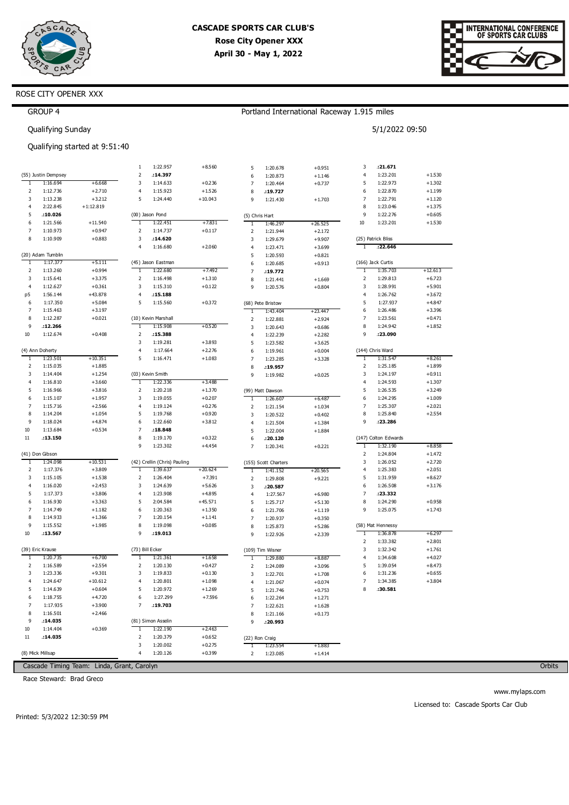



### ROSE CITY OPENER XXX

|              | <b>GROUP 4</b>      |                               |                 |                              |           |                   |                                  | Portland International Raceway 1.915 miles |              |                      |                      |
|--------------|---------------------|-------------------------------|-----------------|------------------------------|-----------|-------------------|----------------------------------|--------------------------------------------|--------------|----------------------|----------------------|
|              | Qualifying Sunday   |                               |                 |                              |           |                   |                                  |                                            |              | 5/1/2022 09:50       |                      |
|              |                     | Qualifying started at 9:51:40 |                 |                              |           |                   |                                  |                                            |              |                      |                      |
|              |                     |                               | $\mathbf{1}$    | 1:22.957                     | $+8.560$  | 5                 | 1:20.678                         | $+0.951$                                   | 3            | : 21.671             |                      |
|              | (55) Justin Dempsey |                               | 2               | :14.397                      |           | 6                 | 1:20.873                         | $+1.146$                                   | 4            | 1:23.201             | $+1.530$             |
| $\mathbf{1}$ | 1:16.694            | $+6.668$                      | 3               | 1:14.633                     | $+0.236$  | 7                 | 1:20.464                         | $+0.737$                                   | 5            | 1:22.973             | $+1.302$             |
| 2            | 1:12.736            | $+2.710$                      | 4               | 1:15.923                     | $+1.526$  | 8                 | :19.727                          |                                            | 6            | 1:22.870             | $+1.199$             |
| 3            | 1:13.238            | $+3.212$                      | 5               | 1:24.440                     | $+10.043$ | 9                 | 1:21.430                         | $+1.703$                                   | 7            | 1:22.791             | $+1.120$             |
| 4            | 2:22.845            | $+1:12.819$                   |                 |                              |           |                   |                                  |                                            | 8            | 1:23.046             | $+1.375$             |
| 5            | :10.026             |                               |                 | (00) Jason Pond              |           | (5) Chris Hart    |                                  |                                            | 9            | 1:22.276             | $+0.605$             |
| 6            | 1:21.566            | $+11.540$                     | 1               | 1:22.451                     | $+7.831$  | $\mathbf{1}$      | 1:46.297                         | $+26.525$                                  | 10           | 1:23.201             | $+1.530$             |
| 7            | 1:10.973            | $+0.947$                      | 2               | 1:14.737                     | $+0.117$  | $\mathsf 2$       | 1:21.944                         | $+2.172$                                   |              |                      |                      |
| 8            | 1:10.909            | $+0.883$                      | 3               | :14.620                      |           | 3                 | 1:29.679                         | $+9.907$                                   |              | (25) Patrick Bliss   |                      |
|              |                     |                               | 4               | 1:16.680                     | $+2.060$  | 4                 | 1:23.471                         | $+3.699$                                   | $\mathbf{1}$ | :22.646              |                      |
|              | (20) Adam Tumblin   |                               |                 |                              |           | 5                 | 1:20.593                         | $+0.821$                                   |              |                      |                      |
| 1            | 1:17.377            | $+5.111$                      |                 | (45) Jason Eastman           |           | 6                 | 1:20.685                         | $+0.913$                                   |              | (166) Jack Curtis    |                      |
| 2            | 1:13.260            | $+0.994$                      | 1               | 1:22.680                     | $+7.492$  | $\overline{7}$    | :19.772                          |                                            | 1            | 1:35.703             | $+12.613$            |
| 3            | 1:15.641            | $+3.375$                      | 2               | 1:16.498                     | $+1.310$  | 8                 | 1:21.441                         | $+1.669$                                   | 2            | 1:29.813             | $+6.723$             |
| 4            | 1:12.627            | $+0.361$                      | 3               | 1:15.310                     | $+0.122$  | 9                 | 1:20.576                         | $+0.804$                                   | 3            | 1:28.991             | $+5.901$             |
| p5           | 1:56.144            | $+43.878$                     | 4               | :15.188                      |           |                   |                                  |                                            | 4            | 1:26.762             | $+3.672$             |
| 6            | 1:17.350            | $+5.084$                      | 5               | 1:15.560                     | $+0.372$  |                   | (68) Pete Bristow                |                                            | 5            | 1:27.937             | $+4.847$             |
| 7            | 1:15.463            | $+3.197$                      |                 |                              |           | $\mathbf{1}$      | 1:43.404                         | $+23.447$                                  | 6            | 1:26.486             | $+3.396$             |
| 8            | 1:12.287            | $+0.021$                      |                 | (10) Kevin Marshall          |           | 2                 | 1:22.881                         | $+2.924$                                   | 7            | 1:23.561             | $+0.471$             |
| 9            | :12.266             |                               | 1               | 1:15.908                     | $+0.520$  | 3                 | 1:20.643                         | $+0.686$                                   | 8            | 1:24.942             | $+1.852$             |
| 10           | 1:12.674            | $+0.408$                      | 2               | :15.388                      |           | $\overline{4}$    | 1:22.239                         | $+2.282$                                   | 9            | :23.090              |                      |
|              |                     |                               | 3               | 1:19.281                     | $+3.893$  | 5                 | 1:23.582                         | $+3.625$                                   |              |                      |                      |
|              | (4) Ann Doherty     |                               | $\overline{4}$  | 1:17.664                     | $+2.276$  | 6                 | 1:19.961                         | $+0.004$                                   |              | (144) Chris Ward     |                      |
| $\mathbf{1}$ | 1:23.501            | $+10.351$                     | 5               | 1:16.471                     | $+1.083$  | 7                 | 1:23.285                         | $+3.328$                                   | $\mathbf{1}$ | 1:31.547             | $+8.261$             |
| 2            | 1:15.035            | $+1.885$                      |                 |                              |           | 8                 | :19.957                          |                                            | 2            | 1:25.185             | $+1.899$             |
| 3            | 1:14.404            | $+1.254$                      |                 | (03) Kevin Smith             |           | 9                 | 1:19.982                         | $+0.025$                                   | 3            | 1:24.197             | $+0.911$             |
| 4            | 1:16.810            | $+3.660$                      | 1               | 1:22.336                     | $+3.488$  |                   |                                  |                                            | 4            | 1:24.593             | $+1.307$             |
| 5            | 1:16.966            | $+3.816$                      | 2               | 1:20.218                     | $+1.370$  |                   | (99) Matt Dawson                 |                                            | 5            | 1:26.535             | $+3.249$             |
| 6            | 1:15.107            | $+1.957$                      | 3               | 1:19.055                     | $+0.207$  | T                 | 1:26.607                         | $+6.487$                                   | 6            | 1:24.295             | $+1.009$             |
| 7            | 1:15.716            | $+2.566$                      | 4               | 1:19.124                     | $+0.276$  | 2                 | 1:21.154                         | $+1.034$                                   | 7            | 1:25.307             | $+2.021$             |
| 8            | 1:14.204            | $+1.054$                      | 5               | 1:19.768                     | $+0.920$  | 3                 | 1:20.522                         | $+0.402$                                   | 8            | 1:25.840             | $+2.554$             |
| 9            | 1:18.024            | $+4.874$                      | 6               | 1:22.660                     | $+3.812$  | 4                 | 1:21.504                         | $+1.384$                                   | 9            | :23.286              |                      |
| 10           | 1:13.684            | $+0.534$                      | 7               | :18.848                      |           | 5                 | 1:22.004                         | $+1.884$                                   |              |                      |                      |
| 11           | :13.150             |                               | 8<br>9          | 1:19.170                     | $+0.322$  | 6                 | : 20.120                         |                                            |              | (147) Colton Edwards |                      |
|              | (41) Don Gibson     |                               |                 | 1:23.302                     | $+4.454$  | $\overline{7}$    | 1:20.341                         | $+0.221$                                   | 1<br>2       | 1:32.190             | $+8.858$             |
| 1            | 1:24.098            | $+10.531$                     |                 | (42) Crellin (Chris) Pauling |           |                   |                                  |                                            | 3            | 1:24.804<br>1:26.052 | $+1.472$<br>$+2.720$ |
| 2            | 1:17.376            | $+3.809$                      | 1               | 1:39.637                     | $+20.624$ |                   | (155) Scott Charters<br>1:41.152 | $+20.565$                                  | 4            | 1:25.383             | $+2.051$             |
| 3            | 1:15.105            | $+1.538$                      | 2               | 1:26.404                     | $+7.391$  | T<br>$\mathsf 2$  | 1:29.808                         | $+9.221$                                   | 5            | 1:31.959             | $+8.627$             |
| 4            | 1:16.020            | $+2.453$                      | 3               | 1:24.639                     | $+5.626$  | 3                 |                                  |                                            | 6            | 1:26.508             | $+3.176$             |
| 5            | 1:17.373            | $+3.806$                      | $\overline{4}$  | 1:23.908                     | $+4.895$  | $\overline{4}$    | : 20.587<br>1:27.567             | $+6.980$                                   | 7            | :23.332              |                      |
| 6            | 1:16.930            | $+3.363$                      | 5               | 2:04.584                     | $+45.571$ | 5                 | 1:25.717                         | $+5.130$                                   | 8            | 1:24.290             | $+0.958$             |
| 7            | 1:14.749            | $+1.182$                      | 6               | 1:20.363                     | $+1.350$  | 6                 | 1:21.706                         | $+1.119$                                   | 9            | 1:25.075             | $+1.743$             |
| 8            | 1:14.933            | $+1.366$                      | $\overline{7}$  | 1:20.154                     | $+1.141$  | $\overline{7}$    | 1:20.937                         | $+0.350$                                   |              |                      |                      |
| 9            | 1:15.552            | $+1.985$                      | 8               | 1:19.098                     | $+0.085$  | 8                 | 1:25.873                         | $+5.286$                                   |              | (58) Mat Hennessy    |                      |
| 10           | .13.567             |                               | 9               | :19.013                      |           | 9                 | 1:22.926                         | $+2.339$                                   |              | 1:36.878             | +6.297               |
|              |                     |                               |                 |                              |           |                   |                                  |                                            | 2            | 1:33.382             | $+2.801$             |
|              | (39) Eric Krause    |                               | (73) Bill Ecker |                              |           |                   | (109) Tim Wisner                 |                                            | 3            | 1:32.342             | $+1.761$             |
| T            | 1:20.735            | +6.700                        | 1               | 1:21.361                     | $+1.658$  |                   | 1:29.880                         | $+8.887$                                   | 4            | 1:34.608             | $+4.027$             |
| 2            | 1:16.589            | $+2.554$                      | 2               | 1:20.130                     | $+0.427$  | $\mathbf{1}$<br>2 | 1:24.089                         | $+3.096$                                   | 5            | 1:39.054             | $+8.473$             |
| 3            | 1:23.336            | $+9.301$                      | 3               | 1:19.833                     | $+0.130$  | 3                 | 1:22.701                         | $+1.708$                                   | 6            | 1:31.236             | $+0.655$             |
| 4            | 1:24.647            | $+10.612$                     | 4               | 1:20.801                     | $+1.098$  | 4                 | 1:21.067                         | $+0.074$                                   | 7            | 1:34.385             | $+3.804$             |
| 5            | 1:14.639            | $+0.604$                      | 5               | 1:20.972                     | $+1.269$  | 5                 |                                  |                                            | 8            | :30.581              |                      |
| 6            | 1:18.755            | $+4.720$                      | 6               | 1:27.299                     | $+7.596$  |                   | 1:21.746                         | $+0.753$                                   |              |                      |                      |
| 7            | 1:17.935            | $+3.900$                      | $\overline{7}$  | :19.703                      |           | 6<br>7            | 1:22.264                         | $+1.271$                                   |              |                      |                      |
| 8            | 1:16.501            | $+2.466$                      |                 |                              |           |                   | 1:22.621                         | $+1.628$                                   |              |                      |                      |
| 9            | :14.035             |                               |                 | (81) Simon Asselin           |           | 8                 | 1:21.166                         | $+0.173$                                   |              |                      |                      |
| 10           | 1:14.404            | $+0.369$                      | 1               | 1:22.190                     | $+2.463$  | 9                 | : 20.993                         |                                            |              |                      |                      |
| 11           | :14.035             |                               | 2               | 1:20.379                     | $+0.652$  |                   |                                  |                                            |              |                      |                      |
|              |                     |                               | 3               | 1:20.002                     | $+0.275$  |                   | (22) Ron Craig                   | $+1.883$                                   |              |                      |                      |
|              | (8) Mick Millsap    |                               | 4               | 1:20.126                     | $+0.399$  | $\mathbf{1}$<br>2 | 1:23.554<br>1:23.085             | $+1.414$                                   |              |                      |                      |
|              |                     |                               |                 |                              |           |                   |                                  |                                            |              |                      |                      |

Cascade Timing Team: Linda, Grant, Carolyn

Race Steward: Brad Greco

Orbits

Printed: 5/3/2022 12:30:59 PM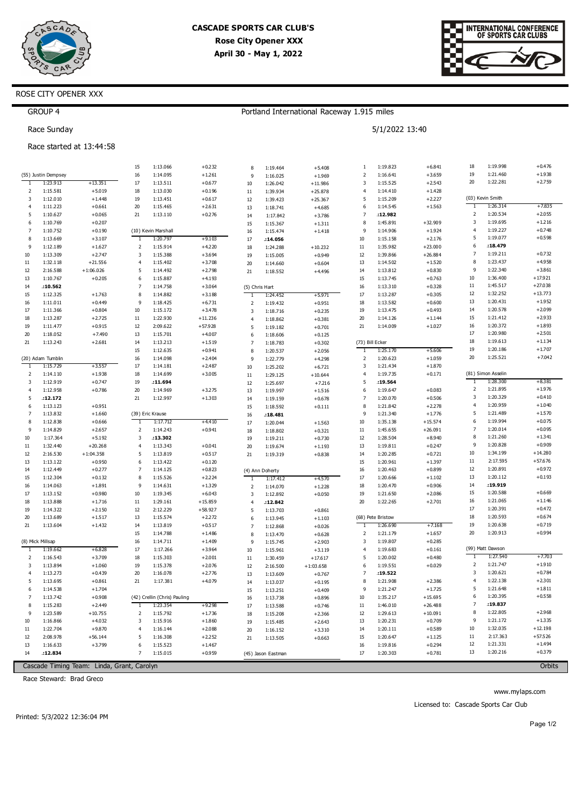



### ROSE CITY OPENER XXX

### **GROUP 4** Portland International Raceway 1.915 miles Race Sunday 5/1/2022 13:40 Race started at 13:44:58 18 1:19.998  $+0.476$ 1:13.066 1:19.823  $+6.841$ 15  $+0.232$ 8  $1.19464$  $+5408$  $\overline{1}$ 1:14.095  $+1.261$  $+3.659$  $19$ 1:21.460  $+1.938$ (55) Justin Dempsey 16  $\overline{2}$ 1:16.641  $\alpha$  $1.16025$  $+1969$ 1:23.913  $17$  $1:15.525$  $+2.543$  $20$ 1:22.281  $+2.759$  $+13.351$  $1:13.511$  $+0.677$  $\overline{\mathbf{3}}$  $10$ 1:26.042  $+11.986$  $\overline{2}$ 1:15.581  $+5.019$ 18 1:13.030  $+0.196$  $\overline{4}$  $1:14.410$  $+1.428$  $11$ 1:39.934  $+25.878$  $1:12.010$  $+1.448$  $19$  $1:13.451$  $+0.617$  $1:15.209$  $+2.227$ (03) Kevin Smith  $\overline{3}$  $+25.367$  $\overline{5}$  $12$ 1:39.423  $+7835$  $\overline{4}$  $1:11.223$  $+0.661$  $\overline{20}$  $1:15.465$  $+2.631$  $13$  $\epsilon$  $1:14.545$  $+1.563$  $1.26314$  $1.18741$  $+4685$  $\overline{5}$  $1:10.627$  $+0.065$  $\overline{21}$  $1:13.110$  $+0.276$  $:12.982$  $\overline{2}$  $1:20.534$  $+2.055$  $14$  $1:17.842$  $+3.786$  $\overline{3}$ 1:19.695  $+1.216$  $\overline{6}$ 1:10.769  $+0.207$  $\overline{8}$ 1:45.891  $+32.909$ 15 1:15.367  $+1.311$  $\overline{A}$  $1.10227$  $+0.748$ 1:10.752  $+0.190$  $\overline{g}$ 1:14.906  $+1.924$  $\overline{7}$ (10) Kevin Marshal 16 1:15.474  $+1.418$  $\overline{5}$ 1:19.077  $+0.598$ 8 1:13.669  $+3.107$ 1:20.79  $+9.103$  $10$  $1:15.158$  $+2.176$  $17$  $.14.056$  $\overline{9}$  $1:12.189$  $+1.627$  $\overline{2}$ 1:15.914  $+4.220$  $18$  $\overline{11}$ 1:35.982  $+23.000$  $\epsilon$  $:18.479$ 1:24.288  $+10.232$  $10$ 1:13.309  $+2.747$  $\overline{\mathbf{3}}$ 1:15.388  $+3.69$  $12$ 1:39.866  $+26.884$  $\overline{z}$  $1:19.211$  $+0.732$ 19  $1:15.005$  $+0.949$  $11$  $1:32.118$  $+21.556$  $1:15.402$  $+3.708$  $13$  $1:14.502$  $\overline{8}$  $1.23437$  $+4958$  $\overline{4}$  $20$ 1:14.660  $+0.604$  $+1.520$  $12$ 2:16.588  $+1:06.026$  $\overline{5}$ 1:14.492  $+2.798$  $14$  $1:13.812$  $+0.830$  $\overline{9}$ 1:22.340  $+3.861$  $21$  $1:18.552$  $+4.496$  $13$  $1:10.767$  $+0.205$  $\overline{6}$ 1:15.887  $+4.193$  $15$  $1:13.745$  $+0.763$  $10$ 1:36.400  $+17.921$  $14$  $:10.562$  $\overline{z}$  $1.14758$  $+3064$  $16$  $1.13310$  $+0.328$  $11$ 1:45.517  $+27.038$ (5) Chris Hart 15  $1.12.325$  $+1763$  $\overline{8}$ 1:14.882  $+2188$  $17$  $1.12.287$  $+0.305$  $12$  $1.32.252$  $+13773$ 1:24.452  $+5.971$ T  $13$  $1:11.011$  $+0.449$ 1:18.425  $+6.731$  $+0.951$ 18 1:13.582  $+0.600$  $1:20.431$  $+1952$ 16  $\overline{9}$  $\overline{2}$ 1:19.432  $17$ 1:11.366  $+0.804$  $10$  $1:15.172$  $+3.478$  $\overline{3}$  $1:18.716$  $+0.235$ 19  $1:13.475$  $+0.493$  $14$ 1:20.578  $+2.099$ 18 1:13.287  $+2.725$  $11$ 1:22.930  $+11.236$  $\overline{20}$  $1:14.126$  $+1.144$ 15 1:21.412  $+2.933$ 1:18.862  $+0.381$ 19  $1:11.477$  $+0.915$  $12$  $2:09.622$  $+57.928$  $+0.701$  $21$  $1:14.009$  $+1.027$ 16 1:20.372  $+1.893$  $\overline{5}$ 1:19.182  $17$  $+2.501$  $\overline{20}$  $1.18052$  $+7490$  $13$  $1.15, 701$  $+4007$ 1:20.980  $6\overline{6}$ 1:18.606  $+0.125$ 18 1:19.613  $+1.134$  $21$  $1:13.243$  $+2.681$  $14$  $1:13.213$  $+1.519$  $\overline{z}$  $1.18783$  $+0.302$ (73) Bill Ecker  $19$  $1:20.186$  $+1.707$  $15$  $1.12635$  $+0.941$  $\overline{R}$ 1:20.537  $+2056$  $1.25170$  $+5606$ Ŧ  $\overline{20}$  $1:25.521$  $+7.042$  $(20)$  Adam Tumblin 16  $1.14098$  $+2404$  $\overline{a}$  $1.22779$  $+4298$  $\overline{z}$  $1:20623$  $+1.059$  $17$  $+355$  $1.15729$  $1.14$  181  $+2487$  $10$  $1:25.202$  $+6.721$  $\overline{\mathbf{3}}$  $1.21434$  $+1870$ (81) Simon Asselin  $\overline{2}$  $1:14.110$  $+1.938$ 18 1:14.699  $+3.005$  $\overline{11}$ 1:29.125  $+10.644$  $\overline{4}$ 1:19.735  $+0.171$ 1:28.300  $+8.381$  $\overline{3}$ 1:12.919  $+0.747$ 19  $:11.694$  $12$ 1:25.697  $+7.216$ 5  $: 19.564$ 1  $\overline{2}$ 1:21.895  $+1.976$ 1:12.958  $+0.786$ 20 1:14.969  $+3.275$  $13$ 1:19.997  $+1.516$  $6\overline{6}$ 1:19.647  $+0.083$  $\overline{a}$ 1:20.329  $+0.410$  $\overline{3}$  $21$  $+0.506$ 5  $:12.172$ 1:12.997  $+1.303$  $14$  $1:19.159$  $+0.678$  $\overline{7}$ 1:20.070 1:20.959  $+1.040$  $1:13.123$  $+0.951$  $\overline{8}$ 1:21.842  $+2.278$ 6  $15$  $1.1859$  $+0.111$  $\overline{5}$ 1:21.489  $+1.570$ 1:13.832  $+1.660$ (39) Eric Krause 1:21.340  $\overline{7}$ 16  $:18.481$  $\overline{9}$  $+1.776$  $\overline{8}$  $1:12.838$  $+0.666$  $1:17.712$ +4410  $10$ 1:35.138  $+15.574$  $6\overline{6}$ 1:19.994  $+0.075$  $17$  $1:20.044$  $+1563$  $+2.657$  $+0.941$  $\overline{11}$  $+26.091$  $\overline{z}$  $1:20.014$  $+0.095$  $\overline{q}$  $1.14829$  $\overline{\phantom{a}}$  $1.14243$  $1.45655$ 18 1:18.802  $+0.321$  $\overline{8}$  $1:21.260$  $+1.341$ 1:28.504 10 1:17.364  $+5.192$  $:13.302$  $12$  $+8.940$  $\overline{\mathbf{3}}$  $19$  $1.19211$  $+0.730$  $13$  $\overline{9}$ 1:20.828  $+0.909$ 1:32.440  $+20.268$ 1:19.811  $+0.247$  $11$  $\overline{4}$ 1:13.343  $+0.041$ 20 1:19.674  $+1.193$  $10$ 1:34.199  $+14.280$ 12 2:16.530  $+1:04.358$ 5 1:13.819  $+0.517$  $14$ 1:20.285  $+0.721$  $21$ 1:19.319  $+0.838$  $1:13.122$ 15 1:20.961  $11$  $2:17.595$  $+57.676$  $13$  $+0.950$  $\overline{6}$ 1:13.422  $+0.120$  $+1.397$  $+0.277$  $12$  $1:20.891$  $+0.972$  $1:12.449$  $1:14.125$  $+0.823$ 16  $1:20.463$  $+0.899$  $14$  $\overline{z}$ (4) Ann Doherty  $17$  $13$  $1:20.112$  $+0.193$  $15$  $1:12.304$  $+0.132$  $\overline{8}$  $1:15.526$  $+2.224$ 1:20.666  $+1.102$  $+4.57$ 1:17.412 T  $14$  $:19.919$  $16$  $1:14.063$  $+1.891$  $\overline{9}$  $1:14.631$  $+1.329$ 18 1:20.470  $+0.906$  $\overline{2}$ 1:14.070  $+1.228$  $17$  $1:13.152$  $+0.980$  $10$ 1:19.345  $+6.043$  $+0.050$ 19 1:21.650  $+2.086$ 15  $1.2058$  $0.669 + 0.45$  $\overline{\mathbf{3}}$ 1:12.892  $18$  $1.13.888$  $+1.716$ 1:29.161  $+15.859$  $1.22.265$  $+2.701$  $16$  $1.21065$  $+1146$  $\overline{11}$  $\overline{20}$  $\overline{4}$  $:12.842$  $17$  $1.20.391$  $+0.472$ 19 1:14.322  $+2.150$  $12$  $2:12.229$  $+58.927$  $+0.861$ 5 1:13.703 (68) Pete Bristow  $18$  $1.20593$  $+0.674$  $\overline{20}$ 1:13.689  $+1.517$  $13$ 1:15.574  $+2.272$  $6\overline{6}$ 1:13.945  $+1.103$  $21$ 1:13.604  $+1.432$  $14$ 1:13.819  $+0.517$  $\overline{z}$  $1:12.868$  $+0.026$  $+7.168$ 19 1:20.638  $+0.719$ 15  $\overline{20}$  $1.20913$  $+0.994$ 1:14.788  $+1.486$  $\overline{2}$ 1:21.179  $+1.657$  $\overline{8}$  $1:13.470$  $+0.628$ (8) Mick Millsap  $16$  $1:14.711$  $+1.409$  $1:19.807$  $+0.285$  $\overline{S}$  $1:15.745$  $+2.903$  $\overline{3}$ +6828  $17$  $1:17.266$  $+3.964$ 1:19.683  $+0.161$ (99) Matt Dawson  $1.1966$  $10$ 1:15.961  $+3.119$  $\overline{4}$  $\overline{2}$  $1:16.543$  $+3.709$ 18 1:15.303  $+2.001$  $\overline{\mathbf{r}}$ 1:20.002  $+0.480$ 1:27.540  $+7.703$  $\overline{11}$ 1:30.459  $+17.617$  $\overline{\mathbf{3}}$  $1.13.894$  $+1.060$  $10$  $1.15, 278$  $+2076$  $1.10.551$  $+0.029$  $\overline{2}$  $1:21.747$  $+1.910$  $12$  $2:16.500$  $+1:03.658$  $\epsilon$  $1:20.621$  $+0.784$  $\overline{4}$  $1.13273$  $+0.439$  $\overline{20}$  $1.16078$  $+2776$  $\overline{z}$  $:19.522$  $\overline{3}$  $13$ 1:13.609  $+0.767$  $1.22$  138  $+2.301$  $\overline{4}$ 5 1:13.695  $+0.861$  $21$  $1:17.381$  $+4.079$  $\overline{8}$ 1:21.908  $+2.386$  $14$ 1:13.037  $+0.195$ 1:14.538  $+1.704$  $\frac{15}{2}$  $\overline{q}$  $1:21.247$  $+1.725$  $\overline{5}$ 1:21.648  $+1.811$ 6  $1:13.251$  $+0.409$  $1:13.742$  $+0.908$ (42) Crellin (Chris) Pauling  $10$  $1:35.217$  $+15.695$ 6 1:20.395  $+0.558$  $\overline{z}$ 16 1:13.738  $+0.896$  $:19.837$  $\mathbf{R}$  $1.15.283$  $+2449$ +0.20  $17$ 1:13.588  $+0.746$  $11$  $1.46.010$  $+26488$  $\overline{z}$ 1.73.35 1:22.805  $+2.968$  $1:15.208$  $+2.366$  $\overline{8}$  $\overline{9}$ 1:23.589  $+10.755$  $\overline{2}$ 1:15.792  $+1.736$ 18  $12$  $1:29.613$  $+10.091$  $1:21.172$  $\overline{9}$  $+1.335$  $10$ 1:16.866  $+4.032$  $\overline{3}$ 1:15.916  $+1.860$  $19$  $1:15.485$  $+2643$  $13$  $1:20.231$  $+0.709$  $10$ 1:32.035  $+12.198$  $11$ 1:22.704  $+9.870$  $\overline{4}$  $1:16.144$  $+2.088$  $\overline{20}$  $1.16$  152  $+3310$  $14$  $1:20.111$  $+0.589$  $\frac{1}{11}$  $2.17.363$  $+57526$  $12$  $2.08978$  $+56, 144$  $1.16.308$  $15$  $1.20647$  $\overline{5}$  $+2252$  $21$  $1.13.505$  $+0663$  $+1125$  $13$  $1:16.633$ 16  $1:19.816$  $12$ 1:21.331  $+1.494$  $+3.799$  $\epsilon$  $1:15.523$  $+1.467$  $+0.294$  $13$  $1:20.216$  $+0.379$ 17  $14$  $.12.834$  $\overline{z}$ 1:15.015  $+0.959$ (45) Jason Eastman 1:20.303  $+0.781$

Cascade Timing Team: Linda, Grant, Carolyn

Race Steward: Brad Greco

Orbits

Licensed to: Cascade Sports Car Club

www.mylaps.com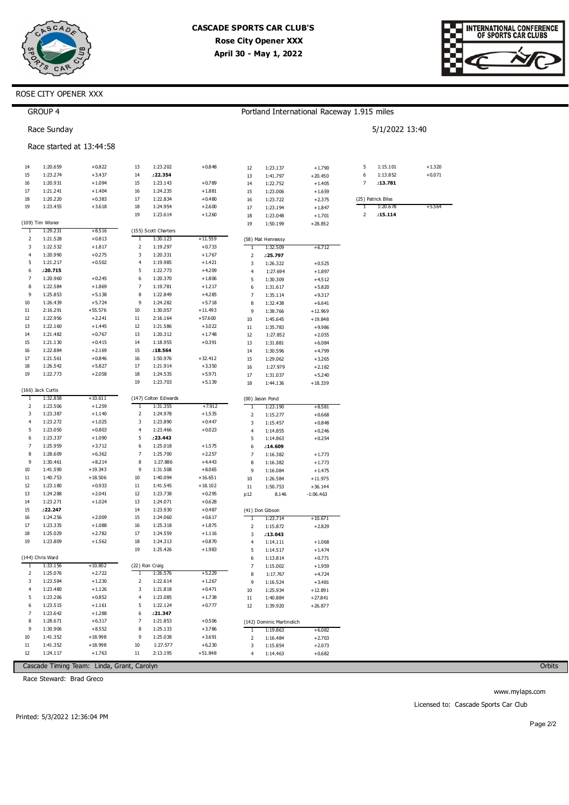



### ROSE CITY OPENER XXX

|                   | <b>GROUP 4</b>       |                          |              |                                  |                       | Portland International Raceway 1.915 miles |                           |                       |                    |                |          |  |  |
|-------------------|----------------------|--------------------------|--------------|----------------------------------|-----------------------|--------------------------------------------|---------------------------|-----------------------|--------------------|----------------|----------|--|--|
|                   | Race Sunday          |                          |              |                                  |                       |                                            |                           |                       |                    | 5/1/2022 13:40 |          |  |  |
|                   |                      | Race started at 13:44:58 |              |                                  |                       |                                            |                           |                       |                    |                |          |  |  |
| 14                | 1:20.659             | $+0.822$                 | 13           | 1:23.202                         | $+0.848$              | 12                                         | 1:23.137                  | $+1.790$              | 5                  | 1:15.101       | $+1.320$ |  |  |
| 15                | 1:23.274             | $+3.437$                 | 14           | :22.354                          |                       | 13                                         | 1:41.797                  | $+20.450$             | 6                  | 1:13.852       | $+0.071$ |  |  |
| 16                | 1:20.931             | $+1.094$                 | 15           | 1:23.143                         | $+0.789$              | 14                                         | 1:22.752                  | $+1.405$              | 7                  | :13.781        |          |  |  |
| 17                | 1:21.241             | $+1.404$                 | 16           | 1:24.235                         | $+1.881$              | 15                                         | 1:23.006                  | $+1.659$              |                    |                |          |  |  |
| 18                | 1:20.220             | $+0.383$                 | 17           | 1:22.834                         | $+0.480$              | 16                                         | 1:23.722                  | $+2.375$              | (25) Patrick Bliss |                |          |  |  |
| 19                | 1:23.455             | $+3.618$                 | 18           | 1:24.954                         | $+2.600$              | 17                                         | 1:23.194                  | $+1.847$              | 1                  | 1:20.678       | $+5.564$ |  |  |
|                   | (109) Tim Wisner     |                          | 19           | 1:23.614                         | $+1.260$              | 18<br>19                                   | 1:23.048<br>1:50.199      | $+1.701$<br>$+28.852$ | 2                  | .15.114        |          |  |  |
| 1                 | 1:29.231             | $+8.516$                 |              | (155) Scott Charters             |                       |                                            |                           |                       |                    |                |          |  |  |
| 2                 | 1:21.528             | $+0.813$                 | 1            | 1:30.123                         | +11.559               |                                            | (58) Mat Hennessy         |                       |                    |                |          |  |  |
| 3                 | 1:22.532             | $+1.817$                 | 2            | 1:19.297                         | $+0.733$              | T                                          | 1:32.509                  | $+6.712$              |                    |                |          |  |  |
| 4                 | 1:20.990             | $+0.275$                 | 3            | 1:20.331                         | $+1.767$              | 2                                          | :25.797                   |                       |                    |                |          |  |  |
| 5                 | 1:21.217             | $+0.502$                 | 4            | 1:19.985                         | $+1.421$              | 3                                          | 1:26.322                  | $+0.525$              |                    |                |          |  |  |
| 6                 | .20.715              |                          | 5            | 1:22.773                         | $+4.209$              | 4                                          | 1:27.694                  | $+1.897$              |                    |                |          |  |  |
| 7                 | 1:20.960             | $+0.245$                 | 6            | 1:20.370                         | $+1.806$              | 5                                          | 1:30.309                  | $+4.512$              |                    |                |          |  |  |
| 8                 | 1:22.584             | $+1.869$                 | 7            | 1:19.781                         | $+1.217$              | 6                                          | 1:31.617                  | $+5.820$              |                    |                |          |  |  |
| 9                 | 1:25.853             | $+5.138$                 | 8            | 1:22.849                         | $+4.285$              | 7                                          | 1:35.114                  | $+9.317$              |                    |                |          |  |  |
| 10                | 1:26.439             | $+5.724$                 | 9            | 1:24.282                         | $+5.718$<br>$+11.493$ | 8                                          | 1:32.438                  | $+6.641$              |                    |                |          |  |  |
| 11<br>12          | 2:16.291<br>1:22.956 | +55.576<br>$+2.241$      | 10<br>11     | 1:30.057<br>2:16.164             | $+57.600$             | 9                                          | 1:38.766                  | $+12.969$             |                    |                |          |  |  |
| 13                | 1:22.160             | $+1.445$                 | 12           | 1:21.586                         | $+3.022$              | 10                                         | 1:45.645                  | $+19.848$             |                    |                |          |  |  |
| 14                | 1:21.482             | $+0.767$                 | 13           | 1:20.312                         | $+1.748$              | 11<br>12                                   | 1:35.783<br>1:27.852      | $+9.986$<br>$+2.055$  |                    |                |          |  |  |
| 15                | 1:21.130             | $+0.415$                 | 14           | 1:18.955                         | $+0.391$              | 13                                         | 1:31.881                  | $+6.084$              |                    |                |          |  |  |
| 16                | 1:22.884             | $+2.169$                 | 15           | .18.564                          |                       | 14                                         | 1:30.596                  | $+4.799$              |                    |                |          |  |  |
| 17                | 1:21.561             | $+0.846$                 | 16           | 1:50.976                         | $+32.412$             | 15                                         | 1:29.062                  | $+3.265$              |                    |                |          |  |  |
| 18                | 1:26.542             | $+5.827$                 | 17           | 1:21.914                         | $+3.350$              | 16                                         | 1:27.979                  | $+2.182$              |                    |                |          |  |  |
| 19                | 1:22.773             | $+2.058$                 | 18           | 1:24.535                         | $+5.971$              | 17                                         | 1:31.037                  | $+5.240$              |                    |                |          |  |  |
|                   |                      |                          | 19           | 1:23.703                         | $+5.139$              | 18                                         | 1:44.136                  | $+18.339$             |                    |                |          |  |  |
|                   | (166) Jack Curtis    |                          |              |                                  |                       |                                            |                           |                       |                    |                |          |  |  |
| $\mathbf{1}$<br>2 | 1:32.858<br>1:23.506 | $+10.611$<br>$+1.259$    | $\mathbf{1}$ | (147) Colton Edwards<br>1:31.355 | $+7.912$              |                                            | (00) Jason Pond           |                       |                    |                |          |  |  |
| 3                 | 1:23.387             | $+1.140$                 | 2            | 1:24.978                         | $+1.535$              | T                                          | 1:23.190                  | $+8.581$              |                    |                |          |  |  |
| 4                 | 1:23.272             | $+1.025$                 | 3            | 1:23.890                         | $+0.447$              | 2<br>3                                     | 1:15.277<br>1:15.457      | $+0.668$<br>$+0.848$  |                    |                |          |  |  |
| 5                 | 1:23.050             | $+0.803$                 | 4            | 1:23.466                         | $+0.023$              | 4                                          | 1:14.855                  | $+0.246$              |                    |                |          |  |  |
| 6                 | 1:23.337             | $+1.090$                 | 5            | :23.443                          |                       | 5                                          | 1:14.863                  | $+0.254$              |                    |                |          |  |  |
| 7                 | 1:25.959             | $+3.712$                 | 6            | 1:25.018                         | $+1.575$              | 6                                          | :14.609                   |                       |                    |                |          |  |  |
| 8                 | 1:28.609             | $+6.362$                 | 7            | 1:25.700                         | $+2.257$              | 7                                          | 1:16.382                  | $+1.773$              |                    |                |          |  |  |
| 9                 | 1:30.461             | $+8.214$                 | 8            | 1:27.886                         | $+4.443$              | 8                                          | 1:16.382                  | $+1.773$              |                    |                |          |  |  |
| 10                | 1:41.590             | $+19.343$                | 9            | 1:31.508                         | $+8.065$              | 9                                          | 1:16.084                  | $+1.475$              |                    |                |          |  |  |
| 11                | 1:40.753             | $+18.506$                | 10           | 1:40.094                         | $+16.651$             | 10                                         | 1:26.584                  | $+11.975$             |                    |                |          |  |  |
| 12                | 1:23.180             | $+0.933$                 | 11           | 1:41.545                         | $+18.102$             | 11                                         | 1:50.753                  | $+36.144$             |                    |                |          |  |  |
| 13                | 1:24.288             | $+2.041$                 | 12           | 1:23.738                         | $+0.295$              | p12                                        | 8.146                     | $-1:06.463$           |                    |                |          |  |  |
| 14                | 1:23.271             | $+1.024$                 | 13           | 1:24.071                         | $+0.628$              |                                            |                           |                       |                    |                |          |  |  |
| 15                | .22.247              |                          | 14           | 1:23.930                         | $+0.487$              |                                            | (41) Don Gibson           |                       |                    |                |          |  |  |
| 16<br>17          | 1:24.256<br>1:23.335 | $+2.009$<br>$+1.088$     | 15<br>16     | 1:24.060<br>1:25.318             | $+0.617$<br>$+1.875$  | 1                                          | 1:23.714                  | $+10.671$             |                    |                |          |  |  |
| 18                | 1:25.029             | $+2.782$                 | 17           | 1:24.559                         | $+1.116$              | 2                                          | 1:15.872                  | $+2.829$              |                    |                |          |  |  |
| 19                | 1:23.809             | $+1.562$                 | 18           | 1:24.313                         | $+0.870$              | 3<br>4                                     | :13.043<br>1:14.111       | $+1.068$              |                    |                |          |  |  |
|                   |                      |                          | 19           | 1:25.426                         | $+1.983$              | 5                                          | 1:14.517                  | $+1.474$              |                    |                |          |  |  |
|                   | (144) Chris Ward     |                          |              |                                  |                       | 6                                          | 1:13.814                  | $+0.771$              |                    |                |          |  |  |
| $\mathbf{1}$      | 1:33.156             | $+10.802$                |              | (22) Ron Craig                   |                       | 7                                          | 1:15.002                  | $+1.959$              |                    |                |          |  |  |
| 2                 | 1:25.076             | $+2.722$                 | $\mathbf{1}$ | 1:26.576                         | $+5.229$              | 8                                          | 1:17.767                  | $+4.724$              |                    |                |          |  |  |
| 3                 | 1:23.584             | $+1.230$                 | 2            | 1:22.614                         | $+1.267$              | 9                                          | 1:16.524                  | $+3.481$              |                    |                |          |  |  |
| 4                 | 1:23.480             | $+1.126$                 | 3            | 1:21.818                         | $+0.471$              | 10                                         | 1:25.934                  | $+12.891$             |                    |                |          |  |  |
| 5                 | 1:23.206             | $+0.852$                 | 4            | 1:23.085                         | $+1.738$              | $11\,$                                     | 1:40.884                  | $+27.841$             |                    |                |          |  |  |
| 6                 | 1:23.515             | $+1.161$                 | 5            | 1:22.124                         | $+0.777$              | 12                                         | 1:39.920                  | $+26.877$             |                    |                |          |  |  |
| 7                 | 1:23.642             | $+1.288$                 | 6            | :21.347                          |                       |                                            |                           |                       |                    |                |          |  |  |
| 8                 | 1:28.671             | $+6.317$                 | 7            | 1:21.853                         | $+0.506$              |                                            | (142) Dominic Martinolich |                       |                    |                |          |  |  |
| 9                 | 1:30.906             | $+8.552$                 | 8            | 1:25.133                         | $+3.786$              | $\mathbf{1}$                               | 1:19.863                  | $+6.082$              |                    |                |          |  |  |
| 10                | 1:41.352             | $+18.998$                | 9            | 1:25.038                         | $+3.691$              | 2                                          | 1:16.484                  | $+2.703$              |                    |                |          |  |  |
| $11\,$            | 1:41.352             | $+18.998$                | 10           | 1:27.577                         | $+6.230$              | 3                                          | 1:15.854                  | $+2.073$              |                    |                |          |  |  |
| 12                | 1:24.117             | $+1.763$                 | 11           | 2:13.195                         | +51.848               | 4                                          | 1:14.463                  | $+0.682$              |                    |                |          |  |  |

Cascade Timing Team: Linda, Grant, Carolyn

Race Steward: Brad Greco

Orbits

www.mylaps.com Licensed to: Cascade Sports Car Club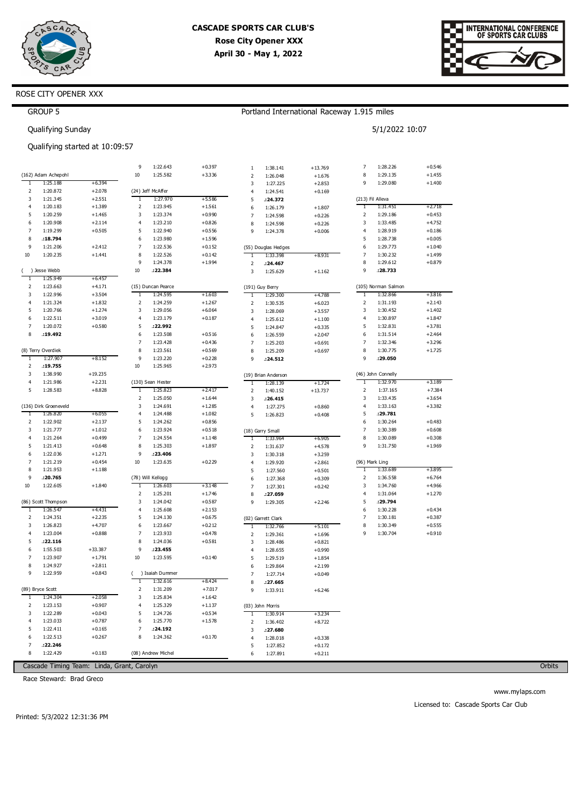

Portland International Raceway 1.915 miles

5/1/2022 10:07



### ROSE CITY OPENER XXX

| ¡ROUP |  |
|-------|--|
|-------|--|

Qualifying Sunday

## Qualifying started at 10:09:57

| T      | (162) Adam Achepohl   |                                            | 9                | 1:22.643             | $+0.397$             | $\mathbf{1}$        | 1:38.141             | $+13.769$            | 7            | 1:28.226             | $+0.546$             |
|--------|-----------------------|--------------------------------------------|------------------|----------------------|----------------------|---------------------|----------------------|----------------------|--------------|----------------------|----------------------|
|        |                       |                                            |                  |                      |                      |                     |                      |                      |              |                      |                      |
|        | 1:25.188              |                                            | 10               | 1:25.582             | $+3.336$             | $\overline{2}$      | 1:26.048             | $+1.676$             | 8<br>9       | 1:29.135<br>1:29.080 | $+1.455$             |
|        | 1:20.872              | $+6.394$<br>$+2.078$                       |                  | (24) Jeff McAffer    |                      | 3                   | 1:27.225             | $+2.853$             |              |                      | $+1.400$             |
| 2<br>3 | 1:21.345              | $+2.551$                                   | $\mathbf{1}$     | 1:27.970             | $+5.586$             | $\overline{4}$<br>5 | 1:24.541<br>:24.372  | $+0.169$             |              | (213) Fil Alleva     |                      |
| 4      | 1:20.183              | $+1.389$                                   | $\mathbf 2$      | 1:23.945             | $+1.561$             | 6                   | 1:26.179             | $+1.807$             | T            | 1:31.451             | $+2.718$             |
| 5      | 1:20.259              | $+1.465$                                   | 3                | 1:23.374             | $+0.990$             | $\overline{7}$      | 1:24.598             | $+0.226$             | 2            | 1:29.186             | $+0.453$             |
| 6      | 1:20.908              | $+2.114$                                   | $\overline{4}$   | 1:23.210             | $+0.826$             | 8                   | 1:24.598             | $+0.226$             | 3            | 1:33.485             | $+4.752$             |
| 7      | 1:19.299              | $+0.505$                                   | 5                | 1:22.940             | $+0.556$             | 9                   | 1:24.378             | $+0.006$             | 4            | 1:28.919             | $+0.186$             |
| 8      | .18.794               |                                            | 6                | 1:23.980             | $+1.596$             |                     |                      |                      | 5            | 1:28.738             | $+0.005$             |
| 9      | 1:21.206              | $+2.412$                                   | 7                | 1:22.536             | $+0.152$             |                     | (55) Douglas Hedges  |                      | 6            | 1:29.773             | $+1.040$             |
| 10     | 1:20.235              | $+1.441$                                   | 8                | 1:22.526             | $+0.142$             | $\mathbf{1}$        | 1:33.398             | $+8.931$             | 7            | 1:30.232             | $+1.499$             |
|        |                       |                                            | 9                | 1:24.378             | $+1.994$             | 2                   | .24.467              |                      | 8            | 1:29.612             | $+0.879$             |
|        | ( ) Jesse Webb        |                                            | 10               | :22.384              |                      | 3                   | 1:25.629             | $+1.162$             | 9            | :28.733              |                      |
| ד      | 1:25.949              | $+6.457$                                   |                  |                      |                      |                     |                      |                      |              |                      |                      |
| 2      | 1:23.663              | $+4.171$                                   |                  | (15) Duncan Pearce   |                      |                     | (191) Guy Berry      |                      |              | (105) Norman Salmon  |                      |
| 3      | 1:22.996              | $+3.504$                                   | $\mathbf{1}$     | 1:24.595             | $+1.603$             | $\mathbf{1}$        | 1:29.300             | $+4.788$             | 1            | 1:32.866             | $+3.816$             |
| 4      | 1:21.324              | $+1.832$                                   | $\mathbf 2$      | 1:24.259             | $+1.267$             | 2                   | 1:30.535             | $+6.023$             | 2            | 1:31.193             | $+2.143$             |
| 5      | 1:20.766              | $+1.274$                                   | 3                | 1:29.056             | $+6.064$             | 3                   | 1:28.069             | $+3.557$             | 3            | 1:30.452             | $+1.402$             |
| 6      | 1:22.511              | $+3.019$                                   | $\overline{4}$   | 1:23.179             | $+0.187$             | 4                   | 1:25.612             | $+1.100$             | 4            | 1:30.897             | $+1.847$             |
| 7<br>8 | 1:20.072<br>:19.492   | $+0.580$                                   | 5<br>6           | :22.992<br>1:23.508  | $+0.516$             | 5                   | 1:24.847             | $+0.335$             | 5<br>6       | 1:32.831<br>1:31.514 | $+3.781$<br>$+2.464$ |
|        |                       |                                            | 7                | 1:23.428             | $+0.436$             | 6<br>$\overline{7}$ | 1:26.559<br>1:25.203 | $+2.047$             | 7            | 1:32.346             | $+3.296$             |
|        | (8) Terry Overdiek    |                                            | 8                | 1:23.561             | $+0.569$             | 8                   | 1:25.209             | $+0.691$<br>$+0.697$ | 8            | 1:30.775             | $+1.725$             |
| 1      | 1:27.907              | $+8.152$                                   | 9                | 1:23.220             | $+0.228$             | 9                   | .24.512              |                      | 9            | : 29.050             |                      |
| 2      | .19.755               |                                            | 10               | 1:25.965             | $+2.973$             |                     |                      |                      |              |                      |                      |
| 3      | 1:38.990              | $+19.235$                                  |                  |                      |                      |                     | (19) Brian Anderson  |                      |              | (46) John Connelly   |                      |
| 4      | 1:21.986              | $+2.231$                                   |                  | (130) Sean Hester    |                      | $\mathbf{1}$        | 1:28.139             | $+1.724$             | 1            | 1:32.970             | $+3.189$             |
| 5      | 1:28.583              | $+8.828$                                   | $\mathbf{1}$     | 1:25.823             | $+2.417$             | $\overline{2}$      | 1:40.152             | $+13.737$            | 2            | 1:37.165             | $+7.384$             |
|        |                       |                                            | 2                | 1:25.050             | $+1.644$             | 3                   | .26.415              |                      | 3            | 1:33.435             | $+3.654$             |
|        | (136) Dirk Groeneveld |                                            | 3                | 1:24.691             | $+1.285$             | 4                   | 1:27.275             | $+0.860$             | 4            | 1:33.163             | $+3.382$             |
| Τ      | 1:26.820              | $+6.055$                                   | $\overline{4}$   | 1:24.488             | $+1.082$             | 5                   | 1:26.823             | $+0.408$             | 5            | : 29.781             |                      |
| 2      | 1:22.902              | $+2.137$                                   | 5                | 1:24.262             | $+0.856$             |                     |                      |                      | 6            | 1:30.264             | $+0.483$             |
| 3      | 1:21.777              | $+1.012$                                   | 6                | 1:23.924             | $+0.518$             |                     | (18) Garry Small     |                      | 7            | 1:30.389             | $+0.608$             |
| 4      | 1:21.264              | $+0.499$                                   | $\overline{7}$   | 1:24.554             | $+1.148$             | T                   | 1:33.964             | $+6.905$             | 8            | 1:30.089             | $+0.308$             |
| 5      | 1:21.413              | $+0.648$                                   | 8                | 1:25.303             | $+1.897$             | 2                   | 1:31.637             | $+4.578$             | 9            | 1:31.750             | $+1.969$             |
| 6      | 1:22.036              | $+1.271$                                   | 9                | :23.406              |                      | 3                   | 1:30.318             | $+3.259$             |              |                      |                      |
| 7      | 1:21.219              | $+0.454$                                   | 10               | 1:23.635             | $+0.229$             | 4                   | 1:29.920             | $+2.861$             |              | (96) Mark Ling       |                      |
| 8      | 1:21.953              | $+1.188$                                   |                  |                      |                      | 5                   | 1:27.560             | $+0.501$             | $\mathbf{1}$ | 1:33.689             | $+3.895$             |
| 9      | :20.765               |                                            |                  | (78) Will Kellogg    |                      | 6                   | 1:27.368             | $+0.309$             | 2            | 1:36.558             | $+6.764$             |
| 10     | 1:22.605              | $+1.840$                                   | 1                | 1:26.603             | $+3.148$<br>$+1.746$ | $\overline{7}$      | 1:27.301             | $+0.242$             | 3<br>4       | 1:34.760             | $+4.966$<br>$+1.270$ |
|        | (86) Scott Thompson   |                                            | $\mathbf 2$<br>3 | 1:25.201<br>1:24.042 | $+0.587$             | 8<br>9              | :27.059              |                      | 5            | 1:31.064<br>: 29.794 |                      |
| T      | 1:26.547              | $+4.431$                                   | $\overline{4}$   | 1:25.608             | $+2.153$             |                     | 1:29.305             | $+2.246$             | 6            | 1:30.228             | $+0.434$             |
| 2      | 1:24.351              | $+2.235$                                   | 5                | 1:24.130             | $+0.675$             |                     | (02) Garrett Clark   |                      | 7            | 1:30.181             | $+0.387$             |
| 3      | 1:26.823              | $+4.707$                                   | 6                | 1:23.667             | $+0.212$             | $\mathbf{1}$        | 1:32.766             | $+5.101$             | 8            | 1:30.349             | $+0.555$             |
| 4      | 1:23.004              | $+0.888$                                   | $\overline{7}$   | 1:23.933             | $+0.478$             | $\overline{2}$      | 1:29.361             | $+1.696$             | 9            | 1:30.704             | $+0.910$             |
| 5      | .22.116               |                                            | 8                | 1:24.036             | $+0.581$             | 3                   | 1:28.486             | $+0.821$             |              |                      |                      |
| 6      | 1:55.503              | $+33.387$                                  | 9                | :23.455              |                      | 4                   | 1:28.655             | $+0.990$             |              |                      |                      |
| 7      | 1:23.907              | $+1.791$                                   | 10               | 1:23.595             | $+0.140$             | 5                   | 1:29.519             | $+1.854$             |              |                      |                      |
| 8      | 1:24.927              | $+2.811$                                   |                  |                      |                      | 6                   | 1:29.864             | $+2.199$             |              |                      |                      |
| 9      | 1:22.959              | $+0.843$                                   | (                | ) Isaiah Dummer      |                      | 7                   | 1:27.714             | $+0.049$             |              |                      |                      |
|        |                       |                                            | $\mathbf{1}$     | 1:32.616             | $+8.424$             | 8                   | .27.665              |                      |              |                      |                      |
|        | (89) Bryce Scott      |                                            | 2                | 1:31.209             | $+7.017$             | 9                   | 1:33.911             | $+6.246$             |              |                      |                      |
| 1      | 1:24.304              | $+2.058$                                   | 3                | 1:25.834             | $+1.642$             |                     |                      |                      |              |                      |                      |
| 2      | 1:23.153              | $+0.907$                                   | $\overline{4}$   | 1:25.329             | $+1.137$             |                     | (03) John Morris     |                      |              |                      |                      |
| 3      | 1:22.289              | $+0.043$                                   | 5                | 1:24.726             | $+0.534$             | T                   | 1:30.914             | +3.234               |              |                      |                      |
| 4      | 1:23.033              | $+0.787$                                   | 6                | 1:25.770             | $+1.578$             | 2                   | 1:36.402             | $+8.722$             |              |                      |                      |
| 5      | 1:22.411              | $+0.165$                                   | 7                | : 24.192             |                      | 3                   | :27.680              |                      |              |                      |                      |
| 6      | 1:22.513              | $+0.267$                                   | 8                | 1:24.362             | $+0.170$             | 4                   | 1:28.018             | $+0.338$             |              |                      |                      |
| 7      | : 22.246              |                                            |                  |                      |                      | 5                   | 1:27.852             | $+0.172$             |              |                      |                      |
| 8      | 1:22.429              | $+0.183$                                   |                  | (08) Andrew Michel   |                      | 6                   | 1:27.891             | $+0.211$             |              |                      |                      |
|        |                       | Cascade Timing Team: Linda, Grant, Carolyn |                  |                      |                      |                     |                      |                      |              |                      |                      |

Race Steward: Brad Greco

Printed: 5/3/2022 12:31:36 PM

**Orbits** 

www.mylaps.com Licensed to: Cascade Sports Car Club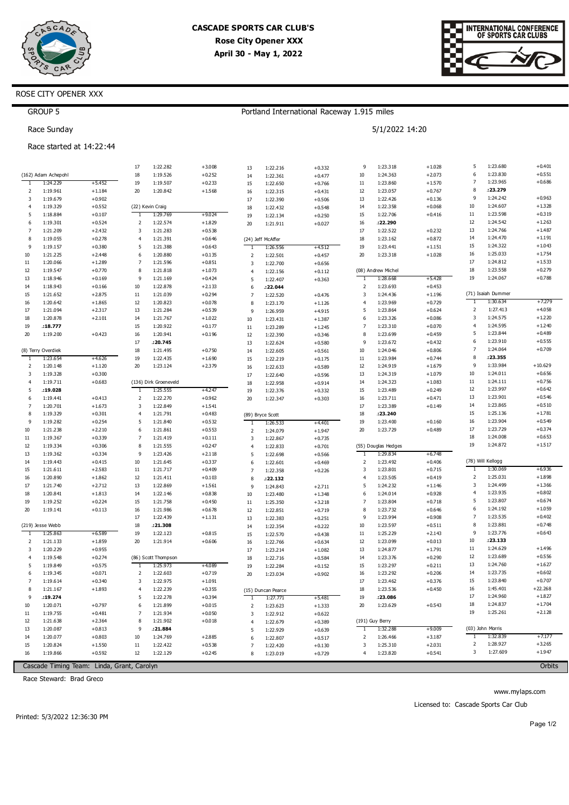

Portland International Raceway 1.915 miles

5/1/2022 14:20



## ROSE CITY OPENER XXX

## GROUP 5

Race Sunday

### Race started at 14:22:44

|                      |                      |                      | 17             | 1:22.282              | $+3.008$             | 13             | 1:22.216             | $+0.332$             | 9                       | 1:23.318             | $+1.028$             | 5                            | 1:23.680             | $+0.401$             |
|----------------------|----------------------|----------------------|----------------|-----------------------|----------------------|----------------|----------------------|----------------------|-------------------------|----------------------|----------------------|------------------------------|----------------------|----------------------|
|                      | (162) Adam Achepohl  |                      | 18             | 1:19.526              | $+0.252$             | 14             | 1:22.361             | $+0.477$             | 10                      | 1:24.363             | $+2.073$             | 6                            | 1:23.830             | $+0.551$             |
| $\mathbf{1}$         | 1:24.229             | $+5.452$             | 19             | 1:19.507              | $+0.233$             | 15             | 1:22.650             | $+0.766$             | 11                      | 1:23.860             | $+1.570$             | $\overline{7}$               | 1:23.965             | $+0.686$             |
| 2                    | 1:19.961             | $+1.184$             | 20             | 1:20.842              | $+1.568$             | 16             | 1:22.315             | $+0.431$             | 12                      | 1:23.057             | $+0.767$             | 8                            | :23.279              |                      |
| 3                    | 1:19.679             | $+0.902$             |                |                       |                      | 17             | 1:22.390             | $+0.506$             | 13                      | 1:22.426             | $+0.136$             | 9                            | 1:24.242             | $+0.963$             |
| $\overline{4}$       | 1:19.329             | $+0.552$             |                | (22) Kevin Craig      |                      | 18             | 1:22.432             | $+0.548$             | 14                      | 1:22.358             | $+0.068$             | 10                           | 1:24.607             | $+1.328$             |
| 5                    | 1:18.884             | $+0.107$             | 1              | 1:29.769              | $+9.024$             | 19             | 1:22.134             | $+0.250$             | 15                      | 1:22.706             | $+0.416$             | 11                           | 1:23.598             | $+0.319$             |
| 6                    | 1:19.301             | $+0.524$             | $\overline{2}$ | 1:22.574              | $+1.829$             | 20             | 1:21.911             | $+0.027$             | 16                      | :22.290              |                      | 12                           | 1:24.542             | $+1.263$             |
| $\overline{7}$       | 1:21.209             | $+2.432$             | 3              | 1:21.283              | $+0.538$             |                |                      |                      | 17                      | 1:22.522             | $+0.232$             | 13                           | 1:24.766             | $+1.487$             |
| 8                    | 1:19.055             | $+0.278$             | $\overline{4}$ | 1:21.391              | $+0.646$             |                | (24) Jeff McAffer    |                      | 18                      | 1:23.162             | $+0.872$             | 14                           | 1:24.470             | $+1.191$             |
| 9                    | 1:19.157             | $+0.380$             | 5              | 1:21.388              | $+0.643$             | 1              | 1:26.556             | $+4.512$             | 19                      | 1:23.441             | $+1.151$             | 15                           | 1:24.322             | $+1.043$             |
| 10                   | 1:21.225             | $+2.448$             | 6              | 1:20.880              | $+0.135$             | $\overline{2}$ | 1:22.501             | $+0.457$             | 20                      | 1:23.318             | $+1.028$             | 16                           | 1:25.033             | $+1.754$             |
| 11                   | 1:20.066             | $+1.289$             | $\overline{7}$ | 1:21.596              | $+0.851$             | 3              | 1:22.700             | $+0.656$             |                         |                      |                      | 17                           | 1:24.812             | $+1.533$             |
| 12                   | 1:19.547             | $+0.770$             | 8              | 1:21.818              | $+1.073$             | $\overline{4}$ | 1:22.156             | $+0.112$             |                         | (08) Andrew Michel   |                      | 18                           | 1:23.558             | $+0.279$             |
| 13                   | 1:18.946             | $+0.169$             | 9              | 1:21.169              | $+0.424$             | 5              | 1:22.407             | $+0.363$             | -1                      | 1:28.668             | $+5.428$             | 19                           | 1:24.067             | $+0.788$             |
| 14                   | 1:18.943             | $+0.166$             | 10             | 1:22.878              | $+2.133$             | 6              | :22.044              |                      | $\overline{2}$          | 1:23.693             | $+0.453$             |                              |                      |                      |
| 15                   | 1:21.652             | $+2.875$             | $11\,$         | 1:21.039              | $+0.294$             | $\overline{7}$ | 1:22.520             | $+0.476$             | 3                       | 1:24.436             | $+1.196$             |                              | (71) Isaiah Dummer   |                      |
| 16                   | 1:20.642             | $+1.865$             | 12             | 1:20.823              | $+0.078$             | 8              | 1:23.170             | $+1.126$             | $\overline{4}$          | 1:23.969             | $+0.729$             | 1                            | 1:30.634             | $+7.279$             |
| 17                   | 1:21.094             | $+2.317$             | 13             | 1:21.284              | $+0.539$             | 9              | 1:26.959             | $+4.915$             | 5                       | 1:23.864             | $+0.624$             | $\overline{2}$<br>3          | 1:27.413             | $+4.058$<br>$+1.220$ |
| 18                   | 1:20.878             | $+2.101$             | 14             | 1:21.767              | $+1.022$             | 10             | 1:23.431             | $+1.387$             | 6                       | 1:23.326             | $+0.086$             |                              | 1:24.575             |                      |
| 19                   | .18.777              |                      | 15             | 1:20.922              | $+0.177$             | $11\,$         | 1:23.289             | $+1.245$             | $\overline{7}$          | 1:23.310             | $+0.070$             | $\overline{\mathbf{4}}$<br>5 | 1:24.595             | $+1.240$             |
| 20                   | 1:19.200             | $+0.423$             | 16             | 1:20.941              | $+0.196$             | 12             | 1:22.390             | $+0.346$             | 8<br>9                  | 1:23.699             | $+0.459$             | 6                            | 1:23.844<br>1:23.910 | $+0.489$<br>$+0.555$ |
|                      |                      |                      | 17             | :20.745               |                      | 13             | 1:22.624             | $+0.580$             |                         | 1:23.672             | $+0.432$             | 7                            | 1:24.064             | $+0.709$             |
|                      | (8) Terry Overdiek   |                      | 18             | 1:21.495              | $+0.750$             | 14             | 1:22.605             | $+0.561$             | 10                      | 1:24.046             | $+0.806$             | 8                            | :23.355              |                      |
| -1<br>$\overline{2}$ | 1:23.654<br>1:20.148 | $+4.626$<br>$+1.120$ | 19<br>20       | 1:22.435<br>1:23.124  | $+1.690$<br>$+2.379$ | 15             | 1:22.219             | $+0.175$             | 11<br>12                | 1:23.984<br>1:24.919 | $+0.744$<br>$+1.679$ | 9                            | 1:33.984             | $+10.629$            |
| 3                    | 1:19.328             | $+0.300$             |                |                       |                      | 16             | 1:22.633             | $+0.589$             | 13                      | 1:24.319             | $+1.079$             | 10                           | 1:24.011             | $+0.656$             |
| $\overline{4}$       | 1:19.711             | $+0.683$             |                | (136) Dirk Groeneveld |                      | 17             | 1:22.640             | $+0.596$             | 14                      | 1:24.323             | $+1.083$             | 11                           | 1:24.111             | $+0.756$             |
| 5                    | :19.028              |                      | $\overline{1}$ | 1:25.555              | $+4.247$             | 18<br>19       | 1:22.958             | $+0.914$             | 15                      | 1:23.489             | $+0.249$             | 12                           | 1:23.997             | $+0.642$             |
| 6                    | 1:19.441             | $+0.413$             | $\overline{2}$ | 1:22.270              | $+0.962$             | 20             | 1:22.376<br>1:22.347 | $+0.332$<br>$+0.303$ | 16                      | 1:23.711             | $+0.471$             | 13                           | 1:23.901             | $+0.546$             |
| $\overline{7}$       | 1:20.701             | $+1.673$             | 3              | 1:22.849              | $+1.541$             |                |                      |                      | 17                      | 1:23.389             | $+0.149$             | 14                           | 1:23.865             | $+0.510$             |
| 8                    | 1:19.329             | $+0.301$             | $\overline{4}$ | 1:21.791              | $+0.483$             |                | (89) Bryce Scott     |                      | 18                      | :23.240              |                      | 15                           | 1:25.136             | $+1.781$             |
| 9                    | 1:19.282             | $+0.254$             | 5              | 1:21.840              | $+0.532$             | 1              | 1:26.533             | $+4.401$             | 19                      | 1:23.400             | $+0.160$             | 16                           | 1:23.904             | $+0.549$             |
| 10                   | 1:21.238             | $+2.210$             | 6              | 1:21.861              | $+0.553$             | $\overline{2}$ | 1:24.079             | $+1.947$             | 20                      | 1:23.729             | $+0.489$             | 17                           | 1:23.729             | $+0.374$             |
| 11                   | 1:19.367             | $+0.339$             | $\overline{7}$ | 1:21.419              | $+0.111$             | 3              | 1:22.867             | $+0.735$             |                         |                      |                      | 18                           | 1:24.008             | $+0.653$             |
| 12                   | 1:19.334             | $+0.306$             | 8              | 1:21.555              | $+0.247$             | $\overline{4}$ | 1:22.833             | $+0.701$             |                         | (55) Douglas Hedges  |                      | 19                           | 1:24.872             | $+1.517$             |
| 13                   | 1:19.362             | $+0.334$             | 9              | 1:23.426              | $+2.118$             | 5              | 1:22.698             | $+0.566$             | ٦.                      | 1:29.834             | $+6.748$             |                              |                      |                      |
| 14                   | 1:19.443             | $+0.415$             | 10             | 1:21.645              | $+0.337$             | 6              | 1:22.601             | $+0.469$             | $\overline{2}$          | 1:23.492             | $+0.406$             |                              | (78) Will Kellogg    |                      |
| 15                   | 1:21.611             | $+2.583$             | $11\,$         | 1:21.717              | $+0.409$             | $\overline{7}$ | 1:22.358             | $+0.226$             | $\overline{\mathbf{3}}$ | 1:23.801             | $+0.715$             | $\mathbf{1}$                 | 1:30.069             | $+6.936$             |
| 16                   | 1:20.890             | $+1.862$             | 12             | 1:21.411              | $+0.103$             | 8              | :22.132              |                      | $\overline{4}$          | 1:23.505             | $+0.419$             | 2                            | 1:25.031             | $+1.898$             |
| 17                   | 1:21.740             | $+2.712$             | 13             | 1:22.869              | $+1.561$             | 9              | 1:24.843             | $+2.711$             | 5                       | 1:24.232             | $+1.146$             | 3                            | 1:24.499             | $+1.366$             |
| 18                   | 1:20.841             | $+1.813$             | 14             | 1:22.146              | $+0.838$             | 10             | 1:23.480             | $+1.348$             | 6                       | 1:24.014             | $+0.928$             | $\overline{4}$               | 1:23.935             | $+0.802$             |
| 19                   | 1:19.252             | $+0.224$             | 15             | 1:21.758              | $+0.450$             | $11\,$         | 1:25.350             | $+3.218$             | $\overline{7}$          | 1:23.804             | $+0.718$             | 5                            | 1:23.807             | $+0.674$             |
| 20                   | 1:19.141             | $+0.113$             | 16             | 1:21.986              | $+0.678$             | 12             | 1:22.851             | $+0.719$             | 8                       | 1:23.732             | $+0.646$             | 6                            | 1:24.192             | $+1.059$             |
|                      |                      |                      | 17             | 1:22.439              | $+1.131$             | 13             | 1:22.383             | $+0.251$             | 9                       | 1:23.994             | $+0.908$             | $\overline{7}$               | 1:23.535             | $+0.402$             |
|                      | (219) Jesse Webb     |                      | 18             | :21.308               |                      | 14             | 1:22.354             | $+0.222$             | 10                      | 1:23.597             | $+0.511$             | 8                            | 1:23.881             | $+0.748$             |
| $\mathbf{1}$         | 1:25.863             | $+6.589$             | 19             | 1:22.123              | $+0.815$             | 15             | 1:22.570             | $+0.438$             | 11                      | 1:25.229             | $+2.143$             | 9                            | 1:23.776             | $+0.643$             |
| 2                    | 1:21.133             | $+1.859$             | 20             | 1:21.914              | $+0.606$             | 16             | 1:22.766             | $+0.634$             | 12                      | 1:23.099             | $+0.013$             | 10                           | : 23.133             |                      |
| 3                    | 1:20.229             | $+0.955$             |                |                       |                      | 17             | 1:23.214             | $+1.082$             | 13                      | 1:24.877             | $+1.791$             | 11                           | 1:24.629             | $+1.496$             |
| $\overline{4}$       | 1:19.548             | $+0.274$             |                | (86) Scott Thompson   |                      | 18             | 1:22.716             | $+0.584$             | 14                      | 1:23.376             | $+0.290$             | 12                           | 1:23.689             | $+0.556$             |
| 5                    | 1:19.849             | $+0.575$             | -1             | 1:25.973              | $+4.089$             | 19             | 1:22.284             | $+0.152$             | 15                      | 1:23.297             | $+0.211$             | 13                           | 1:24.760             | $+1.627$             |
| 6                    | 1:19.345             | $+0.071$             | $\overline{2}$ | 1:22.603              | $+0.719$             | 20             | 1:23.034             | $+0.902$             | 16                      | 1:23.292             | $+0.206$             | 14                           | 1:23.735             | $+0.602$             |
| $\overline{7}$       | 1:19.614             | $+0.340$             | 3              | 1:22.975              | $+1.091$             |                |                      |                      | 17                      | 1:23.462             | $+0.376$             | 15                           | 1:23.840             | $+0.707$             |
|                      | 1:21.167             | $+1.893$             | $\overline{4}$ | 1:22.239              | $+0.355$             |                | (15) Duncan Pearce   |                      | 18                      | 1:23.536             | $+0.450$             | 16                           | 1:45.401             | $+22.268$            |
| 9                    | :19.274              |                      | 5              | 1:22.278              | $+0.394$             | 1              | 1:27.771             | $+5.481$             | 19                      | :23.086              |                      | 17                           | 1:24.960             | $+1.827$             |
| 10                   | 1:20.071             | $+0.797$             | 6              | 1:21.899              | $+0.015$             | $\overline{2}$ | 1:23.623             | $+1.333$             | 20                      | 1:23.629             | $+0.543$             | 18                           | 1:24.837             | $+1.704$             |
| 11                   | 1:19.755             | $+0.481$             | 7              | 1:21.934              | $+0.050$             | 3              | 1:22.912             | $+0.622$             |                         |                      |                      | 19                           | 1:25.261             | $+2.128$             |
| 12                   | 1:21.638             | $+2.364$             | 8              | 1:21.902              | $+0.018$             | $\overline{4}$ | 1:22.679             | $+0.389$             |                         | (191) Guy Berry      |                      |                              |                      |                      |
| 13                   | 1:20.087             | $+0.813$             | 9              | :21.884               |                      | 5              | 1:22.929             | $+0.639$             | $\mathbf{1}$            | 1:32.288             | $+9.009$             |                              | (03) John Morris     |                      |
| 14                   | 1:20.077             | $+0.803$             | 10             | 1:24.769              | $+2.885$             | 6              | 1:22.807             | $+0.517$             | $\overline{2}$          | 1:26.466             | $+3.187$             | $\mathbf{I}$                 | 1:32.839             | $+7.177$             |
| 15                   | 1:20.824             | $+1.550$             | $11\,$         | 1:22.422              | $+0.538$             | $\overline{7}$ | 1:22.420             | $+0.130$             | 3                       | 1:25.310             | $+2.031$             | $\overline{2}$               | 1:28.927             | $+3.265$             |
| 16                   | 1:19.866             | $+0.592$             | 12             | 1:22.129              | $+0.245$             | 8              | 1:23.019             | $+0.729$             | 4                       | 1:23.820             | $+0.541$             | 3                            | 1:27.609             | $+1.947$             |

Cascade Timing Team: Linda, Grant, Carolyn

Race Steward: Brad Greco

Orbits

Printed: 5/3/2022 12:36:30 PM

Page 1/2

www.mylaps.com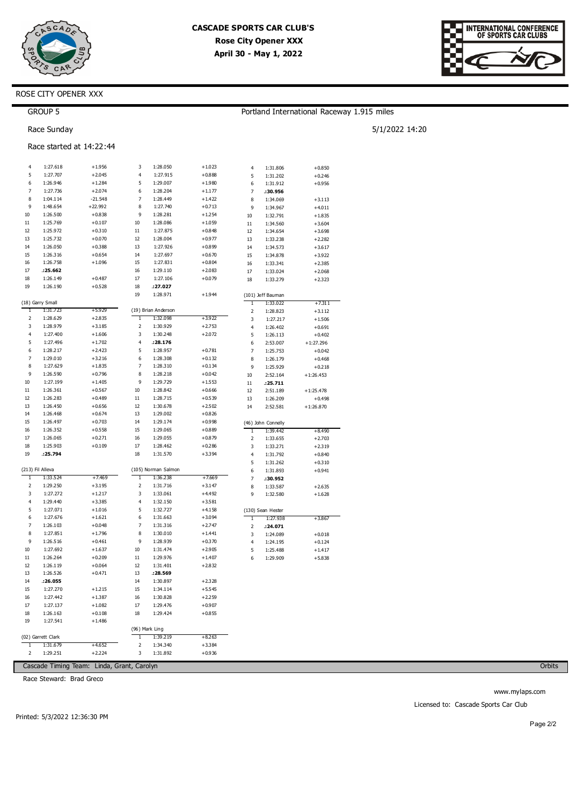



5/1/2022 14:20

## ROSE CITY OPENER XXX

|              | <b>GROUP 5</b>           |                                            |          |                            |                      |                |                      | Portland International Raceway 1.915 miles |        |
|--------------|--------------------------|--------------------------------------------|----------|----------------------------|----------------------|----------------|----------------------|--------------------------------------------|--------|
|              | Race Sunday              |                                            |          |                            |                      |                |                      |                                            | 5/1/20 |
|              | Race started at 14:22:44 |                                            |          |                            |                      |                |                      |                                            |        |
| 4            | 1:27.618                 | $+1.956$                                   | 3        | 1:28.050                   | $+1.023$             | $\overline{4}$ | 1:31.806             | $+0.850$                                   |        |
| 5            | 1:27.707                 | $+2.045$                                   | 4        | 1:27.915                   | $+0.888$             | 5              | 1:31.202             | $+0.246$                                   |        |
| 6            | 1:26.946                 | $+1.284$                                   | 5        | 1:29.007                   | $+1.980$             | 6              | 1:31.912             | $+0.956$                                   |        |
| 7            | 1:27.736                 | $+2.074$                                   | 6        | 1:28.204                   | $+1.177$             | 7              | :30.956              |                                            |        |
| 8            | 1:04.114                 | $-21.548$                                  | 7        | 1:28.449                   | +1.422               | 8              | 1:34.069             | $+3.113$                                   |        |
| 9            | 1:48.654                 | +22.992                                    | 8        | 1:27.740                   | $+0.713$             | 9              | 1:34.967             | $+4.011$                                   |        |
| 10           | 1:26.500                 | $+0.838$                                   | 9        | 1:28.281                   | $+1.254$             | 10             | 1:32.791             | $+1.835$                                   |        |
| 11           | 1:25.769                 | $+0.107$                                   | 10       | 1:28.086                   | $+1.059$             | 11             | 1:34.560             | $+3.604$                                   |        |
| 12           | 1:25.972                 | $+0.310$                                   | 11       | 1:27.875                   | $+0.848$             | 12             | 1:34.654             | $+3.698$                                   |        |
| 13<br>14     | 1:25.732<br>1:26.050     | $+0.070$<br>$+0.388$                       | 12<br>13 | 1:28.004<br>1:27.926       | +0.977               | 13             | 1:33.238             | $+2.282$                                   |        |
| 15           | 1:26.316                 | $+0.654$                                   | 14       | 1:27.697                   | $+0.899$<br>$+0.670$ | 14             | 1:34.573             | $+3.617$                                   |        |
| 16           | 1:26.758                 | $+1.096$                                   | 15       | 1:27.831                   | $+0.804$             | 15<br>16       | 1:34.878<br>1:33.341 | $+3.922$<br>$+2.385$                       |        |
| 17           | :25.662                  |                                            | 16       | 1:29.110                   | $+2.083$             | 17             | 1:33.024             | $+2.068$                                   |        |
| 18           | 1:26.149                 | $+0.487$                                   | 17       | 1:27.106                   | $+0.079$             | 18             | 1:33.279             | $+2.323$                                   |        |
| 19           | 1:26.190                 | $+0.528$                                   | 18       | :27.027                    |                      |                |                      |                                            |        |
|              |                          |                                            | 19       | 1:28.971                   | $+1.944$             |                | (101) Jeff Bauman    |                                            |        |
|              | (18) Garry Small         |                                            |          |                            |                      | 1              | 1:33.022             | +7.311                                     |        |
| Ţ            | 1:31.723                 | +5.929                                     |          | (19) Brian Anderson        |                      | $\mathsf 2$    | 1:28.823             | $+3.112$                                   |        |
| 2            | 1:28.629                 | $+2.835$                                   | 1        | 1:32.098                   | $+3.922$             | 3              | 1:27.217             | $+1.506$                                   |        |
| 3            | 1:28.979                 | $+3.185$                                   | 2        | 1:30.929                   | $+2.753$             | 4              | 1:26.402             | $+0.691$                                   |        |
| 4            | 1:27.400                 | $+1.606$                                   | 3        | 1:30.248                   | $+2.072$             | 5              | 1:26.113             | $+0.402$                                   |        |
| 5            | 1:27.496                 | $+1.702$                                   | 4        | :28.176                    |                      | 6              | 2:53.007             | $+1:27.296$                                |        |
| 6            | 1:28.217                 | $+2.423$                                   | 5        | 1:28.957                   | $+0.781$             | 7              | 1:25.753             | $+0.042$                                   |        |
| 7            | 1:29.010                 | $+3.216$                                   | 6        | 1:28.308                   | $+0.132$             | 8              | 1:26.179             | $+0.468$                                   |        |
| 8            | 1:27.629                 | $+1.835$                                   | 7        | 1:28.310                   | $+0.134$             | 9              | 1:25.929             | $+0.218$                                   |        |
| 9            | 1:26.590                 | $+0.796$                                   | 8        | 1:28.218                   | $+0.042$             | 10             | 2:52.164             | $+1:26.453$                                |        |
| 10           | 1:27.199                 | $+1.405$                                   | 9        | 1:29.729                   | $+1.553$             | 11             | :25.711              |                                            |        |
| $11\,$       | 1:26.361                 | $+0.567$                                   | 10       | 1:28.842                   | $+0.666$             | 12             | 2:51.189             | $+1:25.478$                                |        |
| 12           | 1:26.283                 | $+0.489$                                   | 11       | 1:28.715                   | $+0.539$             | 13             | 1:26.209             | $+0.498$                                   |        |
| 13           | 1:26.450                 | $+0.656$                                   | 12       | 1:30.678                   | $+2.502$             | 14             | 2:52.581             | $+1:26.870$                                |        |
| 14           | 1:26.468                 | $+0.674$                                   | 13       | 1:29.002                   | $+0.826$             |                |                      |                                            |        |
| 15           | 1:26.497                 | $+0.703$                                   | 14       | 1:29.174                   | $+0.998$             |                | (46) John Connelly   |                                            |        |
| 16           | 1:26.352                 | $+0.558$                                   | 15       | 1:29.065                   | $+0.889$             | T              | 1:39.442             | $+8.490$                                   |        |
| 17<br>18     | 1:26.065                 | $+0.271$<br>$+0.109$                       | 16<br>17 | 1:29.055                   | $+0.879$             | 2              | 1:33.655             | $+2.703$                                   |        |
| 19           | 1:25.903<br>:25.794      |                                            | 18       | 1:28.462<br>1:31.570       | $+0.286$<br>+3.394   | 3              | 1:33.271             | $+2.319$                                   |        |
|              |                          |                                            |          |                            |                      | 4<br>5         | 1:31.792<br>1:31.262 | $+0.840$<br>$+0.310$                       |        |
|              | (213) Fil Alleva         |                                            |          | (105) Norman Salmon        |                      | 6              | 1:31.893             | $+0.941$                                   |        |
| T            | 1:33.524                 | $+7.469$                                   | 1        | 1:36.238                   | $+7.669$             | 7              | :30.952              |                                            |        |
| 2            | 1:29.250                 | $+3.195$                                   | 2        | 1:31.716                   | +3.147               | 8              | 1:33.587             | $+2.635$                                   |        |
| 3            | 1:27.272                 | $+1.217$                                   | 3        | 1:33.061                   | $+4.492$             | 9              | 1:32.580             | $+1.628$                                   |        |
| 4            | 1:29.440                 | $+3.385$                                   | 4        | 1:32.150                   | $+3.581$             |                |                      |                                            |        |
| 5            | 1:27.071                 | $+1.016$                                   | 5        | 1:32.727                   | $+4.158$             |                | (130) Sean Hester    |                                            |        |
| 6            | 1:27.676                 | $+1.621$                                   | 6        | 1:31.663                   | +3.094               | $\mathbf{1}$   | 1:27.938             | $+3.867$                                   |        |
| 7            | 1:26.103                 | $+0.048$                                   | 7        | 1:31.316                   | $+2.747$             | 2              | :24.071              |                                            |        |
| 8            | 1:27.851                 | $+1.796$                                   | 8        | 1:30.010                   | $+1.441$             | 3              | 1:24.089             | $+0.018$                                   |        |
| 9            | 1:26.516                 | $+0.461$                                   | 9        | 1:28.939                   | $+0.370$             | 4              | 1:24.195             | $+0.124$                                   |        |
| 10           | 1:27.692                 | $+1.637$                                   | 10       | 1:31.474                   | +2.905               | 5              | 1:25.488             | $+1.417$                                   |        |
| 11           | 1:26.264                 | $+0.209$                                   | 11       | 1:29.976                   | $+1.407$             | 6              | 1:29.909             | $+5.838$                                   |        |
| 12           | 1:26.119                 | $+0.064$                                   | 12       | 1:31.401                   | $+2.832$             |                |                      |                                            |        |
| 13           | 1:26.526                 | $+0.471$                                   | 13       | :28.569                    |                      |                |                      |                                            |        |
| 14           | :26.055                  |                                            | 14       | 1:30.897                   | +2.328               |                |                      |                                            |        |
| 15           | 1:27.270                 | $+1.215$                                   | 15       | 1:34.114                   | $+5.545$             |                |                      |                                            |        |
| 16           | 1:27.442                 | $+1.387$                                   | 16       | 1:30.828                   | $+2.259$             |                |                      |                                            |        |
| 17           | 1:27.137                 | $+1.082$                                   | 17       | 1:29.476                   | $+0.907$             |                |                      |                                            |        |
| 18           | 1:26.163                 | $+0.108$                                   | 18       | 1:29.424                   | $+0.855$             |                |                      |                                            |        |
| 19           | 1:27.541                 | $+1.486$                                   |          |                            |                      |                |                      |                                            |        |
|              | (02) Garrett Clark       |                                            | 1        | (96) Mark Ling<br>1:39.219 | $+8.263$             |                |                      |                                            |        |
| $\mathbf{1}$ | 1:31.679                 | +4.652                                     | 2        | 1:34.340                   | +3.384               |                |                      |                                            |        |
| 2            | 1:29.251                 | $+2.224$                                   | 3        | 1:31.892                   | $+0.936$             |                |                      |                                            |        |
|              |                          |                                            |          |                            |                      |                |                      |                                            |        |
|              |                          | Cascade Timing Team: Linda, Grant, Carolyn |          |                            |                      |                |                      |                                            |        |

Race Steward: Brad Greco

Orbits

www.mylaps.com Licensed to: Cascade Sports Car Club

Printed: 5/3/2022 12:36:30 PM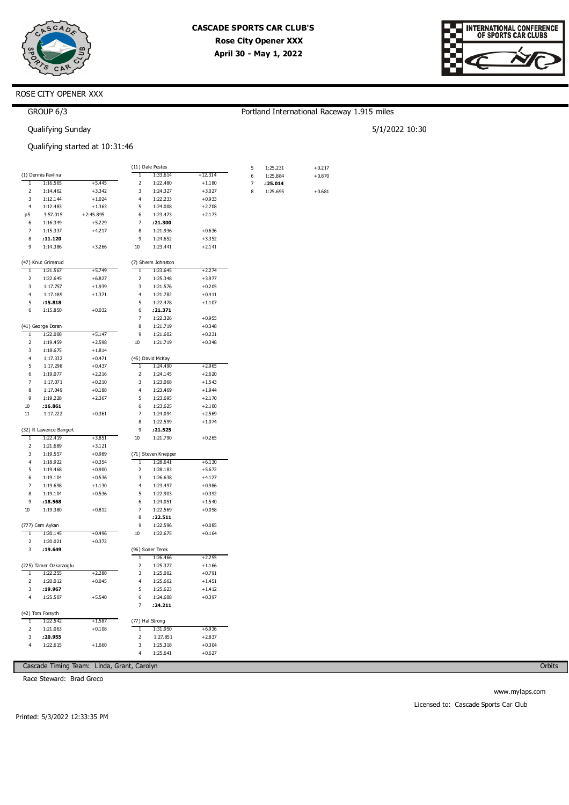

 $1:25.231$ 

1:25.884

 $: 25.014$ 

1:25.695

5

 $6\overline{6}$ 

 $\overline{z}$ 

 $\overline{8}$ 

Portland International Raceway 1.915 miles

 $+0.217$ 

 $+0.870$ 

 $+0.681$ 

5/1/2022 10:30



## ROSE CITY OPENER XXX

## GROUP 6/3

Qualifying Sunday

### Qualifying started at 10:31:46

|                |                        |             |                          | (11) Dale Pestes    |           |
|----------------|------------------------|-------------|--------------------------|---------------------|-----------|
|                | (1) Dennis Pavlina     |             | T                        | 1:33.614            | $+12.314$ |
| ī              | 1:16.565               | $+5.445$    | $\overline{\mathbf{c}}$  | 1:22.480            | $+1.180$  |
| $\overline{2}$ | 1:14.462               | $+3.342$    | 3                        | 1:24.327            | $+3.027$  |
| 3              | 1:12.144               | $+1.024$    | $\overline{4}$           | 1:22.233            | $+0.933$  |
| 4              | 1:12.483               | $+1.363$    | 5                        | 1:24.008            | $+2.708$  |
| p5             | 3:57.015               | $+2:45.895$ | 6                        | 1:23.473            | $+2.173$  |
| 6              | 1:16.349               | $+5.229$    | 7                        | :21.300             |           |
| 7              | 1:15.337               | $+4.217$    | 8                        | 1:21.936            | $+0.636$  |
| 8              | .11.120                |             | q                        | 1:24.652            | $+3.352$  |
| q              | 1:14.386               | $+3.266$    | 10                       | 1:23.441            | $+2.141$  |
|                | (47) Knut Grimsrud     |             |                          | (7) Sherm Johnston  |           |
| 1              | 1:21.567               | $+5.749$    | 1                        | 1:23.645            | $+2.274$  |
| 2              | 1:22.645               | $+6.827$    | 2                        | 1:25.348            | $+3.977$  |
| 3              | 1:17.757               | $+1.939$    | 3                        | 1:21.576            | $+0.205$  |
| 4              | 1:17.189               | $+1.371$    | $\overline{4}$           | 1:21.782            | $+0.411$  |
| 5              | .15.818                |             | 5                        | 1:22.478            | $+1.107$  |
| 6              | 1:15.850               | $+0.032$    | 6                        | .21.371             |           |
|                |                        |             | 7                        |                     |           |
|                |                        |             |                          | 1:22.326            | $+0.955$  |
|                | (41) George Doran      |             | 8                        | 1:21.719            | $+0.348$  |
| ī              | 1:22.008               | $+5.147$    | 9                        | 1:21.602            | $+0.231$  |
| 2              | 1:19.459               | $+2.598$    | 10                       | 1:21.719            | $+0.348$  |
| 3              | 1:18.675               | $+1.814$    |                          |                     |           |
| 4              | 1:17.332               | $+0.471$    |                          | (45) David McKay    |           |
| 5              | 1:17.298               | $+0.437$    | 1                        | 1:24.490            | $+2.965$  |
| 6              | 1:19.077               | $+2.216$    | $\overline{\mathbf{z}}$  | 1:24.145            | $+2.620$  |
| 7              | 1:17.071               | $+0.210$    | 3                        | 1:23.068            | $+1.543$  |
| 8              | 1:17.049               | $+0.188$    | 4                        | 1:23.469            | $+1.944$  |
| 9              | 1:19.228               | $+2.367$    | 5                        | 1:23.695            | $+2.170$  |
| 10             | .16.861                |             | 6                        | 1:23.625            | $+2.100$  |
| 11             | 1:17.222               | $+0.361$    | 7                        | 1:24.094            | $+2.569$  |
|                |                        |             | 8                        | 1:22.599            | $+1.074$  |
|                | (32) R Lawence Bangert |             | 9                        | .21.525             |           |
| 1              | 1:22.419               | $+3.851$    | 10                       | 1:21.790            | $+0.265$  |
| $\overline{c}$ | 1:21.689               | $+3.121$    |                          |                     |           |
| 3              | 1:19.557               | $+0.989$    |                          | (71) Steven Knepper |           |
| 4              | 1:18.922               | $+0.354$    | 1                        | 1:28.641            | $+6.130$  |
| 5              | 1:19.468               | $+0.900$    | $\overline{\mathbf{c}}$  | 1:28.183            | $+5.672$  |
| 6              | 1:19.104               | $+0.536$    | 3                        | 1:26.638            | $+4.127$  |
| 7              | 1:19.698               | $+1.130$    | $\overline{4}$           | 1:23.497            | $+0.986$  |
| 8              | 1:19.104               | $+0.536$    | 5                        | 1:22.903            | $+0.392$  |
| 9              | .18.568                |             | 6                        | 1:24.051            | $+1.540$  |
| 10             | 1:19.380               | $+0.812$    | $\overline{7}$           | 1:22.569            | $+0.058$  |
|                |                        |             | 8                        | .22.511             |           |
|                | (777) Cem Aykan        |             | 9                        | 1:22.596            | $+0.085$  |
| 1              | 1:20.145               | $+0.496$    | 10                       | 1:22.675            | $+0.164$  |
|                |                        |             |                          |                     |           |
| 2              | 1:20.021               | $+0.372$    |                          |                     |           |
| 3              | :19.649                |             |                          | (96) Soner Terek    |           |
|                |                        |             | 1                        | 1:26.466            | $+2.255$  |
|                | (225) Tamer Ozkaraoglu |             | $\overline{\mathbf{c}}$  | 1:25.377            | $+1.166$  |
| T              | 1:22.255               | $+2.288$    | 3                        | 1:25.002            | $+0.791$  |
| 2              | 1:20.012               | $+0.045$    | 4                        | 1:25.662            | $+1.451$  |
| 3              | :19.967                |             | 5                        | 1:25.623            | $+1.412$  |
| 4              | 1:25.507               | $+5.540$    | 6                        | 1:24.608            | $+0.397$  |
|                |                        |             | 7                        | .24.211             |           |
|                | (42) Tom Forsyth       |             |                          |                     |           |
| т              | 1:22.542               | $+1.587$    |                          | (77) Hal Strong     |           |
| 2              | 1:21.063               | $+0.108$    | ī                        | 1:31.950            | $+6.936$  |
| 3              | .20.955                |             | $\overline{\phantom{a}}$ | 1:27.851            | $+2.837$  |
| 4              | 1:22.615               | $+1.660$    | 3                        | 1:25.318            | $+0.304$  |
|                |                        |             | 4                        | 1.25641             | $+0627$   |
|                |                        |             |                          |                     |           |

Cascade Timing Team: Linda, Grant, Carolyn

Race Steward: Brad Greco

Orbits

Printed: 5/3/2022 12:33:35 PM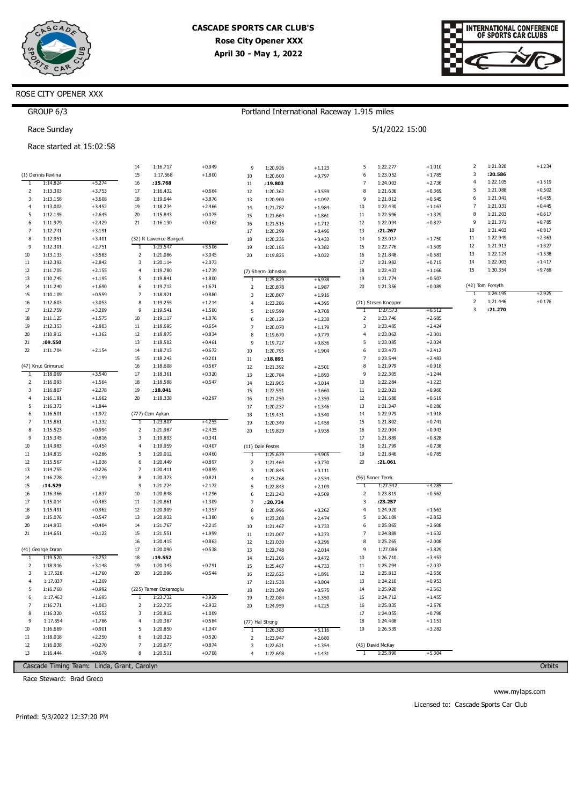

Portland International Raceway 1.915 miles

5/1/2022 15:00



### ROSE CITY OPENER XXX

| GROUP 6/3 |  |
|-----------|--|

Race Sunday

### Race started at 15:02:58

|                |                      |                      | 14                  | 1:16.717                           | $+0.949$             |                |                             |                      | 5              | 1:22.277             | $+1.010$             | 2              | 1:21.820         | $+1.234$ |
|----------------|----------------------|----------------------|---------------------|------------------------------------|----------------------|----------------|-----------------------------|----------------------|----------------|----------------------|----------------------|----------------|------------------|----------|
|                | (1) Dennis Pavlina   |                      | 15                  | 1:17.568                           | $+1.800$             | 9<br>$10\,$    | 1:20.926<br>1:20.600        | $+1.123$<br>$+0.797$ | 6              | 1:23.052             | $+1.785$             | 3              | :20.586          |          |
| 1              | 1:14.824             | $+5.274$             | 16                  | :15.768                            |                      | 11             | :19.803                     |                      | 7              | 1:24.003             | $+2.736$             | $\overline{4}$ | 1:22.105         | $+1.519$ |
| 2              | 1:13.303             | $+3.753$             | 17                  | 1:16.432                           | $+0.664$             | 12             | 1:20.362                    | $+0.559$             | 8              | 1:21.636             | $+0.369$             | 5              | 1:21.088         | $+0.502$ |
| 3              | 1:13.158             | $+3.608$             | 18                  | 1:19.644                           | $+3.876$             | 13             | 1:20.900                    | $+1.097$             | 9              | 1:21.812             | $+0.545$             | 6              | 1:21.041         | $+0.455$ |
| $\overline{4}$ | 1:13.002             | $+3.452$             | 19                  | 1:18.234                           | $+2.466$             | 14             | 1:21.787                    | $+1.984$             | 10             | 1:22.430             | $+1.163$             | 7              | 1:21.031         | $+0.445$ |
| 5              | 1:12.195             | $+2.645$             | 20                  | 1:15.843                           | $+0.075$             | 15             | 1:21.664                    | $+1.861$             | $11\,$         | 1:22.596             | $+1.329$             | 8              | 1:21.203         | $+0.617$ |
| 6              | 1:11.979             | $+2.429$             | 21                  | 1:16.130                           | $+0.362$             | 16             | 1:21.515                    | $+1.712$             | 12             | 1:22.094             | $+0.827$             | 9              | 1:21.371         | $+0.785$ |
| $\overline{7}$ | 1:12.741             | $+3.191$             |                     |                                    |                      | 17             | 1:20.299                    | $+0.496$             | 13             | :21.267              |                      | 10             | 1:21.403         | $+0.817$ |
| 8              | 1:12.951             | $+3.401$             |                     | (32) R Lawence Bangert             |                      | 18             | 1:20.236                    | $+0.433$             | 14             | 1:23.017             | $+1.750$             | 11             | 1:22.949         | $+2.363$ |
| 9              | 1:12.301             | $+2.751$             | 1                   | 1:23.547                           | $+5.506$             | 19             | 1:20.185                    | $+0.382$             | 15             | 1:22.776             | $+1.509$             | 12             | 1:21.913         | $+1.327$ |
| 10             | 1:13.133             | $+3.583$             | $\overline{2}$      | 1:21.086                           | $+3.045$             | 20             | 1:19.825                    | $+0.022$             | 16             | 1:21.848             | $+0.581$             | 13             | 1:22.124         | $+1.538$ |
| 11             | 1:12.392             | $+2.842$             | 3                   | 1:20.114                           | $+2.073$             |                |                             |                      | 17             | 1:21.982             | $+0.715$             | 14             | 1:22.003         | $+1.417$ |
| 12             | 1:11.705             | $+2.155$             | $\overline{4}$      | 1:19.780                           | $+1.739$             |                | (7) Sherm Johnston          |                      | 18             | 1:22.433             | $+1.166$             | 15             | 1:30.354         | $+9.768$ |
| 13             | 1:10.745             | $+1.195$             | 5                   | 1:19.841                           | $+1.800$             |                | 1:25.829                    | $+6.938$             | 19             | 1:21.774             | $+0.507$             |                |                  |          |
| 14             | 1:11.240             | $+1.690$             | 6                   | 1:19.712                           | $+1.671$             | 2              | 1:20.878                    | $+1.987$             | 20             | 1:21.356             | $+0.089$             |                | (42) Tom Forsyth |          |
| 15             | 1:10.109             | $+0.559$             | $\overline{7}$      | 1:18.921                           | $+0.880$             | 3              | 1:20.807                    | $+1.916$             |                |                      |                      | 1              | 1:24.195         | $+2.925$ |
| 16             | 1:12.603             | $+3.053$             | 8                   | 1:19.255                           | $+1.214$             | $\overline{4}$ | 1:23.286                    | $+4.395$             |                | (71) Steven Knepper  |                      | $\overline{2}$ | 1:21.446         | $+0.176$ |
| 17             | 1:12.759             | $+3.209$             | 9                   | 1:19.541                           | $+1.500$             | 5              | 1:19.599                    | $+0.708$             | Τ              | 1:27.573             | $+6.512$             | 3              | :21.270          |          |
| 18             | 1:11.125             | $+1.575$             | 10                  | 1:19.117                           | $+1.076$             | 6              | 1:20.129                    | $+1.238$             | 2              | 1:23.746             | $+2.685$             |                |                  |          |
| 19             | 1:12.353             | $+2.803$             | 11                  | 1:18.695                           | $+0.654$             | $\overline{7}$ | 1:20.070                    | $+1.179$             | 3              | 1:23.485             | $+2.424$             |                |                  |          |
| 20             | 1:10.912             | $+1.362$             | 12                  | 1:18.875                           | $+0.834$             | 8              | 1:19.670                    | $+0.779$             | 4              | 1:23.062             | $+2.001$             |                |                  |          |
| 21             | .09.550              |                      | 13                  | 1:18.502                           | $+0.461$             | 9              | 1:19.727                    | $+0.836$             | 5              | 1:23.085             | $+2.024$             |                |                  |          |
| 22             | 1:11.704             | $+2.154$             | 14                  | 1:18.713                           | $+0.672$             | 10             | 1:20.795                    | $+1.904$             | 6              | 1:23.473             | $+2.412$             |                |                  |          |
|                |                      |                      | 15                  | 1:18.242                           | $+0.201$             | $11$           | :18.891                     |                      | $\overline{7}$ | 1:23.544             | $+2.483$             |                |                  |          |
|                | (47) Knut Grimsrud   |                      | 16                  | 1:18.608                           | $+0.567$             | 12             | 1:21.392                    | $+2.501$             | 8              | 1:21.979             | $+0.918$             |                |                  |          |
| $\mathbf{1}$   | 1:18.069             | $+3.540$             | 17                  | 1:18.361                           | $+0.320$             | 13             | 1:20.784                    | $+1.893$             | 9<br>10        | 1:22.305             | $+1.244$             |                |                  |          |
| 2<br>3         | 1:16.093<br>1:16.807 | $+1.564$<br>$+2.278$ | 18<br>19            | 1:18.588<br>.18.041                | $+0.547$             | 14             | 1:21.905                    | $+3.014$             | $11\,$         | 1:22.284<br>1:22.021 | $+1.223$<br>$+0.960$ |                |                  |          |
| $\overline{4}$ | 1:16.191             | $+1.662$             | 20                  | 1:18.338                           | $+0.297$             | 15             | 1:22.551                    | $+3.660$             | 12             | 1:21.680             | $+0.619$             |                |                  |          |
| 5              | 1:16.373             | $+1.844$             |                     |                                    |                      | 16<br>17       | 1:21.250                    | $+2.359$             | 13             | 1:21.347             | $+0.286$             |                |                  |          |
| 6              | 1:16.501             | $+1.972$             |                     | (777) Cem Aykan                    |                      |                | 1:20.237                    | $+1.346$<br>$+0.540$ | 14             | 1:22.979             | $+1.918$             |                |                  |          |
| $\overline{7}$ | 1:15.861             | $+1.332$             | -1                  | 1:23.807                           | $+4.255$             | 18<br>19       | 1:19.431<br>1:20.349        | $+1.458$             | 15             | 1:21.802             | $+0.741$             |                |                  |          |
| 8              | 1:15.523             | $+0.994$             | $\overline{2}$      | 1:21.987                           | $+2.435$             | 20             | 1:19.829                    | $+0.938$             | 16             | 1:22.004             | $+0.943$             |                |                  |          |
| 9              | 1:15.345             | $+0.816$             | 3                   | 1:19.893                           | $+0.341$             |                |                             |                      | 17             | 1:21.889             | $+0.828$             |                |                  |          |
| 10             | 1:14.983             | $+0.454$             | $\overline{4}$      | 1:19.959                           | $+0.407$             |                | (11) Dale Pestes            |                      | 18             | 1:21.799             | $+0.738$             |                |                  |          |
| 11             | 1:14.815             | $+0.286$             | 5                   | 1:20.012                           | $+0.460$             | 1              | 1:25.639                    | $+4.905$             | 19             | 1:21.846             | $+0.785$             |                |                  |          |
| 12             | 1:15.567             | $+1.038$             | 6                   | 1:20.449                           | $+0.897$             | 2              | 1:21.464                    | $+0.730$             | 20             | : 21.061             |                      |                |                  |          |
| 13             | 1:14.755             | $+0.226$             | $\overline{7}$      | 1:20.411                           | $+0.859$             | 3              | 1:20.845                    | $+0.111$             |                |                      |                      |                |                  |          |
| 14             | 1:16.728             | $+2.199$             | 8                   | 1:20.373                           | $+0.821$             | $\overline{4}$ | 1:23.268                    | $+2.534$             |                | (96) Soner Terek     |                      |                |                  |          |
| 15             | :14.529              |                      | 9                   | 1:21.724                           | $+2.172$             | 5              | 1:22.843                    | $+2.109$             |                | 1:27.542             | $+4.285$             |                |                  |          |
| 16             | 1:16.366             | $+1.837$             | 10                  | 1:20.848                           | $+1.296$             | 6              | 1:21.243                    | $+0.509$             | 2              | 1:23.819             | $+0.562$             |                |                  |          |
| 17             | 1:15.014             | $+0.485$             | 11                  | 1:20.861                           | $+1.309$             | $\overline{7}$ | :20.734                     |                      | 3              | : 23.257             |                      |                |                  |          |
| 18             | 1:15.491             | $+0.962$             | 12                  | 1:20.909                           | $+1.357$             | 8              | 1:20.996                    | $+0.262$             | 4              | 1:24.920             | $+1.663$             |                |                  |          |
| 19             | 1:15.076             | $+0.547$             | 13                  | 1:20.932                           | $+1.380$             | 9              | 1:23.208                    | $+2.474$             | 5              | 1:26.109             | $+2.852$             |                |                  |          |
| 20             | 1:14.933             | $+0.404$             | 14                  | 1:21.767                           | $+2.215$             | 10             | 1:21.467                    | $+0.733$             | 6              | 1:25.865             | $+2.608$             |                |                  |          |
| 21             | 1:14.651             | $+0.122$             | 15                  | 1:21.551                           | $+1.999$             | 11             | 1:21.007                    | $+0.273$             | $\overline{7}$ | 1:24.889             | $+1.632$             |                |                  |          |
|                |                      |                      | 16                  | 1:20.415                           | $+0.863$             | 12             | 1:21.030                    | $+0.296$             | 8              | 1:25.265             | $+2.008$             |                |                  |          |
|                | (41) George Doran    |                      | 17                  | 1:20.090                           | $+0.538$             | 13             | 1:22.748                    | $+2.014$             | 9              | 1:27.086             | $+3.829$             |                |                  |          |
| -1             | 1:19.520             | $+3.752$             | 18                  | .19.552                            |                      | 14             | 1:21.206                    | $+0.472$             | 10             | 1:26.710             | $+3.453$             |                |                  |          |
| 2              | 1:18.916             | $+3.148$             | 19                  | 1:20.343                           | $+0.791$             | 15             | 1:25.467                    | $+4.733$             | $11\,$         | 1:25.294             | $+2.037$             |                |                  |          |
| 3              | 1:17.528             | $+1.760$             | 20                  | 1:20.096                           | $+0.544$             | 16             | 1:22.625                    | $+1.891$             | 12             | 1:25.813             | $+2.556$             |                |                  |          |
| 4              | 1:17.037             | $+1.269$             |                     |                                    |                      | 17             | 1:21.538                    | $+0.804$             | 13             | 1:24.210             | $+0.953$             |                |                  |          |
| 5              | 1:16.760<br>1:17.463 | $+0.992$<br>$+1.695$ |                     | (225) Tamer Ozkaraoglu<br>1:23.732 | $+3.929$             | 18             | 1:21.309                    | $+0.575$             | 14<br>15       | 1:25.920             | $+2.663$<br>$+1.455$ |                |                  |          |
| 6<br>7         | 1:16.771             |                      | $\mathbf{1}$        |                                    |                      | 19             | 1:22.084                    | $+1.350$             | 16             | 1:24.712             | $+2.578$             |                |                  |          |
| 8              | 1:16.320             | $+1.003$<br>$+0.552$ | $\overline{2}$<br>3 | 1:22.735<br>1:20.812               | $+2.932$<br>$+1.009$ | 20             | 1:24.959                    | $+4.225$             | 17             | 1:25.835<br>1:24.055 | $+0.798$             |                |                  |          |
| 9              | 1:17.554             | $+1.786$             | $\overline{4}$      | 1:20.387                           | $+0.584$             |                |                             |                      | 18             | 1:24.408             | $+1.151$             |                |                  |          |
| 10             | 1:16.669             | $+0.901$             | 5                   | 1:20.850                           | $+1.047$             |                | (77) Hal Strong<br>1:26.383 | $+5.116$             | 19             | 1:26.539             | $+3.282$             |                |                  |          |
| 11             | 1:18.018             | $+2.250$             | 6                   | 1:20.323                           | $+0.520$             | 1<br>2         | 1:23.947                    | $+2.680$             |                |                      |                      |                |                  |          |
| 12             | 1:16.038             | $+0.270$             | $\overline{7}$      | 1:20.677                           | $+0.874$             | 3              | 1:22.621                    | $+1.354$             |                | (45) David McKay     |                      |                |                  |          |
| 13             | 1:16.444             | $+0.676$             | 8                   | 1:20.511                           | $+0.708$             | 4              | 1:22.698                    | $+1.431$             | T              | 1:25.890             | $+5.304$             |                |                  |          |
|                |                      |                      |                     |                                    |                      |                |                             |                      |                |                      |                      |                |                  |          |

Cascade Timing Team: Linda, Grant, Carolyn

Race Steward: Brad Greco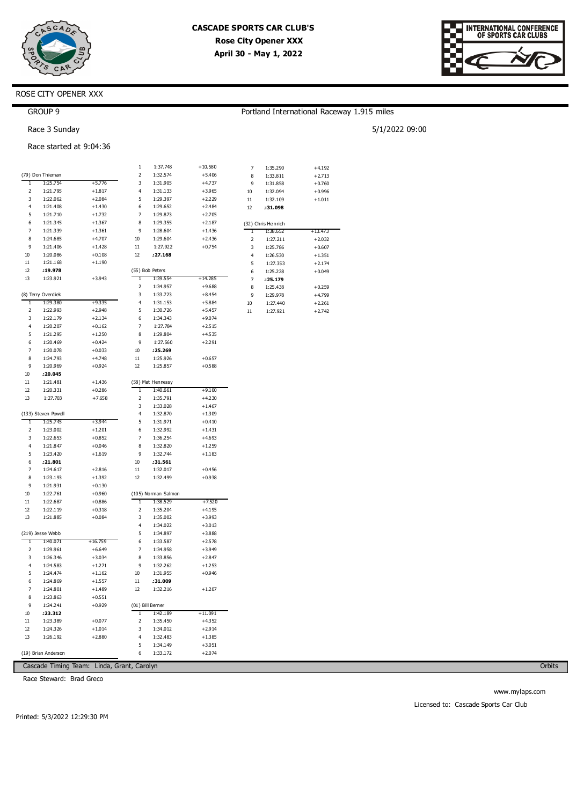

Portland International Raceway 1.915 miles

5/1/2022 09:00



### ROSE CITY OPENER XXX

| <b>GROUP 9</b> |
|----------------|
|----------------|

Race 3 Sunday

|        |                                |                      | 1            | 1:37.748             | $+10.580$            | 7  | 1:35.290            | $+4.192$  |
|--------|--------------------------------|----------------------|--------------|----------------------|----------------------|----|---------------------|-----------|
|        | (79) Don Thieman               |                      | 2            | 1:32.574             | $+5.406$             | 8  | 1:33.811            | $+2.713$  |
| T      | 1:25.754                       | $+5.776$             | 3            | 1:31.905             | +4.737               | 9  | 1:31.858            | $+0.760$  |
| 2      | 1:21.795                       | $+1.817$             | 4            | 1:31.133             | $+3.965$             | 10 |                     | $+0.996$  |
| 3      | 1:22.062                       | $+2.084$             | 5            | 1:29.397             | $+2.229$             |    | 1:32.094            |           |
| 4      | 1:21.408                       | $+1.430$             | 6            | 1:29.652             | $+2.484$             | 11 | 1:32.109            | $+1.011$  |
| 5      | 1:21.710                       | $+1.732$             | 7            | 1:29.873             | $+2.705$             | 12 | :31.098             |           |
| 6      | 1:21.345                       | $+1.367$             | 8            | 1:29.355             | $+2.187$             |    |                     |           |
| 7      | 1:21.339                       | $+1.361$             | 9            | 1:28.604             | $+1.436$             |    | (32) Chris Heinrich | $+13.473$ |
| 8      | 1:24.685                       | $+4.707$             | 10           | 1:29.604             | $+2.436$             | 1  | 1:38.652            |           |
| 9      | 1:21.406                       | $+1.428$             | $11\,$       | 1:27.922             | $+0.754$             | 2  | 1:27.211            | $+2.032$  |
| 10     | 1:20.086                       | $+0.108$             | 12           | :27.168              |                      | 3  | 1:25.786            | $+0.607$  |
| $11$   | 1:21.168                       | $+1.190$             |              |                      |                      | 4  | 1:26.530            | $+1.351$  |
| 12     | :19.978                        |                      |              | (55) Bob Peters      |                      | 5  | 1:27.353            | $+2.174$  |
| 13     | 1:23.921                       | $+3.943$             | 1            | 1:39.554             | $+14.285$            | 6  | 1:25.228            | $+0.049$  |
|        |                                |                      | 2            |                      |                      | 7  | .25.179             |           |
|        |                                |                      | 3            | 1:34.957             | $+9.688$             | 8  | 1:25.438            | $+0.259$  |
| 1      | (8) Terry Overdiek<br>1:29.380 | $+9.335$             | 4            | 1:33.723<br>1:31.153 | $+8.454$<br>$+5.884$ | 9  | 1:29.978            | $+4.799$  |
|        |                                |                      |              |                      |                      | 10 | 1:27.440            | $+2.261$  |
| 2<br>3 | 1:22.993                       | $+2.948$             | 5            | 1:30.726             | $+5.457$             | 11 | 1:27.921            | $+2.742$  |
| 4      | 1:22.179                       | $+2.134$             | 6<br>7       | 1:34.343             | $+9.074$             |    |                     |           |
| 5      | 1:20.207                       | $+0.162$             | 8            | 1:27.784             | $+2.515$             |    |                     |           |
| 6      | 1:21.295<br>1:20.469           | $+1.250$             | 9            | 1:29.804             | $+4.535$<br>$+2.291$ |    |                     |           |
| 7      | 1:20.078                       | $+0.424$             | 10           | 1:27.560             |                      |    |                     |           |
| 8      | 1:24.793                       | $+0.033$<br>$+4.748$ | 11           | : 25. 269            |                      |    |                     |           |
| 9      | 1:20.969                       | $+0.924$             | 12           | 1:25.926<br>1:25.857 | $+0.657$<br>$+0.588$ |    |                     |           |
| 10     | :20.045                        |                      |              |                      |                      |    |                     |           |
| $11\,$ | 1:21.481                       | $+1.436$             |              | (58) Mat Hennessy    |                      |    |                     |           |
| 12     | 1:20.331                       | $+0.286$             | $\mathbf{1}$ | 1:40.661             | $+9.100$             |    |                     |           |
| 13     | 1:27.703                       | $+7.658$             | 2            | 1:35.791             | $+4.230$             |    |                     |           |
|        |                                |                      | 3            | 1:33.028             | $+1.467$             |    |                     |           |
|        | (133) Steven Powell            |                      | 4            | 1:32.870             | $+1.309$             |    |                     |           |
| 1      | 1:25.745                       | $+3.944$             | 5            | 1:31.971             | $+0.410$             |    |                     |           |
| 2      | 1:23.002                       | $+1.201$             | 6            | 1:32.992             | $+1.431$             |    |                     |           |
| 3      | 1:22.653                       | $+0.852$             | 7            | 1:36.254             | $+4.693$             |    |                     |           |
| 4      | 1:21.847                       | $+0.046$             | 8            | 1:32.820             | $+1.259$             |    |                     |           |
| 5      | 1:23.420                       | $+1.619$             | 9            | 1:32.744             | $+1.183$             |    |                     |           |
| 6      | .21.801                        |                      | 10           | :31.561              |                      |    |                     |           |
| 7      | 1:24.617                       | $+2.816$             | 11           | 1:32.017             | $+0.456$             |    |                     |           |
| 8      | 1:23.193                       | $+1.392$             | 12           | 1:32.499             | $+0.938$             |    |                     |           |
| 9      | 1:21.931                       | $+0.130$             |              |                      |                      |    |                     |           |
| 10     | 1:22.761                       | $+0.960$             |              | (105) Norman Salmon  |                      |    |                     |           |
| 11     | 1:22.687                       | $+0.886$             | 1            | 1:38.529             | $+7.520$             |    |                     |           |
| 12     | 1:22.119                       | $+0.318$             | 2            | 1:35.204             | $+4.195$             |    |                     |           |
| 13     | 1:21.885                       | $+0.084$             | 3            | 1:35.002             | $+3.993$             |    |                     |           |
|        |                                |                      | 4            | 1:34.022             | $+3.013$             |    |                     |           |
|        | (219) Jesse Webb               |                      | 5            | 1:34.897             | $+3.888$             |    |                     |           |
| 1      | 1:40.071                       | $+16.759$            | 6            | 1:33.587             | $+2.578$             |    |                     |           |
| 2      | 1:29.961                       | $+6.649$             | 7            | 1:34.958             | $+3.949$             |    |                     |           |
| 3      | 1:26.346                       | $+3.034$             | 8            | 1:33.856             | $+2.847$             |    |                     |           |
| 4      | 1:24.583                       | $+1.271$             | 9            | 1:32.262             | $+1.253$             |    |                     |           |
| 5      | 1:24.474                       | $+1.162$             | 10           | 1:31.955             | $+0.946$             |    |                     |           |
| 6      | 1:24.869                       | $+1.557$             | $11\,$       | :31.009              |                      |    |                     |           |
| 7      | 1:24.801                       | $+1.489$             | 12           | 1:32.216             | $+1.207$             |    |                     |           |
| 8      | 1:23.863                       | $+0.551$             |              |                      |                      |    |                     |           |
| 9      | 1:24.241                       | $+0.929$             |              | (01) Bill Berner     |                      |    |                     |           |
| 10     | :23.312                        |                      | 1            | 1:42.189             | $+11.091$            |    |                     |           |
| 11     | 1:23.389                       | $+0.077$             | 2            | 1:35.450             | $+4.352$             |    |                     |           |
| 12     | 1:24.326                       | $+1.014$             | 3            | 1:34.012             | $+2.914$             |    |                     |           |
| 13     | 1:26.192                       | $+2.880$             | 4            | 1:32.483             | $+1.385$             |    |                     |           |
|        |                                |                      | 5            | 1:34.149             | $+3.051$             |    |                     |           |
|        | (19) Brian Anderson            |                      | 6            | 1:33.172             | $+2.074$             |    |                     |           |
|        |                                |                      |              |                      |                      |    |                     |           |

Race Steward: Brad Greco